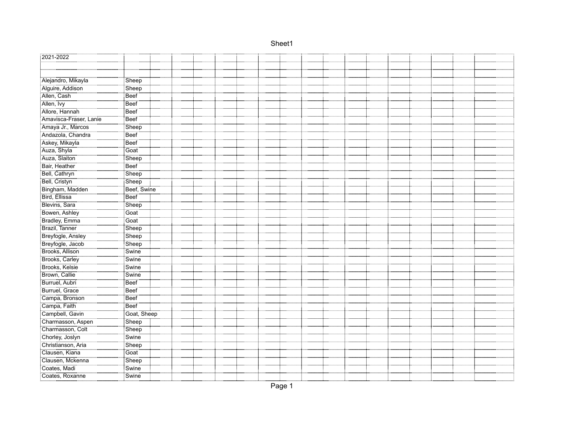| 2021-2022                             |                    |  |  |  |  |  |  |  |  |
|---------------------------------------|--------------------|--|--|--|--|--|--|--|--|
|                                       |                    |  |  |  |  |  |  |  |  |
|                                       |                    |  |  |  |  |  |  |  |  |
| Alejandro, Mikayla                    | Sheep              |  |  |  |  |  |  |  |  |
| Alguire, Addison                      | Sheep              |  |  |  |  |  |  |  |  |
| Allen, Cash                           | <b>Beef</b>        |  |  |  |  |  |  |  |  |
| <br>Allen, Ivy                        | Beef               |  |  |  |  |  |  |  |  |
| Allore, Hannah                        | Beef               |  |  |  |  |  |  |  |  |
| Amavisca-Fraser, Lanie                | Beef               |  |  |  |  |  |  |  |  |
| Amaya Jr., Marcos                     | Sheep              |  |  |  |  |  |  |  |  |
| Andazola, Chandra                     | <b>Beef</b>        |  |  |  |  |  |  |  |  |
| <br>Askey, Mikayla                    | <b>Beef</b>        |  |  |  |  |  |  |  |  |
| Auza, Shyla                           | Goat               |  |  |  |  |  |  |  |  |
| Auza, Slaiton                         | Sheep              |  |  |  |  |  |  |  |  |
| Bair, Heather                         | Beef               |  |  |  |  |  |  |  |  |
| Bell, Cathryn                         | Sheep              |  |  |  |  |  |  |  |  |
| Bell, Cristyn                         | Sheep              |  |  |  |  |  |  |  |  |
| Bingham, Madden                       | Beef, Swine        |  |  |  |  |  |  |  |  |
| Bird, Ellissa                         | Beef               |  |  |  |  |  |  |  |  |
| Blevins, Sara                         | Sheep              |  |  |  |  |  |  |  |  |
| Bowen, Ashley                         | Goat               |  |  |  |  |  |  |  |  |
| Bradley, Emma                         | Goat               |  |  |  |  |  |  |  |  |
| Brazil, Tanner                        | Sheep              |  |  |  |  |  |  |  |  |
| Breyfogle, Ansley                     | Sheep              |  |  |  |  |  |  |  |  |
| Breyfogle, Jacob                      | Sheep              |  |  |  |  |  |  |  |  |
| Brooks, Allison                       | Swine              |  |  |  |  |  |  |  |  |
| Brooks, Carley                        | Swine              |  |  |  |  |  |  |  |  |
| Brooks, Kelsie<br>Brown, Callie       | Swine<br>سيسي      |  |  |  |  |  |  |  |  |
|                                       | Swine              |  |  |  |  |  |  |  |  |
| Burruel, Aubri                        | Beef               |  |  |  |  |  |  |  |  |
| Burruel, Grace                        | Beef               |  |  |  |  |  |  |  |  |
| Campa, Bronson                        | Beef               |  |  |  |  |  |  |  |  |
| Campa, Faith                          | <b>Beef</b>        |  |  |  |  |  |  |  |  |
| Campbell, Gavin                       | Goat, Sheep        |  |  |  |  |  |  |  |  |
| Charmasson, Aspen                     | Sheep              |  |  |  |  |  |  |  |  |
| Charmasson, Colt                      | Sheep              |  |  |  |  |  |  |  |  |
| Chorley, Joslyn<br>Christianson, Aria | Swine <sup>1</sup> |  |  |  |  |  |  |  |  |
|                                       | Sheep              |  |  |  |  |  |  |  |  |
| Clausen, Kiana                        | <br>Goat           |  |  |  |  |  |  |  |  |
| Clausen, Mckenna                      | <br>Sheep          |  |  |  |  |  |  |  |  |
| Coates, Madi                          | Swine              |  |  |  |  |  |  |  |  |
| Coates, Roxanne                       | Swine              |  |  |  |  |  |  |  |  |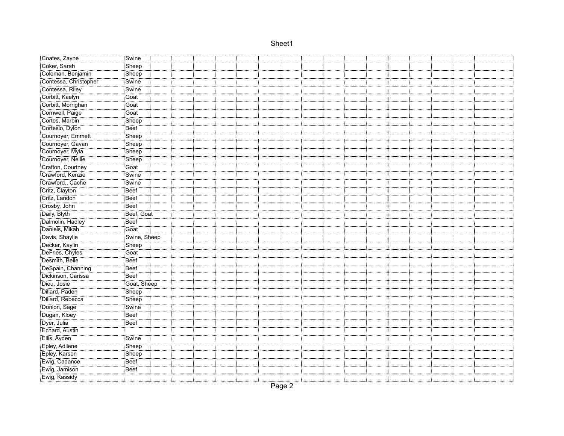| Coates, Zayne                                  | Swine        |  |  |  |  |  |  |  |
|------------------------------------------------|--------------|--|--|--|--|--|--|--|
| Coker, Sarah                                   | Sheep        |  |  |  |  |  |  |  |
| Coleman, Benjamin                              | Sheep        |  |  |  |  |  |  |  |
| Contessa, Christopher                          | Swine        |  |  |  |  |  |  |  |
| Contessa, Riley                                | Swine        |  |  |  |  |  |  |  |
| Corbitt, Kaelyn                                | <br>Goat     |  |  |  |  |  |  |  |
| Corbitt, Morrighan                             | <br>Goat     |  |  |  |  |  |  |  |
| Cornwell, Paige                                | Goat         |  |  |  |  |  |  |  |
| Cortes, Marbin                                 | Sheep        |  |  |  |  |  |  |  |
| Cortesio, Dylon                                | Beef         |  |  |  |  |  |  |  |
| Cournoyer, Emmett                              | Sheep        |  |  |  |  |  |  |  |
| Cournoyer, Gavan                               | Sheep        |  |  |  |  |  |  |  |
| Cournoyer, Myla<br>Cournoyer, Nellie           | Sheep        |  |  |  |  |  |  |  |
|                                                | Sheep        |  |  |  |  |  |  |  |
| Crafton, Courtney                              | Goat         |  |  |  |  |  |  |  |
| Crawford, Kenzie                               | Swine        |  |  |  |  |  |  |  |
| Crawford, Cache                                | Swine        |  |  |  |  |  |  |  |
| Critz, Clayton                                 | Beef         |  |  |  |  |  |  |  |
| Critz, Landon                                  | Beef         |  |  |  |  |  |  |  |
| <br>Crosby, John                               | <b>Beef</b>  |  |  |  |  |  |  |  |
| Daily, Blyth                                   | Beef, Goat   |  |  |  |  |  |  |  |
| Dalmolin, Hadley                               | Beef         |  |  |  |  |  |  |  |
| Daniels, Mikah                                 | Goat         |  |  |  |  |  |  |  |
| Davis, Shaylie                                 | Swine, Sheep |  |  |  |  |  |  |  |
| Decker, Kaylin                                 | Sheep        |  |  |  |  |  |  |  |
| DeFries, Chyles                                | Goat         |  |  |  |  |  |  |  |
| Desmith, Belle                                 | Beef         |  |  |  |  |  |  |  |
| i<br> DeSpain, Channing<br> Dickinson, Carissa | Beef         |  |  |  |  |  |  |  |
|                                                | Beef         |  |  |  |  |  |  |  |
| Dieu, Josie                                    | Goat, Sheep  |  |  |  |  |  |  |  |
| Dillard, Paden                                 | Sheep        |  |  |  |  |  |  |  |
| Dillard, Rebecca                               | Sheep        |  |  |  |  |  |  |  |
| Donlon, Sage                                   | Swine        |  |  |  |  |  |  |  |
| Dugan, Kloey                                   | Beef         |  |  |  |  |  |  |  |
| :::::::::::::::::::::::<br>:Dyer, Julia        | <b>Beef</b>  |  |  |  |  |  |  |  |
| Echard, Austin                                 |              |  |  |  |  |  |  |  |
| Ellis, Ayden                                   | Swine        |  |  |  |  |  |  |  |
| Epley, Adilene                                 | <br>Sheep    |  |  |  |  |  |  |  |
| Epley, Karson                                  | Sheep        |  |  |  |  |  |  |  |
| :<br>Ewig, Cadance<br>Ewig, Jamison            | <b>Beef</b>  |  |  |  |  |  |  |  |
|                                                | Beef         |  |  |  |  |  |  |  |
| Ewig, Kassidy                                  |              |  |  |  |  |  |  |  |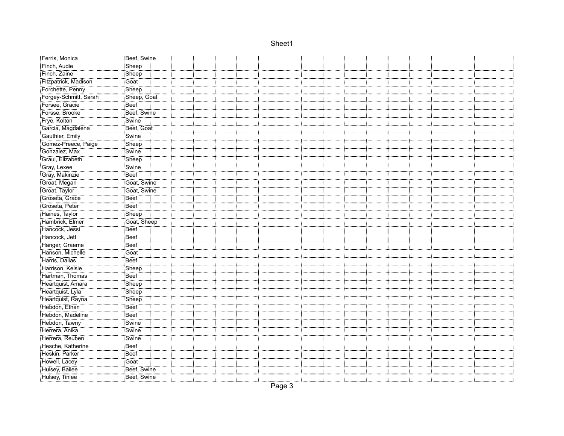| Ferris, Monica                                        | Beef, Swine          |  |
|-------------------------------------------------------|----------------------|--|
| Finch, Audie                                          | Sheep                |  |
| Finch, Zaine                                          | Sheep                |  |
| Fitzpatrick, Madison                                  | Goat                 |  |
| Forchette, Penny                                      |                      |  |
| Forgey-Schmitt, Sarah<br>Forgey-Schmitt, Sarah        | Sheep<br>Sheep, Goat |  |
|                                                       | Beef                 |  |
| Forsse, Brooke                                        | Beef, Swine          |  |
| Frye, Kolton                                          | Swine                |  |
| Garcia, Magdalena                                     | Beef, Goat           |  |
| Gauthier, Emily                                       | Swine                |  |
| Gomez-Preece, Paige                                   | Sheep                |  |
| Gonzalez, Max                                         | Swine                |  |
| Graul, Elizabeth                                      | Sheep                |  |
| Gray, Lexee                                           | Swine <sup>"</sup>   |  |
| Gray, Makinzie                                        | <br>Beef             |  |
| Groat, Megan                                          | Goat, Swine          |  |
| Groat, Taylor                                         | Goat, Swine          |  |
| Groseta, Grace                                        | Beef                 |  |
| Groseta, Peter                                        | <b>Beef</b>          |  |
| Haines, Taylor                                        | Sheep                |  |
| Hambrick, Elmer                                       | Goat, Sheep          |  |
| Hancock, Jessi                                        | Beef                 |  |
| <br>:Напсоск, Jett                                    | Beef                 |  |
| Hanger, Graeme<br>Hanson, Michelle                    | Beef                 |  |
|                                                       | Goat                 |  |
| Harris, Dallas<br>Harrison, Kelsie<br>Hartman, Thomas | Beef                 |  |
|                                                       | Sheep                |  |
|                                                       | Beef                 |  |
| Heartquist, Amara                                     | Sheep                |  |
| Heartquist, Lyla                                      | Sheep                |  |
| Heartquist, Rayna                                     | Sheep                |  |
| Hebdon, Ethan                                         | Beef                 |  |
| Hebdon, Madeline                                      | Beef                 |  |
| Hebdon, Tawny                                         | Swine:               |  |
| Herrera, Anika<br>Herrera, Reuben                     | Swine                |  |
|                                                       | Swine                |  |
| Hesche, Katherine                                     | <b>Beef</b>          |  |
| Heskin, Parker                                        | Beef                 |  |
| Howell, Lacey                                         | Goat                 |  |
| Hulsey, Bailee                                        | Beef, Swine          |  |
| Hulsey, Tinlee                                        | Beef, Swine          |  |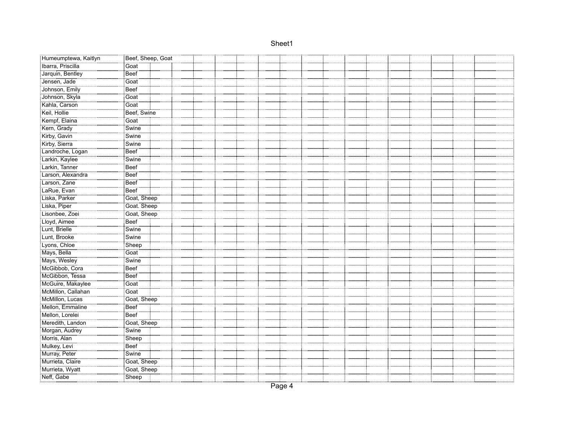| Humeumptewa, Kaitlyn                              | Beef, Sheep, Goat   |
|---------------------------------------------------|---------------------|
|                                                   | Goat                |
| Jarquin, Bentley                                  | Beef                |
| Jensen, Jade                                      | Goat                |
|                                                   | Beef                |
| Johnson, Emily<br>Johnson, Skyla<br>Kahla, Carson | <br>Goat            |
|                                                   | <br>Goat            |
| Keil, Hollie                                      | Beef, Swine         |
| Kempf, Elaina                                     | Goat                |
| Kern, Grady                                       | Swine               |
| Kirby, Gavin                                      | Swine               |
| Kirby, Sierra                                     | Swine               |
| Landroche, Logan                                  | <b>Beef</b>         |
| Larkin, Kaylee                                    | Swine               |
| Larkin, Tanner                                    | Beef                |
| Larson, Alexandra                                 | -----------<br>Beef |
| Larson, Zane                                      | Beef                |
| LaRue, Evan                                       | Beef                |
| i<br>Eliska, Parker                               | Goat, Sheep         |
| <br>Liska, Piper                                  | Goat. Sheep         |
| Lisonbee, Zoei                                    | Goat, Sheep         |
| : Lloyd, Aimee                                    | <b>Beef</b>         |
| Lunt, Brielle                                     | Swine               |
| Lunt, Brooke                                      | Swine               |
| Lyons, Chloe                                      | Sheep               |
| Mays, Bella                                       | Goat                |
| ::::::::::::::::::::::::::::::<br>Mays, Wesley!   | Swine               |
| McGibbob, Cora                                    | <b>Beef</b>         |
| McGibbon, Tessa                                   | Beef                |
| McGuire, Makaylee                                 | Goat                |
| McMillon, Callahan                                | Goat                |
| McMillon, Lucas                                   | Goat, Sheep         |
| Mellon, Emmaline                                  | Beef                |
| Mellon, Lorelei                                   | Beef                |
| Meredith, Landon                                  | Goat, Sheep         |
| Morgan, Audrey                                    | Swine               |
| Morris, Alan                                      | Sheep               |
| Mulkey, Levi                                      | Beef                |
| Murray, Peter                                     | Swine               |
| Murrieta, Claire                                  | Goat, Sheep         |
| Murrieta, Wyatt                                   | Goat, Sheep         |
| Neff, Gabe                                        | Sheep               |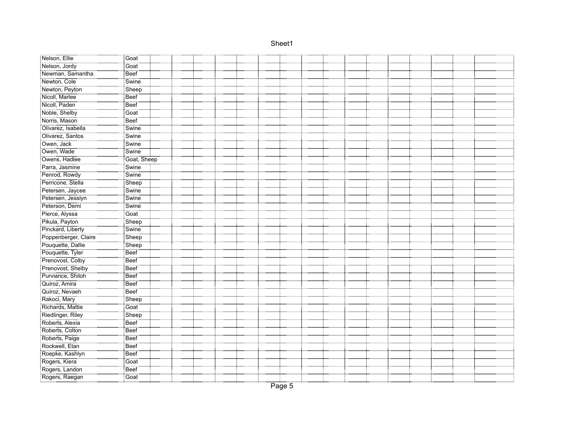| Nelson, Ellie                                              | Goat               |  |  |  |  |  |  |  |  |
|------------------------------------------------------------|--------------------|--|--|--|--|--|--|--|--|
| Nelson, Jordy                                              | Goat               |  |  |  |  |  |  |  |  |
| Newman, Samantha                                           | <b>Beef</b>        |  |  |  |  |  |  |  |  |
| Newton, Cole                                               | Swine              |  |  |  |  |  |  |  |  |
| Newton, Peyton                                             | Sheep              |  |  |  |  |  |  |  |  |
| Nicoll, Marlee                                             | Beef               |  |  |  |  |  |  |  |  |
| Nicoll, Paden                                              | Beef               |  |  |  |  |  |  |  |  |
| Noble, Shelby                                              | Goat               |  |  |  |  |  |  |  |  |
| Norris, Mason                                              | Beef               |  |  |  |  |  |  |  |  |
|                                                            | Swine              |  |  |  |  |  |  |  |  |
| Olivarez, Santos                                           | Swine              |  |  |  |  |  |  |  |  |
| Owen, Jack                                                 | Swine              |  |  |  |  |  |  |  |  |
| Owen, Wade                                                 | Swine              |  |  |  |  |  |  |  |  |
| Owens, Hadlee                                              | Goat, Sheep        |  |  |  |  |  |  |  |  |
| Parra, Jasmine                                             | Swine              |  |  |  |  |  |  |  |  |
| Penrod, Rowdy                                              | Swine <sup>®</sup> |  |  |  |  |  |  |  |  |
| Perricone, Stella<br>Petersen, Jaycee                      | $S$ heep           |  |  |  |  |  |  |  |  |
|                                                            | Swine              |  |  |  |  |  |  |  |  |
| Petersen, Jesslyn                                          | Swine              |  |  |  |  |  |  |  |  |
| Peterson, Demi                                             | Swine              |  |  |  |  |  |  |  |  |
| Pierce, Alyssa                                             | Goat               |  |  |  |  |  |  |  |  |
| Pikula, Payton                                             | Sheep              |  |  |  |  |  |  |  |  |
| Pinckard, Liberty                                          | Swine              |  |  |  |  |  |  |  |  |
| Poppenberger, Claire                                       | Sheep              |  |  |  |  |  |  |  |  |
| Pouquette, Dallie                                          | Sheep              |  |  |  |  |  |  |  |  |
| Pouquette, Tyler                                           | Beef               |  |  |  |  |  |  |  |  |
|                                                            | Beef               |  |  |  |  |  |  |  |  |
| Prenovost, Colby<br>Prenovost, Shelby<br>Purviance, Shiloh | Beef               |  |  |  |  |  |  |  |  |
|                                                            | Beef               |  |  |  |  |  |  |  |  |
| Quiroz, Amira                                              | <b>Beef</b>        |  |  |  |  |  |  |  |  |
| Quiroz, Nevaeh                                             | Beef               |  |  |  |  |  |  |  |  |
| Rakoci, Mary                                               | Sheep              |  |  |  |  |  |  |  |  |
| Richards, Mattie                                           | Goat               |  |  |  |  |  |  |  |  |
| Riedlinger, Riley                                          | Sheep              |  |  |  |  |  |  |  |  |
| Roberts, Alexia                                            | Beef               |  |  |  |  |  |  |  |  |
| Roberts, Colton                                            | Beef               |  |  |  |  |  |  |  |  |
| Roberts, Paige                                             | Beef               |  |  |  |  |  |  |  |  |
| Rockwell, Etan                                             | Beef               |  |  |  |  |  |  |  |  |
| Roepke, Kashlyn                                            | Beef               |  |  |  |  |  |  |  |  |
| Rogers, Kiera                                              | Goat               |  |  |  |  |  |  |  |  |
| Rogers, Landon                                             | Beef               |  |  |  |  |  |  |  |  |
| Rogers, Raegan                                             | Goat               |  |  |  |  |  |  |  |  |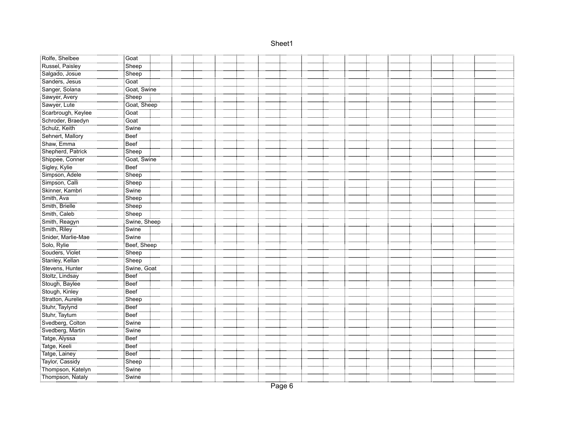| Rolfe, Shelbee                    | Goat           |  |  |  |  |  |  |  |
|-----------------------------------|----------------|--|--|--|--|--|--|--|
| Russel, Paisley                   | Sheep          |  |  |  |  |  |  |  |
| Salgado, Josue                    | Sheep          |  |  |  |  |  |  |  |
| Sanders, Jesus                    | Goat           |  |  |  |  |  |  |  |
| Sanger, Solana                    | Goat, Swine    |  |  |  |  |  |  |  |
| Example: The Sawyer, Avery        | Sheep          |  |  |  |  |  |  |  |
|                                   | Goat, Sheep    |  |  |  |  |  |  |  |
| Scarbrough, Keylee                | Goat           |  |  |  |  |  |  |  |
| Schroder, Braedyn                 | Goat           |  |  |  |  |  |  |  |
| Schulz, Keith                     | Swine          |  |  |  |  |  |  |  |
| Sehnert, Mallory                  | Beef           |  |  |  |  |  |  |  |
| Shaw, Emma                        | Beef           |  |  |  |  |  |  |  |
| Shepherd, Patrick                 | Sheep          |  |  |  |  |  |  |  |
| Shippee, Conner                   | Goat, Swine    |  |  |  |  |  |  |  |
| Sigley, Kylie                     | Beef           |  |  |  |  |  |  |  |
| Simpson, Adele                    | Sheep          |  |  |  |  |  |  |  |
| Simpson, Calli<br>Skinner, Kambri | Sheep<br>Swine |  |  |  |  |  |  |  |
|                                   |                |  |  |  |  |  |  |  |
|                                   | Sheep          |  |  |  |  |  |  |  |
| Smith, Brielle                    | <br>∶Sheep     |  |  |  |  |  |  |  |
| Smith, Caleb                      | Sheep          |  |  |  |  |  |  |  |
| Smith, Reagyn                     | Swine, Sheep   |  |  |  |  |  |  |  |
| Smith, Riley                      | Swine          |  |  |  |  |  |  |  |
| Snider, Marlie-Mae                | Swine          |  |  |  |  |  |  |  |
| Solo, Rylie                       | Beef, Sheep    |  |  |  |  |  |  |  |
| Souders, Violet                   | Sheep          |  |  |  |  |  |  |  |
| Stanley, Kellan                   | Sheep          |  |  |  |  |  |  |  |
| Stevens, Hunter                   | Swine, Goat    |  |  |  |  |  |  |  |
| Stoltz, Lindsay                   | Beef           |  |  |  |  |  |  |  |
| Stough, Baylee                    | :<br>Beef      |  |  |  |  |  |  |  |
| Stough, Kinley                    | Beef<br>.      |  |  |  |  |  |  |  |
| Stratton, Aurelie                 | Sheep          |  |  |  |  |  |  |  |
| Stuhr, Taylynd                    | Beef           |  |  |  |  |  |  |  |
| Stuhr, Taytum                     | Beef           |  |  |  |  |  |  |  |
| Svedberg, Colton                  | Swine          |  |  |  |  |  |  |  |
| Svedberg, Martin                  | Swine          |  |  |  |  |  |  |  |
| Tatge, Alyssa                     | Beef           |  |  |  |  |  |  |  |
| Tatge, Keeli                      | <br>Beef       |  |  |  |  |  |  |  |
| Tatge, Lainey                     | Beef           |  |  |  |  |  |  |  |
| Taylor, Cassidy                   | Sheep          |  |  |  |  |  |  |  |
| Thompson, Katelyn                 | Swine          |  |  |  |  |  |  |  |
| Thompson, Nataly                  | Swine          |  |  |  |  |  |  |  |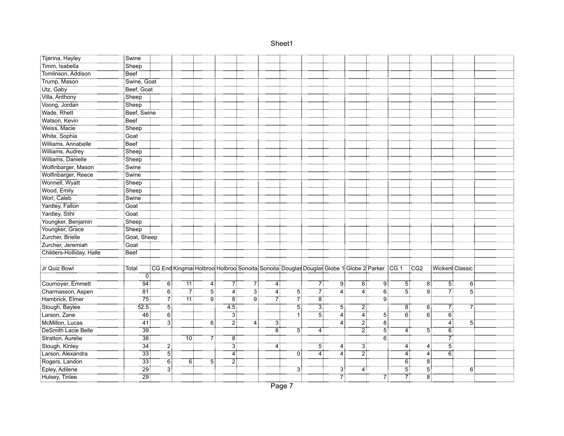| :Tijerina, Hayley                                                | Swine           |                |                 |                  |                         |                   |    |                                                                                                          |                |                |                    |                |                |                |                  |                  |  |
|------------------------------------------------------------------|-----------------|----------------|-----------------|------------------|-------------------------|-------------------|----|----------------------------------------------------------------------------------------------------------|----------------|----------------|--------------------|----------------|----------------|----------------|------------------|------------------|--|
| :Timm, Isabella                                                  | Sheep           |                |                 |                  |                         |                   |    |                                                                                                          |                |                |                    |                |                |                |                  |                  |  |
| Tomlinson, Addison                                               | <b>Beef</b>     |                |                 |                  |                         |                   |    |                                                                                                          |                |                |                    |                |                |                |                  |                  |  |
| Trump, Mason                                                     | Swine, Goat     |                |                 |                  |                         |                   |    |                                                                                                          |                |                |                    |                |                |                |                  |                  |  |
|                                                                  | Beef, Goat      |                |                 |                  |                         |                   |    |                                                                                                          |                |                |                    |                |                |                |                  |                  |  |
| Utz, Gaby<br>Villa, Anthony                                      | Sheep<br>Sheep  |                |                 |                  |                         |                   |    |                                                                                                          |                |                |                    |                |                |                |                  |                  |  |
| <u></u><br>Voong, Jordan                                         |                 |                |                 |                  |                         |                   |    |                                                                                                          |                |                |                    |                |                |                |                  |                  |  |
| Wade, Rhett                                                      | Beef, Swine     |                |                 |                  |                         |                   |    |                                                                                                          |                |                |                    |                |                |                |                  |                  |  |
| Watson, Kevin                                                    | Beef            |                |                 |                  |                         |                   |    |                                                                                                          |                |                |                    |                |                |                |                  |                  |  |
| Weiss, Macie                                                     | Sheep           |                |                 |                  |                         |                   |    |                                                                                                          |                |                |                    |                |                |                |                  |                  |  |
| White, Sophia                                                    | Goat            |                |                 |                  |                         |                   |    |                                                                                                          |                |                |                    |                |                |                |                  |                  |  |
| Williams, Annabelle                                              | Beef            |                |                 |                  |                         |                   |    |                                                                                                          |                |                |                    |                |                |                |                  |                  |  |
| Williams, Audrey                                                 | Sheep           |                |                 |                  |                         |                   |    |                                                                                                          |                |                |                    |                |                |                |                  |                  |  |
|                                                                  | Sheep           |                |                 |                  |                         |                   |    |                                                                                                          |                |                |                    |                |                |                |                  |                  |  |
| Williams, Danielle<br>Wolfinbarger, Mason<br>Wolfinbarger, Reece | Swine           |                |                 |                  |                         |                   |    |                                                                                                          |                |                |                    |                |                |                |                  |                  |  |
|                                                                  | Swine           |                |                 |                  |                         |                   |    |                                                                                                          |                |                |                    |                |                |                |                  |                  |  |
| Wonnell, Wyatt                                                   | Sheep           |                |                 |                  |                         |                   |    |                                                                                                          |                |                |                    |                |                |                |                  |                  |  |
| Wood, Emily                                                      | Sheep           |                |                 |                  |                         |                   |    |                                                                                                          |                |                |                    |                |                |                |                  |                  |  |
| Worl, Caleb                                                      | Swine           |                |                 |                  |                         |                   |    |                                                                                                          |                |                |                    |                |                |                |                  |                  |  |
| Yardley, Fallon                                                  | Goat            |                |                 |                  |                         |                   |    |                                                                                                          |                |                |                    |                |                |                |                  |                  |  |
| Yardley, Stihl                                                   | Goat            |                |                 |                  |                         |                   |    |                                                                                                          |                |                |                    |                |                |                |                  |                  |  |
| Youngker, Benjamin                                               | Sheep           |                |                 |                  |                         |                   |    |                                                                                                          |                |                |                    |                |                |                |                  |                  |  |
| Youngker, Grace                                                  | Sheep           |                |                 |                  |                         |                   |    |                                                                                                          |                |                |                    |                |                |                |                  |                  |  |
| Zurcher, Brielle                                                 | Goat, Sheep     |                |                 |                  |                         |                   |    |                                                                                                          |                |                |                    |                |                |                |                  |                  |  |
| Zurcher, Jeremiah                                                | Goat            |                |                 |                  |                         |                   |    |                                                                                                          |                |                |                    |                |                |                |                  |                  |  |
| Childers-Holliday, Halle                                         | <b>Beef</b>     |                |                 |                  |                         |                   |    |                                                                                                          |                |                |                    |                |                |                |                  |                  |  |
|                                                                  |                 |                |                 |                  |                         |                   |    |                                                                                                          |                |                |                    |                |                |                |                  |                  |  |
| Jr Quiz Bowl                                                     | Total           |                |                 |                  |                         |                   |    | CG End Kingmai Holbroci Holbroci Sonoita: Sonoita: Douglas Douglas Globe 1: Globe 2: Parker : CG 1 : CG2 |                |                |                    |                |                |                | Wickent Classic  |                  |  |
|                                                                  | $\Omega$        |                |                 |                  |                         |                   |    |                                                                                                          |                |                |                    |                |                |                |                  |                  |  |
| Cournoyer, Emmett                                                | 94              | 6              | 11              | 4:               | 71                      | 71                | 4  |                                                                                                          | 71             | 9              | ő.                 | 9!             | 5:             | 8              | 5:               | $\overline{6}$   |  |
| Charmasson, Aspen                                                | <br>81          | 6              | 71              | $\overline{5}$   | 4.                      | ЗĪ                | 4  | 5:                                                                                                       | 7              | $\overline{4}$ | 4                  | $6^{\circ}$    | $5^{\circ}$    | g:             | 71               | $\ddot{5}$       |  |
| Hambrick, Elmer                                                  | 75              | 7İ             | $\overline{11}$ | <br>9            | $\overline{\mathbf{8}}$ | $9^{\frac{1}{3}}$ |    | 7                                                                                                        | $\overline{8}$ |                |                    | $\overline{9}$ |                |                |                  |                  |  |
| Stough, Baylee                                                   | 52.5            | $\overline{5}$ |                 |                  | 4.5                     |                   |    | $\overline{5}$                                                                                           | $\overline{3}$ | $\overline{5}$ | $\overline{2}$     |                | $\overline{8}$ | 6:             | 71               | $\overline{7}$   |  |
| Larson, Zane                                                     | 46:             | $\overline{6}$ |                 |                  | $\overline{3}$          |                   |    | ٔ 1                                                                                                      | $\overline{5}$ | 4              | ï4                 | 51             | $\ddot{6}$     | $\ddot{6}$     | $\ddot{6}$       |                  |  |
| McMillon, Lucas                                                  | 41:             | :أ3            |                 | $\overline{6}$ : | $\overline{2}$          | 4:                | 3! |                                                                                                          |                | 4              | 2                  | 8              |                |                | $\overline{4}$ : | $\overline{5}$ : |  |
| DeSmith Lacie Belle                                              | <br>39          |                |                 |                  |                         |                   | ëÎ | 5                                                                                                        | 4              |                | $\ddot{\tilde{2}}$ | $\overline{5}$ | 4              | 51             | 6                |                  |  |
| Stratton, Aurelie                                                | <br>38          |                | 10 <sup>1</sup> |                  | $\dddot{\tilde{8}}$     |                   |    |                                                                                                          |                |                |                    | $\overline{6}$ |                |                |                  |                  |  |
| Stough, Kinley                                                   | 34              | :ّ2            |                 |                  | $\dddot{3}$             |                   | 4: |                                                                                                          | 51             | 4:             | зi                 |                | $\overline{4}$ | 4:             | <br>5            |                  |  |
| Larson, Alexandra                                                | $\overline{33}$ | <br>5          |                 |                  | 4                       |                   |    | Ö                                                                                                        | 4:             | 4              | 21                 |                | 4              | 4.             | $\overline{6}$   |                  |  |
| Rogers, Landon                                                   | 33              | 6              | $\overline{6}$  | 5 <sup>1</sup>   | $\overline{2}$          |                   |    |                                                                                                          |                |                |                    |                | 6:             | $\ddot{8}$     |                  |                  |  |
| Epley, Adilene                                                   | 29              | 31             |                 |                  |                         |                   |    | 3                                                                                                        |                | 3              | $\overline{4}$     |                | $\overline{5}$ | $\overline{5}$ |                  | 6                |  |
| Hulsey, Tinlee                                                   | $\overline{29}$ |                |                 |                  |                         |                   |    |                                                                                                          |                | $\overline{7}$ |                    | -71            | -71            | -<br>8         |                  |                  |  |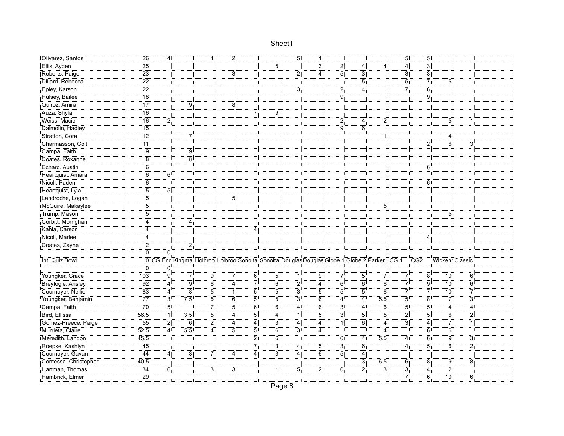| Olivarez, Santos                                      | 26:             | 4:             |                                                                                                    | 4:             | $\overline{2}$ : |                  |                   | 5 <sup>1</sup> | $\overline{1}$    |                  |                   |                   | 5:               | $\overline{5}$   |                |                  |  |
|-------------------------------------------------------|-----------------|----------------|----------------------------------------------------------------------------------------------------|----------------|------------------|------------------|-------------------|----------------|-------------------|------------------|-------------------|-------------------|------------------|------------------|----------------|------------------|--|
| Ellis, Ayden                                          | $\overline{25}$ |                |                                                                                                    |                |                  |                  | 51                |                | $\overline{3}$ :  | ۔۔۔۔۔۔۔۔۔۔۔۔۔۔۔۔ | 4                 | $\overline{4}$    | <br>4            | 3                |                |                  |  |
| Roberts, Paige                                        | $\overline{23}$ |                |                                                                                                    |                | 3                |                  |                   | 2              | 4                 | $\overline{5}$   | $\overline{3}$    |                   | ЗÏ               | $\overline{3}$   |                |                  |  |
| Dillard, Rebecca                                      | $\overline{22}$ |                |                                                                                                    |                |                  |                  |                   |                |                   |                  | $\overline{5}$    |                   | $\overline{5}$   | $\overline{7}$   | 5:             |                  |  |
| Epley, Karson                                         | $\overline{22}$ |                |                                                                                                    |                |                  |                  |                   |                |                   | 2                | <br>4             |                   |                  | $\overline{6}$   |                |                  |  |
| Hulsey, Bailee                                        | <br>18          |                |                                                                                                    |                |                  |                  |                   |                |                   | :<br>! 9         |                   |                   |                  | .<br>! 9         |                |                  |  |
| Quiroz, Amira                                         | $\overline{17}$ |                | 9                                                                                                  |                | 8                |                  |                   |                |                   |                  |                   |                   |                  |                  |                |                  |  |
| Auza, Shyla                                           | .<br>! 16       |                |                                                                                                    |                |                  | 71               | 9                 |                |                   |                  |                   |                   |                  |                  |                |                  |  |
| Weiss, Macie                                          | 16              | 21             |                                                                                                    |                |                  |                  |                   |                |                   | $\overline{2}$   | 4                 | $\overline{2}$    |                  |                  | $\overline{5}$ | 1:               |  |
| Dalmolin, Hadley                                      | .<br>: 15       |                |                                                                                                    |                |                  |                  |                   |                |                   | $\overline{9}$   | ö.                |                   |                  |                  |                |                  |  |
| Stratton, Cora                                        | 12 <sup>1</sup> |                |                                                                                                    |                |                  |                  |                   |                |                   |                  |                   |                   |                  |                  |                |                  |  |
| Charmasson, Colt                                      | $\overline{11}$ |                |                                                                                                    |                |                  |                  |                   |                |                   |                  |                   |                   |                  | 2                | 6:             | 3:               |  |
| Campa, Faith                                          | $\overline{9}$  |                | 9 <sup>1</sup>                                                                                     |                |                  |                  |                   |                |                   |                  |                   |                   |                  |                  |                |                  |  |
| Coates, Roxanne                                       | ïä              |                | <br>8                                                                                              |                |                  |                  |                   |                |                   |                  |                   |                   |                  |                  |                |                  |  |
| Echard, Austin                                        | <br>6           |                |                                                                                                    |                |                  |                  |                   |                |                   |                  |                   |                   |                  | 6:               |                |                  |  |
| Heartquist, Amara                                     | <br>6           | 6              |                                                                                                    |                |                  |                  |                   |                |                   |                  |                   |                   |                  |                  |                |                  |  |
| Nicoll, Paden                                         | $\overline{6}$  |                |                                                                                                    |                |                  |                  |                   |                |                   |                  |                   |                   |                  | 6                |                |                  |  |
| Heartquist, Lyla                                      | $\overline{5}$  | $\overline{5}$ |                                                                                                    |                |                  |                  |                   |                |                   |                  |                   |                   |                  |                  |                |                  |  |
| Landroche, Logan                                      | 51              |                |                                                                                                    |                | 5 <sup>1</sup>   |                  |                   |                |                   |                  |                   |                   |                  |                  |                |                  |  |
| McGuire, Makaylee                                     | 5               |                |                                                                                                    |                |                  |                  |                   |                |                   |                  |                   | 5 <sup>1</sup>    |                  |                  |                |                  |  |
| Trump, Mason                                          | $\overline{5}$  |                |                                                                                                    |                |                  |                  |                   |                |                   |                  |                   |                   |                  |                  | 5:             |                  |  |
| Corbitt, Morrighan                                    | 4               |                | 4                                                                                                  |                |                  |                  |                   |                |                   |                  |                   |                   |                  |                  |                |                  |  |
| Kahla, Carson                                         | $\overline{4}$  |                |                                                                                                    |                |                  | 4                |                   |                |                   |                  |                   |                   |                  |                  |                |                  |  |
| Nicoll, Marlee                                        | 4               |                |                                                                                                    |                |                  |                  |                   |                |                   |                  |                   |                   |                  | 4                |                |                  |  |
| Coates, Zayne                                         | أ2              |                | 2                                                                                                  |                |                  |                  |                   |                |                   |                  |                   |                   |                  |                  |                |                  |  |
|                                                       | Ö.              | öİ             |                                                                                                    |                |                  |                  |                   |                |                   |                  |                   |                   |                  |                  |                |                  |  |
| Int. Quiz Bowl                                        |                 |                | 0 CG End Kingmai Holbrooi Holbrooi Sonoita Sonoita Douglas Douglas Globe 1 Globe 2 Parker CG 1 CG2 |                |                  |                  |                   |                |                   |                  |                   |                   |                  |                  |                | Wickent Classic  |  |
|                                                       | 0:              | 0:             |                                                                                                    |                |                  |                  |                   |                |                   |                  |                   |                   |                  |                  |                |                  |  |
| Youngker, Grace                                       | 103             | :<br>! 9       | 71                                                                                                 | آق             | -71              | őÎ               | 5.                | $\mathbf{1}$   | <br>9             | 71               | 51                | 71                | 71               | $\overline{8}$   | <br>10         | 6:               |  |
| Breyfogle, Ansley                                     | .<br>! 92       | <br>4          | g:                                                                                                 | $\overline{6}$ | <br>4            | 7İ               | $\overline{6}$    | 21             | .<br>4            | Ϊő.              | $\overline{6}$    | $\ddot{6}$        | 71               | .<br>! 9         | .<br>: 10      | $\overline{6}$   |  |
| Cournoyer, Nellie                                     | $\overline{83}$ | $\overline{4}$ | 8                                                                                                  | 5              | ِّ⊺⊺             | 5                | 5                 | 31             | $\overline{5}$    | 5                | 5                 | $\dddot{6}$       | 71               | 7                | <br>10         | -71              |  |
| Youngker, Benjamin                                    | 77              | зţ             | 75                                                                                                 | $\overline{5}$ | $\overline{6}$   | 51               | $\overline{5}$    | $\overline{3}$ | $\overline{6}$    | $\overline{4}$   | $4^{\frac{1}{2}}$ | 5.5               | $\overline{5}$   | $\overline{8}$   | -71            | $\overline{3}$   |  |
| Campa, Faith                                          |                 | $\overline{5}$ |                                                                                                    | 7              | $\overline{5}$   | $\overline{6}$   | $6^{\frac{1}{3}}$ | 4              | $6^{\frac{1}{2}}$ | $\ddot{3}$       | 4                 | $6^{\frac{1}{3}}$ | $\overline{5}$   | $\overline{5}$   | 4:             | $\overline{4}$ : |  |
| Bird, Ellissa                                         | $56.5^{\circ}$  | ٦İ             | 3.5                                                                                                | $\overline{5}$ | $\overline{4}$   | $\overline{5}$ : | 4:                | 1 :            | $\overline{5}$ :  | $\overline{3}$   | $\overline{5}$ :  | أة∵               | $\overline{2}$ : | $\overline{5}$ : | $\ddot{6}$     | $\overline{2}$ : |  |
| Gomez-Preece, Paige                                   | $-55$           | $\overline{2}$ | 6                                                                                                  | 21             | <br>4            | <br>4            | 3 <sup>1</sup>    | 4              | $\dddot{4}$       | $\overline{1}$   | $\overline{6}$    | $\ddot{4}$        | $\overline{3}$   | $\overline{4}$ : | 7              | <br>11           |  |
| Murrieta, Claire                                      | 52.5            | <br>4          | 55                                                                                                 | 4              | 5.               | 5:               | 6:                | 3!             | $\frac{4}{1}$     |                  |                   | 4                 |                  | 6                | 6              |                  |  |
| Meredith, Landon                                      | 45.5            |                |                                                                                                    |                |                  | <br>2            | ő.                |                |                   | $\overline{6}$   | $\overline{4}$    | $\overline{5.5}$  | $\overline{4}$   | $\overline{6}$   | ۳ë             | $\overline{3}$   |  |
| Roepke, Kashlyn                                       | -<br>45         |                |                                                                                                    |                |                  | 71               | 3                 | 4              | 5                 | $\overline{3}$   | $\overline{6}$    |                   |                  | 51               | ö.             | أة:              |  |
| Cournoyer, Gavan                                      | $\overline{44}$ | 4:             | 31                                                                                                 |                | 4:               | <br>4            | 3                 | $\overline{4}$ | $\overline{6}$    | $\overline{5}$   | <br>4             |                   |                  |                  |                |                  |  |
| Contessa, Christopher                                 | 40.5            |                |                                                                                                    |                |                  |                  |                   |                |                   |                  | $\overline{3}$    | 6.5               | $\overline{6}$ : | $\overline{8}$   | $\overline{9}$ | $\ddot{8}$       |  |
| Hartman, Thomas                                       | 34              | ő.             |                                                                                                    | 3 <sup>1</sup> | 31               |                  | 1                 | 5 <sup>1</sup> | 2.                | $\overline{0}$   | 2.                | $\overline{3}$    | $\ddot{3}$       | $\overline{4}$   | $\ddot{2}$     |                  |  |
| --------------------------------<br>  Hambrick, Elmer | $\frac{1}{29}$  |                |                                                                                                    |                |                  |                  |                   |                |                   |                  |                   |                   | -71              | $\overline{6}$   | <br>10 :       | $\overline{6}$   |  |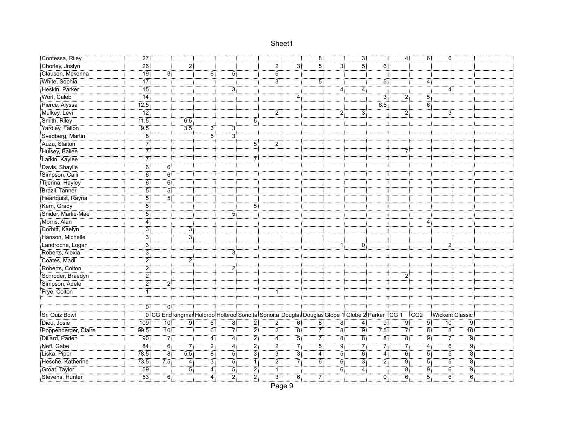| Contessa, Riley                                    | $\overline{27}$ :  |                                                      |                  |                  |                    |                                                                                              |                  |                | $\overline{8}$ |                  | ЗĪ             |                  | -41<br>4         | - 6 -          | 6:                |                   |  |
|----------------------------------------------------|--------------------|------------------------------------------------------|------------------|------------------|--------------------|----------------------------------------------------------------------------------------------|------------------|----------------|----------------|------------------|----------------|------------------|------------------|----------------|-------------------|-------------------|--|
| <br>Chorley, Joslyn!                               | $\overline{26}$    |                                                      |                  |                  |                    |                                                                                              | 2                | 3              | .<br>!5        | -31              |                |                  |                  |                |                   |                   |  |
| Clausen, Mckenna                                   | $\overline{19}$    | 31                                                   |                  | 6                | 5                  |                                                                                              | $\overline{5}$   |                |                |                  |                |                  |                  |                |                   |                   |  |
| White, Sophia                                      | -<br>17            |                                                      |                  |                  |                    |                                                                                              | $\overline{3}$   |                | $\overline{5}$ |                  |                | -51              |                  | 4              |                   |                   |  |
| Heskin, Parker                                     | .<br>: 15          |                                                      |                  |                  | 3                  |                                                                                              |                  |                |                | $\overline{4}$ : | $\overline{4}$ |                  |                  |                |                   |                   |  |
| Worl, Caleb                                        | $\overline{14}$    |                                                      |                  |                  |                    |                                                                                              |                  | 4              |                |                  |                | $\overline{3}$   |                  | 5<br>2:        |                   |                   |  |
| Pierce, Alyssa                                     | 12.5               |                                                      |                  |                  |                    |                                                                                              |                  |                |                |                  |                | 6.5              |                  | $\overline{6}$ |                   |                   |  |
| :: <del>:::::::::::::::::::</del><br>Mulkey, Levi! | $\overline{12}$    |                                                      |                  |                  |                    |                                                                                              | $\overline{2}$   |                |                | $\overline{2}$   | $\overline{3}$ |                  | 21               |                | $\overline{3}$    |                   |  |
| Smith, Riley                                       | 11.5               |                                                      | $-6.5$           |                  |                    | 51                                                                                           |                  |                |                |                  |                |                  |                  |                |                   |                   |  |
| Yardley, Fallon                                    | 9.5                |                                                      | $\overline{3.5}$ | 31               | 3                  |                                                                                              |                  |                |                |                  |                |                  |                  |                |                   |                   |  |
| Svedberg, Martin                                   | $\overline{8}$     |                                                      |                  | $\overline{5}$   | $\overline{3}$     |                                                                                              |                  |                |                |                  |                |                  |                  |                |                   |                   |  |
| Auza, Slaiton                                      |                    |                                                      |                  |                  |                    | 5                                                                                            | 2                |                |                |                  |                |                  |                  |                |                   |                   |  |
| Hulsey, Bailee                                     |                    |                                                      |                  |                  |                    |                                                                                              |                  |                |                |                  |                |                  | 7:               |                |                   |                   |  |
| Larkin, Kaylee                                     | 7                  |                                                      |                  |                  |                    | 7:                                                                                           |                  |                |                |                  |                |                  |                  |                |                   |                   |  |
| Davis, Shaylie                                     | $\overline{6}$     | 6:                                                   |                  |                  |                    |                                                                                              |                  |                |                |                  |                |                  |                  |                |                   |                   |  |
| Simpson, Calli                                     | 6:                 | <br>6                                                |                  |                  |                    |                                                                                              |                  |                |                |                  |                |                  |                  |                |                   |                   |  |
| Tijerina, Hayley                                   | $\overline{6}$     | $\overline{6}$                                       |                  |                  |                    |                                                                                              |                  |                |                |                  |                |                  |                  |                |                   |                   |  |
| Brazil, Tanner                                     | $\overline{5}$     | 5                                                    |                  |                  |                    |                                                                                              |                  |                |                |                  |                |                  |                  |                |                   |                   |  |
| Heartquist, Rayna                                  | $\overline{5}$     | $\overline{5}$                                       |                  |                  |                    |                                                                                              |                  |                |                |                  |                |                  |                  |                |                   |                   |  |
| Kern, Grady                                        | $\overline{5}$     |                                                      |                  |                  |                    | 5:                                                                                           |                  |                |                |                  |                |                  |                  |                |                   |                   |  |
| Snider, Marlie-Mae                                 | <br>5              |                                                      |                  |                  | $\overline{5}$     |                                                                                              |                  |                |                |                  |                |                  |                  |                |                   |                   |  |
| Morris, Alan                                       | $\overline{4}$     |                                                      |                  |                  |                    |                                                                                              |                  |                |                |                  |                |                  |                  | $\overline{4}$ |                   |                   |  |
| Corbitt, Kaelyn                                    | 3                  |                                                      | 3)               |                  |                    |                                                                                              |                  |                |                |                  |                |                  |                  |                |                   |                   |  |
| Hanson, Michelle                                   | $\overline{3}$ :   |                                                      | $\overline{3}$   |                  |                    |                                                                                              |                  |                |                |                  |                |                  |                  |                |                   |                   |  |
| Landroche, Logan                                   | $\overline{3}$ :   |                                                      |                  |                  |                    |                                                                                              |                  |                |                | 1 :              | 0              |                  |                  |                | 2                 |                   |  |
| Roberts, Alexia                                    | $\overline{3}$     |                                                      |                  |                  | $\dddot{3}$        |                                                                                              |                  |                |                |                  |                |                  |                  |                |                   |                   |  |
| Coates, Madi                                       | $\overline{2}$ :   |                                                      | 2 <sup>1</sup>   |                  |                    |                                                                                              |                  |                |                |                  |                |                  |                  |                |                   |                   |  |
| Roberts, Colton                                    | $\overline{2}$     |                                                      |                  |                  | $\overline{2}$     |                                                                                              |                  |                |                |                  |                |                  |                  |                |                   |                   |  |
| Schroder, Braedyn                                  | <br>2              |                                                      |                  |                  |                    |                                                                                              |                  |                |                |                  |                |                  | $\overline{2}$ : |                |                   |                   |  |
| Simpson, Adele                                     | 2                  | 2                                                    |                  |                  |                    |                                                                                              |                  |                |                |                  |                |                  |                  |                |                   |                   |  |
| Frye, Colton                                       |                    |                                                      |                  |                  |                    |                                                                                              |                  |                |                |                  |                |                  |                  |                |                   |                   |  |
|                                                    |                    |                                                      |                  |                  |                    |                                                                                              |                  |                |                |                  |                |                  |                  |                |                   |                   |  |
|                                                    | 0 :                | 0                                                    |                  |                  |                    |                                                                                              |                  |                |                |                  |                |                  |                  |                |                   |                   |  |
| Sr. Quiz Bowl                                      |                    |                                                      |                  |                  |                    | 0 CG End kingmar Holbroo Holbroo Sonoita Sonoita Douglas Douglas Globe 1 Globe 2 Parker CG 1 |                  |                |                |                  |                |                  |                  | <b>CG2</b>     | : Wickent Classic |                   |  |
| :Dieu, Josie                                       | 109                | 10                                                   | ة.<br>!          | őÎ               | $\overline{\bf 8}$ | 21                                                                                           | 2                | $\overline{6}$ | Έő             | ïб               | 4.             | 9:               | 9                | 9:             | 70:               | Ïg                |  |
| Poppenberger, Claire                               | 99.5               | .<br>: 10                                            |                  | őΪ               | 7                  | 21                                                                                           | 21               | ïä             | 71             | Ϊ8               | Ïĝ             | 7.5              |                  | 71<br>ë.       | -81               | $\overline{10}$   |  |
| Dillard, Paden                                     | $90^{\frac{1}{3}}$ | $\begin{array}{c}\n7 \\ 7 \\ \hline\n6\n\end{array}$ |                  | <br>4            | <br>4              | 21                                                                                           | $\overline{4}$ : | $\overline{5}$ | $\frac{7}{5}$  | Έő               | ö⊺             | -81              | $\frac{8}{7}$    | Ï9             | 7                 | $\overline{9}$    |  |
| Neff, Gabe                                         | $\overline{84}$    |                                                      | 71               | 21               | $\overline{4}$     | أح"                                                                                          | 2                | 71             |                | ۽<br>آ           | 7İ             | -7               |                  | .<br>4         | $\overline{6}$    | $\overline{9}$    |  |
| Liska, Piper                                       | 78.5               | -<br>8                                               | $\overline{55}$  | ä.               | $\overline{5}$     | أ∃                                                                                           | зi               | 31             | .<br>: 4       | $\overline{5}$   | $\overline{6}$ | $\overline{4}$ : | $\overline{6}$ : | $\overline{5}$ | $\overline{5}$    | .<br>8:           |  |
| Hesche, Katherine                                  | 73.5               | 75                                                   | $\overline{4}$   | $\overline{3}$ : | $5^{\circ}$        | ï,                                                                                           | $\overline{2}$   | 7              | $\overline{6}$ | 6:               | $\ddot{3}$ :   | $\overline{2}$   | Ï9               | $\overline{5}$ | $\overline{5}$    | $\ddot{\text{8}}$ |  |
| Groat, Taylor                                      | 59.                |                                                      | 5                | .<br>4           | $\overline{5}$     | $\overline{2}$                                                                               | ïÎ               |                |                | $\overline{6}$   | $\overline{4}$ |                  | $\ddot{8}$       | ÿ,             | $\ddot{6}$        | $\overline{9}$    |  |
| Stevens, Hunter                                    | <br>53 :           | $\overline{6}$                                       |                  | $\overline{4}$   | 21                 | <br>2                                                                                        | $\overline{3}$   | 6:             | 71             |                  |                | 0                |                  | 5<br>6:        | $\overline{6}$    | $\overline{6}$    |  |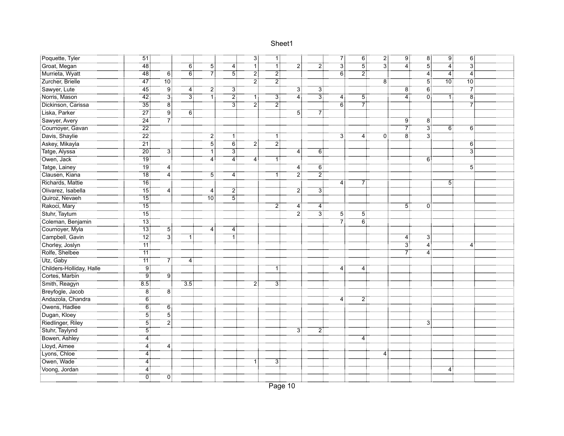| Poquette, Tyler                                           |                  |                         |                  |                |                | ЗĪ               | ٦Ī             |                     |                  | 71               | 6:             | 21                        | ِ ق              | $\overline{8}$ : | 9:             | $\overline{6}$    |  |
|-----------------------------------------------------------|------------------|-------------------------|------------------|----------------|----------------|------------------|----------------|---------------------|------------------|------------------|----------------|---------------------------|------------------|------------------|----------------|-------------------|--|
| :<br>Groat, Megan                                         | $\overline{48}$  |                         | $\overline{6}$   | <br>5          | $\overline{4}$ | -71              |                |                     | -21              | $\overline{3}$ : | $\dddot{5}$    | $\overline{\overline{3}}$ | 4 :              | $\overline{5}$   | 4              | $\dddot{3}$       |  |
| Murrieta, Wyatt                                           | $\overline{48}$  | 6 <sup>3</sup>          | $\overline{6}$   | 7              | $\overline{5}$ | $\overline{2}$   | $\overline{2}$ |                     |                  | $\overline{6}$   | $\overline{2}$ |                           |                  | $\ddot{4}$       | $\overline{4}$ | $\dddot{4}$       |  |
| Zurcher, Brielle                                          | $\overline{47}$  | 10 <sub>1</sub>         |                  |                |                | $\overline{2}$   | $\overline{2}$ |                     |                  |                  |                | $\overline{8}$            |                  | $\overline{5}$   | 70:            | $\overline{10}$ : |  |
| Sawyer, Lute                                              | <br>45           | .<br>! 9                | 4 :              | 21             | $\overline{3}$ |                  |                | 3 <sup>3</sup>      | 3.               |                  |                |                           | $\overline{8}$   | $\ddot{6}$       |                | $\overline{7}$    |  |
| Norris, Mason                                             | .<br>42 ف        | .<br>31                 | †∃               | .<br>1!        | $\overline{2}$ | 1!               | <br>3          | 4                   | $\overline{3}$   | 4:               | 5              |                           | 4                | öİ               | -1             | $\overline{8}$    |  |
| Dickinson, Carissa                                        | $\overline{35}$  | $\overline{8}$          |                  |                | зį             | <br>2            | $\overline{2}$ |                     |                  | $\overline{6}$   | 71             |                           |                  |                  |                | $\overline{7}$    |  |
| Liska, Parker                                             | $\overline{27}$  | ÷<br>! 9                | ΈĨ               |                |                |                  |                | 5!                  | 71               |                  |                |                           |                  |                  |                |                   |  |
| Sawyer, Avery                                             | <br>24 أ         | 71                      |                  |                |                |                  |                |                     |                  |                  |                |                           | 9                | 8                |                |                   |  |
| Cournoyer, Gavan                                          | $\overline{22}$  |                         |                  |                |                |                  |                |                     |                  |                  |                |                           | 7.               | $\overline{3}$   | 6              | 6:                |  |
| Davis, Shaylie                                            | $\overline{22}$  |                         |                  | 2              | 1:             |                  | 1 :            |                     |                  | 31               | 4              | Ö                         | $\overline{8}$   | $\ddot{3}$       |                |                   |  |
| Askey, Mikayla                                            | $\overline{21}$  |                         |                  | $\overline{5}$ | $\overline{6}$ | $\overline{2}$ : | $\overline{2}$ |                     |                  |                  |                |                           |                  |                  |                | $6^{\degree}$     |  |
| Tatge, Alyssa                                             | $\frac{1}{20}$   | 31                      |                  | ΪĪ             | $\overline{3}$ |                  |                | 4                   | 6                |                  |                |                           |                  |                  |                | $\overline{3}$    |  |
| Owen, Jack                                                | <br>19 :         |                         |                  | $\overline{4}$ | <br>4          | 4 :              | 1:             |                     |                  |                  |                |                           |                  | 6                |                |                   |  |
| Tatge, Lainey                                             | <br>19           | 4                       |                  |                |                |                  |                | 4                   | 6:               |                  |                |                           |                  |                  |                | 5                 |  |
| Clausen, Kiana                                            | <br>18           | $\overline{4}$          |                  | 51             | $\overline{4}$ |                  | 1              | $\ddot{\mathbf{2}}$ | $\mathbb{Z}^3_+$ |                  |                |                           |                  |                  |                |                   |  |
| Richards, Mattie                                          | $\overline{16}$  |                         |                  |                |                |                  |                |                     |                  | 4:               | 7              |                           |                  |                  | 5              |                   |  |
| Olivarez, Isabella                                        | -<br>15          | $\overline{4}$          |                  | 4              | $\overline{2}$ |                  |                | $\overline{2}$      | $\overline{3}$   |                  |                |                           |                  |                  |                |                   |  |
| Quiroz, Nevaeh                                            | $\overline{15}$  |                         |                  | 10:            | $\overline{5}$ |                  |                |                     |                  |                  |                |                           |                  |                  |                |                   |  |
| Rakoci, Mary                                              | -<br>15 :        |                         |                  |                |                |                  | 2:             | 4                   | 4:               |                  |                |                           | 5:               | 0                |                |                   |  |
| Stuhr, Taytum                                             | $\overline{15}$  |                         |                  |                |                |                  |                | 21                  | зį               | 5 <sup>1</sup>   | 51             |                           |                  |                  |                |                   |  |
| Coleman, Benjamin                                         | ¨ï3 :̃           |                         |                  |                |                |                  |                |                     |                  | 71               | $\overline{6}$ |                           |                  |                  |                |                   |  |
| Cournoyer, Myla<br>  Cournoyer, Myla<br>  Campbell, Gavin | <br>13           | $\overline{5}$          |                  | 4:             | 4              |                  |                |                     |                  |                  |                |                           |                  |                  |                |                   |  |
|                                                           | <br>12:          | $\overline{3}$          |                  |                |                |                  |                |                     |                  |                  |                |                           | 4                | 3:               |                |                   |  |
| Chorley, Joslyn                                           | $\overline{11}$  |                         |                  |                |                |                  |                |                     |                  |                  |                |                           | $\overline{3}$ : | $\overline{4}$   |                | 4                 |  |
| Rolfe, Shelbee                                            | $\overline{11}$  |                         |                  |                |                |                  |                |                     |                  |                  |                |                           | 7                | 4                |                |                   |  |
| Utz, Gaby                                                 | $\overline{11}$  | $\overline{\mathbf{Z}}$ | 4:               |                |                |                  |                |                     |                  |                  |                |                           |                  |                  |                |                   |  |
| Childers-Holliday, Halle                                  | <br>! 9          |                         |                  |                |                |                  | 1:             |                     |                  | 4:               | 4 :            |                           |                  |                  |                |                   |  |
| Cortes, Marbin                                            | ۽<br>! 9         | ۽<br>! 9                |                  |                |                |                  |                |                     |                  |                  |                |                           |                  |                  |                |                   |  |
| Smith, Reagyn                                             | $\overline{8.5}$ |                         | $\overline{3.5}$ |                |                | 21               | 3              |                     |                  |                  |                |                           |                  |                  |                |                   |  |
| Breyfogle, Jacob                                          | 8                | $\overline{8}$          |                  |                |                |                  |                |                     |                  |                  |                |                           |                  |                  |                |                   |  |
| Andazola, Chandra                                         | Ö.               |                         |                  |                |                |                  |                |                     |                  | 4                | 2:             |                           |                  |                  |                |                   |  |
| Owens, Hadlee                                             | $\overline{6}$   | 6:                      |                  |                |                |                  |                |                     |                  |                  |                |                           |                  |                  |                |                   |  |
| Dugan, Kloey                                              | 5                | $\overline{5}$          |                  |                |                |                  |                |                     |                  |                  |                |                           |                  |                  |                |                   |  |
| Riedlinger, Riley                                         | 51               | $\overline{2}$          |                  |                |                |                  |                |                     |                  |                  |                |                           |                  | 3                |                |                   |  |
| Stuhr, Taylynd                                            | 51               |                         |                  |                |                |                  |                | 3                   | 2.               |                  |                |                           |                  |                  |                |                   |  |
| Bowen, Ashley                                             | 4                |                         |                  |                |                |                  |                |                     |                  |                  | 4              |                           |                  |                  |                |                   |  |
| Lloyd, Aimee                                              | <br>4            | <br>4                   |                  |                |                |                  |                |                     |                  |                  |                |                           |                  |                  |                |                   |  |
| Lyons, Chloe                                              | <br>4            |                         |                  |                |                |                  |                |                     |                  |                  |                | $\overline{4}$            |                  |                  |                |                   |  |
| Owen, Wade                                                | 4                |                         |                  |                |                | 1 :              | 3.             |                     |                  |                  |                |                           |                  |                  |                |                   |  |
| Voong, Jordan                                             | 4                |                         |                  |                |                |                  |                |                     |                  |                  |                |                           |                  |                  | 4              |                   |  |
|                                                           | $\overline{0}$   | ÖÏ                      |                  |                |                |                  |                |                     |                  |                  |                |                           |                  |                  |                |                   |  |
|                                                           |                  |                         |                  |                |                |                  |                |                     |                  |                  |                |                           |                  |                  |                |                   |  |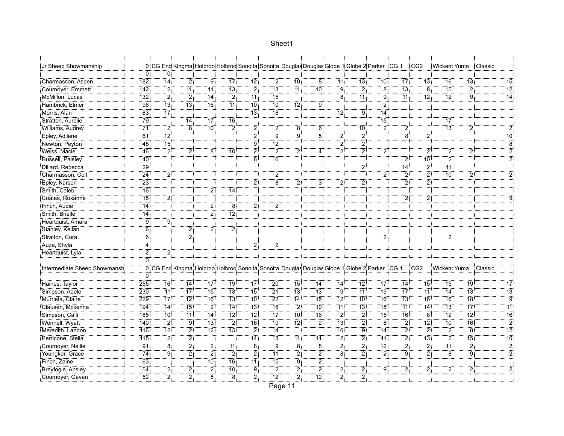| Jr Sheep Showmanship         |                   |                   |                 |                   |                 | 0 CG End Kingmai Holbroo: Holbroo: Sonoita: Sonoita: Douglas Douglas Globe 1: Globe 2: Parker : CG 1 |                      |                   |                   |                   |                  |                 |                  | CG <sub>2</sub>   | Wicken! Yuma      |                 | : Classic       |
|------------------------------|-------------------|-------------------|-----------------|-------------------|-----------------|------------------------------------------------------------------------------------------------------|----------------------|-------------------|-------------------|-------------------|------------------|-----------------|------------------|-------------------|-------------------|-----------------|-----------------|
|                              | $0^{\frac{1}{2}}$ | 0                 |                 |                   |                 |                                                                                                      |                      |                   |                   |                   |                  |                 |                  |                   |                   |                 |                 |
| Charmasson, Aspen            | 182               | $\overline{14}$   | $\overline{2}$  | g:                | -<br>17         | : 12                                                                                                 | $\overline{2}$       | : 10              | $8^{\frac{2}{3}}$ | : 11              | 3:               | : 10            | -<br>17          | _<br>13:          | $\overline{16}$   | $\overline{13}$ | -<br>15         |
| Cournoyer, Emmett            | 142               | $\overline{2}$    | <br>11          | 71                | 13              | 2.                                                                                                   | -<br>13 :            |                   | 10 <sup>3</sup>   | $\overline{9}$    | 21               | $\overline{8}$  | <br>13           | $\overline{8}$    | .<br>15:          | 2:              | $\overline{12}$ |
| McMillon, Lucas              | 132               | $\overline{2}$    | $\overline{2}$  | <br>14            | $\overline{2}$  | 11:                                                                                                  | .<br>! 15            |                   |                   | $\overline{8}$    | <br>11           | $\ddot{9}$      | $\overline{11}$  |                   | $\overline{12}$ : | :<br>! 9        | <br>14          |
| Hambrick, Elmer              | $\overline{96}$   | <br>13            |                 | 16:               | $\overline{11}$ | $\overline{10}$                                                                                      | -<br>10 <del>.</del> | 12                | ÷ۊ־               |                   |                  | $\ddot{2}$      |                  |                   |                   |                 |                 |
| Morris, Alan                 | 83                | <br>17            |                 |                   |                 |                                                                                                      | <br>18 :             |                   |                   | 12:               | 9                | <br>14:         |                  |                   |                   |                 |                 |
| Stratton, Aurelie            | .<br>?9           |                   | <br>14          |                   | 16:             |                                                                                                      |                      |                   |                   |                   |                  | <br>15:         |                  |                   | $\overline{17}$   |                 |                 |
| Williams, Audrey             | <br>71:           | :ّ2               | $\overline{8}$  | <br>10 :          | $\overline{2}$  | $\overline{2}$                                                                                       | $\overline{2}$       | 8                 | 6:                |                   | 10 <sup>1</sup>  | $\overline{2}$  | $\overline{2}$   |                   | <br>13            | 2               |                 |
| Epley, Adilene               | 61                | $\overline{12}$   |                 |                   |                 | $\overline{2}$                                                                                       | .<br>! 9             | : 9               | $\overline{5}$ :  | $\overline{2}$    | 2                |                 | $\overline{8}$   | ゔ                 |                   |                 | <br>10          |
| Newton, Peyton               | <br>48            | ้า5:              |                 |                   |                 | g:                                                                                                   | <br>12               |                   |                   |                   | $\overline{2}$   |                 |                  |                   |                   |                 | Ö.              |
| Weiss, Macie                 | $\frac{1}{46}$    | أ2                | 2 <sup>1</sup>  | $\overline{8}$    | 10 <sub>1</sub> | 21                                                                                                   | أة:                  | 2 <sup>1</sup>    | 4:                | 2                 | 21               | 2 <sub>i</sub>  |                  | 21                | 2 <sup>1</sup>    | 2               |                 |
| Russell, Paisley             | $-40$             |                   |                 |                   |                 | Έő                                                                                                   | $\overline{16}$      |                   |                   |                   |                  |                 | 2:               | 10 <sup>1</sup>   | $\overline{2}$    |                 |                 |
| Dillard, Rebecca             | <br>29            |                   |                 |                   |                 |                                                                                                      |                      |                   |                   |                   | $\overline{2}$   |                 | <br>14           | 2                 | .<br>11-          |                 |                 |
| Charmasson, Colt             | $\overline{24}$   | 2                 |                 |                   |                 |                                                                                                      | $\overline{2}$       |                   |                   |                   |                  | 2.              | -21              | $\overline{2}$ :  | <br>10            |                 |                 |
| Epley, Karson                | <br>23            |                   |                 |                   |                 | 21                                                                                                   | $\overline{8}$       |                   | зî                |                   | 2.               |                 | $\overline{2}$   | $\overline{2}$    |                   |                 |                 |
| Smith, Caleb                 | $\overline{16}$   |                   |                 | 21                | 14              |                                                                                                      |                      |                   |                   |                   |                  |                 |                  |                   |                   |                 |                 |
| Coates, Roxanne              | $\overline{15}$   | $\overline{2}$    |                 |                   |                 |                                                                                                      |                      |                   |                   |                   |                  |                 |                  | 2                 |                   |                 |                 |
| Finch, Audie                 | 14                |                   |                 | 2:                | 8               | 2:                                                                                                   | 2                    |                   |                   |                   |                  |                 |                  |                   |                   |                 |                 |
| Smith, Brielle               | 14 <sup>3</sup>   |                   |                 | <br>21            | $\overline{12}$ |                                                                                                      |                      |                   |                   |                   |                  |                 |                  |                   |                   |                 |                 |
| Heartquist, Amara            | ِّقَ:             | 9                 |                 |                   |                 |                                                                                                      |                      |                   |                   |                   |                  |                 |                  |                   |                   |                 |                 |
| Stanley, Kellan              | 6                 |                   | $\overline{2}$  | $\overline{2}$    | $\overline{2}$  |                                                                                                      |                      |                   |                   |                   |                  |                 |                  |                   |                   |                 |                 |
| Stratton, Cora               | 6                 |                   | $\overline{2}$  |                   |                 |                                                                                                      |                      |                   |                   |                   |                  | 2               |                  |                   | $\overline{2}$    |                 |                 |
| Auza, Shyla                  | 4                 |                   |                 |                   |                 | 2                                                                                                    | 2:                   |                   |                   |                   |                  |                 |                  |                   |                   |                 |                 |
| Heartquist, Lyla             | 2                 | $\overline{2}$    |                 |                   |                 |                                                                                                      |                      |                   |                   |                   |                  |                 |                  |                   |                   |                 |                 |
|                              | 0                 |                   |                 |                   |                 |                                                                                                      |                      |                   |                   |                   |                  |                 |                  |                   |                   |                 |                 |
| Intermediate Sheep Showmansh |                   |                   |                 |                   |                 | 0 CG End Kingmai Holbroo: Holbroo: Sonoita: Sonoita: Douglas Douglas Globe 1: Globe 2: Parker CG 1   |                      |                   |                   |                   |                  |                 |                  | CCG2              | : Wickeni: Yuma   |                 | : Classic       |
|                              |                   |                   |                 |                   |                 |                                                                                                      |                      |                   |                   |                   |                  |                 |                  |                   |                   |                 |                 |
| Haines, Taylor               | 255               | 16:               | -14             | 17 <sup>1</sup>   | 19 <sup>1</sup> | $\overline{17}$                                                                                      | 20 <sup>3</sup>      | 15.               | 14:               | 14:               | -121             | 17 <sup>1</sup> | 14:              | 15:               | <br>15            | 19 <sup>1</sup> | <br>17          |
| Simpson, Adele               | $\overline{230}$  | <br>11            | -<br>17         | -<br>15           | -<br>18         |                                                                                                      | 21.                  | -<br>13 :         | -<br>13 :         | 9:                | -<br>11          | <br>19          | <br>17           | -<br>11           | <br>14            | <br>13          |                 |
| Murrieta, Claire             | 229               | ÷ّ 77             | $\overline{12}$ | 16 <sup>1</sup>   | $\overline{13}$ | $70^{\circ}$                                                                                         | $22\frac{1}{2}$      | 14                | $\overline{15}$   | $72\frac{1}{3}$   | ِ<br>10 آ        |                 | $\overline{13}$  | 16                | $\overline{16}$   | $\overline{18}$ | ÿ               |
| Clausen, Mckenna             | 194               | <br>14            | <br>15          | $\overline{2}$    | $\overline{14}$ | $\overline{13}$                                                                                      | .<br>16:             | $\overline{2}$    | <br>10 :          | $\overline{11}$   | <br>13:          | <br>18          | $\overline{11}$  | $\overline{14}$   | $\overline{13}$   | $\overline{17}$ | $\overline{11}$ |
| Simpson, Calli               | 185               | <br>10 :          | .<br>11:        | $\overline{14}$ : | .<br>12:        | -12:                                                                                                 | -<br>17              | .<br>: 10         | ة<br>: 16         | - 21              | - 21             | -<br>15         | <br>16           | : 8               | $\overline{12}$   | $\overline{12}$ | $\overline{16}$ |
| Wonnell, Wyatt               | $\overline{140}$  | - 21              | : ق.            | -<br>13 :         | أ?"             | $\overline{16}$                                                                                      | <br>19               | $\overline{12}$ : | $\overline{2}$ :  | $\overline{13}$ : | 2                | <br>8           | -21              |                   | .<br>:10          | $\overline{16}$ | $\overline{2}$  |
| Meredith, Landon             | 716               |                   | 21              |                   |                 | 2.                                                                                                   | 14:                  |                   |                   | -<br>10           | Έë,              | 14:             | 2,               | $\overline{2}$    | - 21              | $\dddot{8}$     | $\overline{12}$ |
| Perricone, Stella            | 115               | $\overline{2}$    | أٍ2             |                   |                 | $\overline{14}$ :                                                                                    | 18 <sup>3</sup>      | <br>11 :          | 11                | $\overline{2}$    | <br>2            | 11:             | $\overline{2}$ : | <br>13            | $\overline{2}$    | -<br>15         | <br>10          |
| Cournoyer, Nellie            | <br>91            | $\dddot{\bar{s}}$ | :ّ2             | أ2                | 11:             | : 8                                                                                                  | ڙ ق                  | $\overline{8}$    | -<br>8            | :ّ 2              | .<br>2           | .<br>12 أ       | .<br>21          | $\overline{2}$    | 11:               | $\overline{2}$  | $\overline{2}$  |
| Youngker, Grace              | .<br>74:          | ۽<br>آو           | $\overline{2}$  | <br>2             | - 2             | $\overline{2}$                                                                                       | <br>11:              | $\overline{2}$ :  | $\overline{2}$ :  | $\dddot{8}$       | $\overline{2}$ : | : ج<br>! 2      | ÷ ق              | $\ddot{2}$        | $\ddot{8}$        | ÷ق.             |                 |
| Finch, Zaine                 | $-63$             |                   |                 | 10 <sup>1</sup>   | 16              | ้11 !                                                                                                | $\overline{15}$      | ڙ ق               | $\overline{2}$ :  |                   |                  |                 |                  |                   |                   |                 |                 |
| Breyfogle, Ansley            | $\overline{54}$   | 2                 | 21              | 21                | $10^{\circ}$    | Ï9                                                                                                   | $\overline{2}$       | 2                 | 2.                | 2                 | 2                | ۊ.              | 2.               | $2^{\frac{1}{2}}$ | $\overline{2}$    | 2               |                 |
| Cournoyer, Gavan             | $\overline{52}$   | <br>2             | 21              | ëÎ                | <br>8           | 21                                                                                                   | -72.                 | 21                | $\overline{12}$ : | 21                | 2                |                 |                  |                   |                   |                 |                 |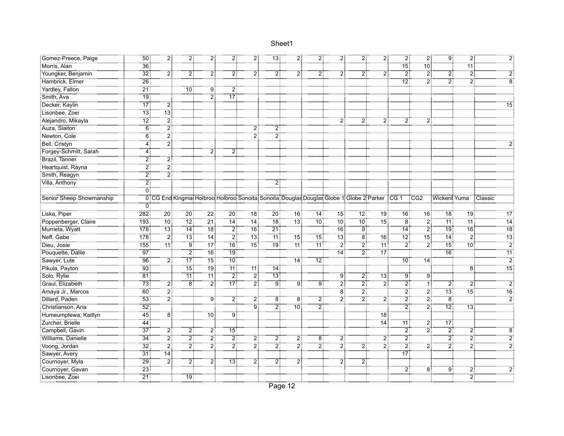| Gomez-Preece, Paige      | 50                | 21                           | 2:              | 2:                           | $\overline{2}$ : | 2:                | 13 <sub>1</sub> | 2:                                                                                                 | 2:                   | 2 <sup>1</sup>     | 21             | $\overline{2}$ : | 2:                  | $\overline{2}$ : | 9:                | 2:                  |                 |
|--------------------------|-------------------|------------------------------|-----------------|------------------------------|------------------|-------------------|-----------------|----------------------------------------------------------------------------------------------------|----------------------|--------------------|----------------|------------------|---------------------|------------------|-------------------|---------------------|-----------------|
| Morris, Alan             | $\overline{36}$   |                              |                 |                              |                  |                   |                 |                                                                                                    |                      |                    |                |                  | <br>15              | ⊤ة.<br>∶10       |                   | 11:                 |                 |
| Youngker, Benjamin       | $\overline{32}$   | 2                            | 21              | 21                           | 2                | 2                 | 21              | 2                                                                                                  | 2                    | 2                  |                | $\overline{2}$ : | $\overline{2}$      | $\overline{2}$   | $\ddot{2}$        | $\overline{2}$      |                 |
| Hambrick, Elmer          | $\overline{26}$   |                              |                 |                              |                  |                   |                 |                                                                                                    |                      |                    |                |                  | $\overline{12}$     | $\overline{2}$   | $\overline{2}$    | $\ddot{\mathbf{2}}$ |                 |
| Yardley, Fallon          | $\overline{21}$   |                              | $10^{\circ}$    | g:                           | $\overline{2}$   |                   |                 |                                                                                                    |                      |                    |                |                  |                     |                  |                   |                     |                 |
| Smith, Ava               | <br>19            |                              |                 | أ2                           | .<br>! 17        |                   |                 |                                                                                                    |                      |                    |                |                  |                     |                  |                   |                     |                 |
| Decker, Kaylin           | -                 | 2                            |                 |                              |                  |                   |                 |                                                                                                    |                      |                    |                |                  |                     |                  |                   |                     | 15              |
| Lisonbee, Zoei           | $\overline{13}$   | -<br>13                      |                 |                              |                  |                   |                 |                                                                                                    |                      |                    |                |                  |                     |                  |                   |                     |                 |
| Alejandro, Mikayla       | 72                | .<br>2                       |                 |                              |                  |                   |                 |                                                                                                    |                      | 2 <sup>1</sup>     | 2              | 2:               | 2                   | 2!               |                   |                     |                 |
| Auza, Slaiton            | $\overline{6}$    | $\overline{2}$               |                 |                              |                  | 2:                | 2               |                                                                                                    |                      |                    |                |                  |                     |                  |                   |                     |                 |
| Newton, Cole             | 6 <sup>3</sup>    | $\overline{2}^{\frac{1}{2}}$ |                 |                              |                  | $\overline{2}$    | $\overline{2}$  |                                                                                                    |                      |                    |                |                  |                     |                  |                   |                     |                 |
| Bell, Cristyn            | $4^{\frac{3}{2}}$ | $\overline{2}$               |                 |                              |                  |                   |                 |                                                                                                    |                      |                    |                |                  |                     |                  |                   |                     |                 |
| Forgey-Schmitt, Sarah    | 4                 |                              |                 | 21                           | 2 <sup>3</sup>   |                   |                 |                                                                                                    |                      |                    |                |                  |                     |                  |                   |                     |                 |
| Brazil, Tanner           | أ2                | 2                            |                 |                              |                  |                   |                 |                                                                                                    |                      |                    |                |                  |                     |                  |                   |                     |                 |
| Heartquist, Rayna        | أ2                | أٍ2                          |                 |                              |                  |                   |                 |                                                                                                    |                      |                    |                |                  |                     |                  |                   |                     |                 |
| Smith, Reagyn            | أ2                | $\overline{2}$ :             |                 |                              |                  |                   |                 |                                                                                                    |                      |                    |                |                  |                     |                  |                   |                     |                 |
| Villa, Anthony           | 21                |                              |                 |                              |                  |                   | 2               |                                                                                                    |                      |                    |                |                  |                     |                  |                   |                     |                 |
|                          | ÖÏ                |                              |                 |                              |                  |                   |                 |                                                                                                    |                      |                    |                |                  |                     |                  |                   |                     |                 |
| Senior Sheep Showmanship |                   |                              |                 |                              |                  |                   |                 | 0 CG End Kingmai Holbrooi Holbrooi Sonoita Sonoita Douglas Douglas Globe 1 Globe 2 Parker CG 1 CG2 |                      |                    |                |                  |                     |                  | Wicken! Yuma      |                     | Classic         |
|                          |                   |                              |                 |                              |                  |                   |                 |                                                                                                    |                      |                    |                |                  |                     |                  |                   |                     |                 |
| Liska, Piper             | 282               | $\overline{20}$ :            | <br>20          | $\overline{2}\overline{2}$ : | $\overline{20}$  | $-18$             | $\frac{1}{20}$  | -<br>16                                                                                            | ۔<br>: 14            | <br>15             | : 12           |                  | 16                  | 16:              | <br>18            | <br>19              | $\overline{17}$ |
| Poppenberger, Claire     | 193               | <br>10                       |                 |                              | $\overline{14}$  | 14:               |                 | ้า3 !                                                                                              | -<br>10 :            | <br>10             | -<br>10 :      | <br>15 :         | $\overline{8}$      | 2,               | <br>11:           | 11:                 | $\overline{14}$ |
| Murrieta, Wyatt          | 178               | -<br>13                      | 14:             | 18 <sup>1</sup>              | $\overline{2}$   | 16:               | 21              |                                                                                                    |                      | <br>16:            | 9!             |                  | 14 <sup>3</sup>     | <br>2            | <br>19            | 16:                 | $\overline{18}$ |
| Neff, Gabe               | $\overline{178}$  | $\overline{2}$               | -<br>13 :       |                              | - 2              | <br>13:           |                 | <br>15 :                                                                                           | <br>15:              | -<br>13            | ïä             | <br>16 :         | $\overline{12}$     | <br>15           | $\overline{14}$   | $\overline{2}$ :    | $\overline{13}$ |
| Dieu, Josie              | 155               | ้า11                         | 9:              | -<br>17                      | 16:              | ำ"ี่              | ้ 19            | <br>11:                                                                                            | -<br>11 <del>.</del> | $\overline{2}$     | :ّ 2           | <br>11           | $\overline{2}$      | $\overline{2}$ : | ___________<br>15 | .<br>10 آ           | $-\frac{2}{2}$  |
| Pouquette, Dallie        | 97                |                              | 21              | 16 <sup>1</sup>              | .<br>: 19        |                   |                 |                                                                                                    |                      | $74$ :             | $\overline{2}$ | ÷<br>17          |                     |                  | .<br>: 16         |                     | $\overline{11}$ |
| Sawyer, Lute             | $\overline{96}$   | 2 <sub>i</sub>               | 17 <sup>1</sup> | $\overline{15}$              | 10               |                   |                 | $\overline{14}$                                                                                    | $\overline{12}$ :    |                    |                |                  | 10:                 | 14:              |                   |                     | $\overline{2}$  |
| Pikula, Payton           | <br>93            |                              | .<br>15!        | <br>19 :                     | $\overline{11}$  | 11 :              | $\overline{14}$ |                                                                                                    |                      |                    |                |                  |                     |                  |                   | $\overline{8}$      | $\overline{15}$ |
| Solo, Rylie              | <br>81            |                              | .<br>11:        | 11:                          | - 21             | .<br>21           | -<br>13 :       |                                                                                                    |                      | <br>ا              | 2              | <br>13 :         | <br>9               | <br>ا            |                   |                     |                 |
| Graul, Elizabeth         | $\overline{73}$   | 2                            | :<br>81         | $\overline{2}$ :             | .<br>17أ         | أِ2ٌ              | ;ّ ق            | .<br>! 9                                                                                           | أ:ق                  | $\bar{2}$          | 2              | $\overline{2}$   | 2                   | ٦İ               | 2                 | 21                  | $\overline{2}$  |
| Amaya Jr., Marcos        | $\overline{60}$   | 2                            |                 |                              |                  |                   |                 |                                                                                                    |                      | $\overline{\bf 8}$ | 2              |                  | 2                   | $\ddot{2}$       | -<br>13           | -<br>15             | $\overline{16}$ |
| Dillard, Paden           | $\overline{53}$   | $\overline{2}$<br>.          |                 | $9^{\frac{1}{2}}$            | $\overline{2}$   | 2:                | 8               | 8                                                                                                  | $\overline{2}$       | :ّ 2               | 2              | $\overline{2}$ : | $\ddot{\text{2}}$ : | $\overline{2}$   | $\overline{8}$    |                     | $\overline{2}$  |
| Christianson, Aria       | $\overline{52}$   |                              |                 |                              |                  | $9^{\frac{1}{2}}$ | $\overline{2}$  | :<br>10                                                                                            | $\overline{2}$       |                    |                |                  | $\overline{2}$ :    | $\overline{2}$   | $\overline{12}$   | 13:                 |                 |
| Humeumptewa, Kaitlyn     | $\overline{45}$   | ïв                           |                 | 10:                          |                  |                   |                 |                                                                                                    |                      |                    |                | $\overline{18}$  |                     |                  |                   |                     |                 |
| Zurcher, Brielle         | 44                |                              |                 |                              |                  |                   |                 |                                                                                                    |                      |                    |                | $\overline{14}$  | .<br>11:            | 21               | -17               |                     |                 |
| Campbell, Gavin          | -<br>37           | ِّ 2َ∶َ                      | 21              | أ2                           | -<br>15          |                   |                 |                                                                                                    |                      |                    |                |                  | $\overline{2}$      | : 2              | - 21              | $\ddot{2}$          |                 |
| Williams, Danielle       | <br>34            | 2                            | 21              | 21                           | 2                | 2.                | 2               | 2                                                                                                  | Ϊ8                   | 2                  |                | 2                | 2                   |                  | $\overline{2}$    | $\overline{2}$ :    |                 |
| Voong, Jordan            | $\overline{32}$   | $\overline{2}$ :             | .<br>21         | ‡ٰ 2                         | $\overline{2}$   | أة:               | :ّ 2            | :ّ 2                                                                                               | ِّ خَ                | .<br>2             | :ّ 2           | أ2               | :ّ 2                | أة:              | .<br>2            | $\ddot{2}$          |                 |
| Sawyer, Avery            | $\overline{31}$   | .<br>14:                     |                 |                              |                  |                   |                 |                                                                                                    |                      |                    |                |                  | $\overline{17}$     |                  |                   |                     |                 |
| Cournoyer, Myla          | 29.               | 2.                           | 21              | 21                           | $\overline{13}$  | $\overline{2}$ :  | 2               | 2                                                                                                  |                      | 21                 | 2.             |                  |                     |                  |                   |                     |                 |
| Cournoyer, Gavan         | $\overline{23}$   |                              |                 |                              |                  |                   |                 |                                                                                                    |                      |                    |                |                  | 2                   | $\overline{8}$   | Ö.                | $\overline{2}$      |                 |
| Lisonbee, Zoei           | $\overline{21}$   |                              | 19 <sup>1</sup> |                              |                  |                   |                 |                                                                                                    |                      |                    |                |                  |                     |                  |                   | 2                   |                 |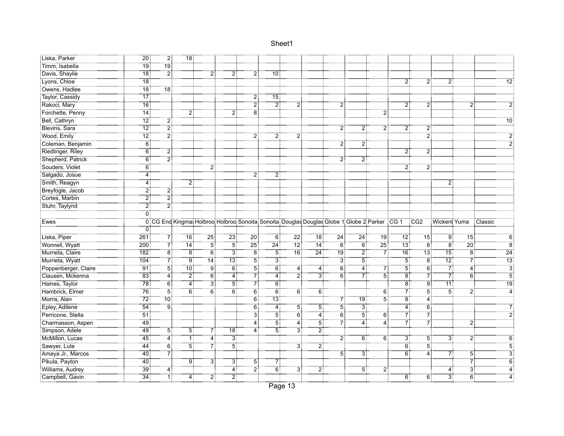| :Liska, Parker       | $\overline{20}$   | $\overline{2}$ .                           |                 |                   |                                                                                                        |                 |                    |                |                  |                    |                |                 |                   |                 |                      |                     |                           |
|----------------------|-------------------|--------------------------------------------|-----------------|-------------------|--------------------------------------------------------------------------------------------------------|-----------------|--------------------|----------------|------------------|--------------------|----------------|-----------------|-------------------|-----------------|----------------------|---------------------|---------------------------|
| Timm, Isabella       | <br>19            | $\frac{1}{19}$                             |                 |                   |                                                                                                        |                 |                    |                |                  |                    |                |                 |                   |                 |                      |                     |                           |
| Davis, Shaylie       | $\overline{18}$   | $\overline{2}$                             |                 | 2                 | 2                                                                                                      | 2 :             | $10^{\frac{1}{3}}$ |                |                  |                    |                |                 |                   |                 |                      |                     |                           |
| Lyons, Chloe         | 18 <sup>1</sup>   |                                            |                 |                   |                                                                                                        |                 |                    |                |                  |                    |                |                 | 2                 | $\ddot{2}$      | $\overline{2}$ :     |                     | 12                        |
| Owens, Hadlee        | .<br>: 18         | $\overline{18}$                            |                 |                   |                                                                                                        |                 |                    |                |                  |                    |                |                 |                   |                 |                      |                     |                           |
| Taylor, Cassidy      | $\overline{17}$   |                                            |                 |                   |                                                                                                        | 2 :             | 15 <sup>1</sup>    |                |                  |                    |                |                 |                   |                 |                      |                     |                           |
| Rakoci, Mary         | 16                |                                            |                 |                   |                                                                                                        | 2               | 2                  | 2              |                  | $\overline{2}$     |                |                 | 2                 | $\overline{2}$  |                      | 2                   |                           |
| Forchette, Penny     | <br>14            |                                            | $\overline{2}$  |                   | 21                                                                                                     | Έő              |                    |                |                  |                    |                | 21              |                   |                 |                      |                     |                           |
| Bell, Cathryn        | <br>12:           | 21                                         |                 |                   |                                                                                                        |                 |                    |                |                  |                    |                |                 |                   |                 |                      |                     | 10                        |
| Blevins, Sara        | $\overline{12}$   | $\overline{2}$ :                           |                 |                   |                                                                                                        |                 |                    |                |                  | 2                  |                | 2               |                   |                 |                      |                     |                           |
| Wood, Emily          | 12 <sup>1</sup>   | $\overline{2}$                             |                 |                   |                                                                                                        | 2!              |                    |                |                  |                    |                |                 |                   | $\overline{2}$  |                      |                     |                           |
| Coleman, Benjamin    | $6^{\frac{1}{3}}$ |                                            |                 |                   |                                                                                                        |                 |                    |                |                  | $\overline{2}$     | 2              |                 |                   |                 |                      |                     |                           |
| Riedlinger, Riley    | ő.                | 2                                          |                 |                   |                                                                                                        |                 |                    |                |                  |                    |                |                 | $2^{\frac{1}{2}}$ | 2:              |                      |                     |                           |
| Shepherd, Patrick    | 6                 | .<br>21                                    |                 |                   |                                                                                                        |                 |                    |                |                  | $\overline{c}$     | $\mathbf{2}$   |                 |                   |                 |                      |                     |                           |
| Souders, Violet      | 6                 |                                            |                 | 21                |                                                                                                        |                 |                    |                |                  |                    |                |                 | 2!                | 2:              |                      |                     |                           |
| Salgado, Josue       | 4                 |                                            |                 |                   |                                                                                                        | $\overline{2}$  | 2                  |                |                  |                    |                |                 |                   |                 |                      |                     |                           |
| Smith, Reagyn        | 4                 |                                            | ヮ               |                   |                                                                                                        |                 |                    |                |                  |                    |                |                 |                   |                 |                      |                     |                           |
| Breyfogle, Jacob     | 21                | 2                                          |                 |                   |                                                                                                        |                 |                    |                |                  |                    |                |                 |                   |                 |                      |                     |                           |
| Cortes, Marbin       | $\overline{2}$    | :ِّ 2                                      |                 |                   |                                                                                                        |                 |                    |                |                  |                    |                |                 |                   |                 |                      |                     |                           |
| Stuhr, Taylynd       | 21                | <br>2                                      |                 |                   |                                                                                                        |                 |                    |                |                  |                    |                |                 |                   |                 |                      |                     |                           |
|                      | öİ                |                                            |                 |                   |                                                                                                        |                 |                    |                |                  |                    |                |                 |                   |                 |                      |                     |                           |
|                      |                   |                                            |                 |                   |                                                                                                        |                 |                    |                |                  |                    |                |                 |                   |                 |                      |                     |                           |
| Ewes                 |                   |                                            |                 |                   | 0 CG End Kingmat Holbroot Holbroot Sonoita: Sonoita: Douglas Douglas Globe 1: Globe 2: Parker CG 1 CG2 |                 |                    |                |                  |                    |                |                 |                   |                 | : Wickent Yuma       |                     | : Classic                 |
|                      | 0                 |                                            |                 |                   |                                                                                                        |                 |                    |                |                  |                    |                |                 |                   |                 |                      |                     |                           |
| Liska, Piper         | 261               | 71                                         | <br>16          | $\overline{25}$   | 23:                                                                                                    | <br>20          | 6:                 | -22            | 18:              | $24^{\frac{1}{2}}$ | 24:            | 19:             | 72                | 15:             | $\overline{9}$       | <br>15              |                           |
| Wonnell, Wyatt       | 200               | 7                                          | <br>14          | 51                | 51                                                                                                     | $\overline{25}$ | $^{24}$            | $12$ :         | 14               | 6:                 | 6:             | 25 <sup>1</sup> | -<br>13 :         | $\overline{8}$  | $\overline{8}$       | 20                  | $\rm 8$                   |
| Murrieta, Claire     | 182               | $\overline{8}$                             | $\overline{8}$  | $6^{\frac{1}{3}}$ | $\overline{3}$                                                                                         | $\overline{8}$  | $\overline{5}$     | .<br>16        | $\overline{24}$  | .<br>! 19          | $\overline{2}$ | 7               | $\overline{16}$   | $73\frac{1}{3}$ | $\overline{15}$      | $\rm 8$             | $\overline{24}$           |
| Murrieta, Wyatt      | 104               |                                            | ‡ۊ              | 14:               | ïï"                                                                                                    | 51              | зļ                 |                |                  | $\overline{3}$     | $\overline{5}$ |                 | 5                 | $\overline{8}$  | $\overline{12}$      | 7 <sup>1</sup>      | $\overline{13}$           |
| Poppenberger, Claire | -91               | $\begin{array}{c} 7 \\ 7 \\ 5 \end{array}$ | $\overline{10}$ | <br>! 9           | $\overline{6}$                                                                                         | <br>5           | <br>6              | 4              | 4                | $\overline{6}$     | 4              | 7               | <br>5             | $\overline{6}$  | $\bar{\bar{7}}$      | 4                   | $\overline{\overline{3}}$ |
| Clausen, Mckenna     | $\overline{83}$   | $\overline{4}$ :                           | أ2"             | <br>6             | <br>4                                                                                                  | †7⊤             | $\overline{4}$     | أ7:            | $\overline{3}$   | őÎ                 | -71            | $\dddot{5}$     | -<br>8            | 7               | - 71                 | $\overline{6}$      | $\dddot{5}$               |
| Haines, Taylor       | .<br>?78          | $\overline{6}$                             | $\overline{4}$  | <br>3             | <br>5                                                                                                  | 71              | $\overline{6}$     |                |                  |                    |                |                 | ïä                | <br>9           | <br>11:              |                     | 19                        |
| Hambrick, Elmer      | 76                | <br>5                                      | 6               | ő.                | $\overline{6}$                                                                                         | ő:              | ö.                 | 6              | ö.               |                    |                | $\overline{6}$  |                   | 5               | $\overline{5}$       | 2                   | $\dddot{a}$               |
| Morris, Alan         | 72                | $\overline{10}$                            |                 |                   |                                                                                                        | 6:              | $\overline{13}$    |                |                  | 71                 |                | $\overline{5}$  | $\overline{8}$    | $\overline{4}$  |                      |                     |                           |
| Epley, Adilene       | $\overline{54}$   | $9^{\ddagger}$                             |                 |                   |                                                                                                        | 6:              | $4^{\frac{1}{2}}$  | $\overline{5}$ | 51               | $\overline{5}$     | ЗĪ             |                 | 4:                | $\overline{6}$  |                      |                     |                           |
| Perricone, Stella    | $\overline{51}$   |                                            |                 |                   |                                                                                                        | 31              | 5                  | $\overline{6}$ | $\ddot{4}$       | $\ddot{6}$         | 51             | $6^{\circ}$     | $\overline{7}$    | 7               |                      |                     |                           |
| Charmasson, Aspen    | 49                |                                            |                 |                   |                                                                                                        | 4               | 5                  | <br>4          | $\overline{5}$   | 7                  | 4              | 4               | 7                 | 7               |                      | $\overline{2}$      |                           |
| Simpson, Adele       | <br>49 :          | <br>5                                      | 5               | 71                | $\overline{18}$ :                                                                                      |                 | 5                  | $\overline{3}$ | $\overline{2}$ : |                    |                |                 |                   |                 |                      |                     |                           |
| McMillon, Lucas      | —<br>45           | $\dddot{4}$                                | 1               | <br>4             | $\overline{3}$                                                                                         |                 |                    |                |                  | $\overline{2}$     | $6^{\circ}$    | Ö.              | ЗĪ                | 5.              | $\dddot{\textbf{3}}$ | $\overline{2}$      |                           |
| Sawyer, Lute         | <br>44            | $\overline{6}$                             | <br>5           | 71                | 5                                                                                                      |                 |                    | 31             | ِ أَ2            |                    |                |                 | 6 <sup>3</sup>    | <br>5           |                      |                     |                           |
| Amaya Jr., Marcos    | $\overline{40}$   | -71                                        |                 |                   |                                                                                                        |                 |                    |                |                  | 5                  | 3              |                 | $\overline{6}$    | .<br>4          | 7                    | $\overline{5}$      |                           |
| Pikula, Payton       | 40                |                                            | 9               | 31                | 31                                                                                                     | 5 <sup>1</sup>  | 71                 |                |                  |                    |                |                 |                   |                 |                      | 7                   |                           |
| Williams, Audrey     | -39<br><br>34     | 4<br>ΤŤ                                    |                 | 21                | 4<br>21                                                                                                | 21              | $\overline{6}$     | 3              | 21               |                    | 5 <sup>1</sup> | $\overline{2}$  |                   |                 | 4<br>$\ddot{3}$      | 3<br>$\overline{6}$ |                           |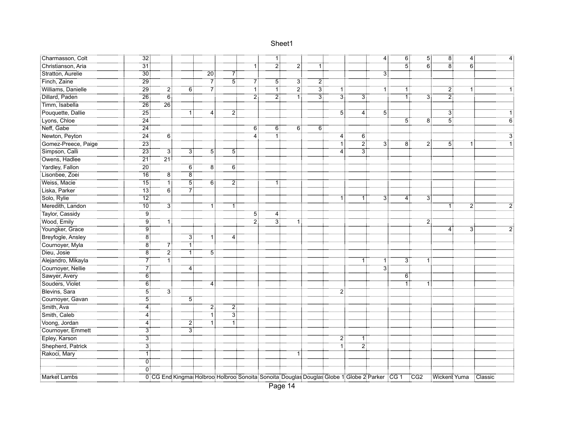| Charmasson, Colt    | $\overline{32}$ |                                                                                                  |                |                  |                |             | ΪŢ             |    |                |                  |                | $\overline{4}$ : | $6$ :          | $\overline{5}$ : | $\overline{8}$ :     | $\overline{4}$ : |   |
|---------------------|-----------------|--------------------------------------------------------------------------------------------------|----------------|------------------|----------------|-------------|----------------|----|----------------|------------------|----------------|------------------|----------------|------------------|----------------------|------------------|---|
|                     | $\overline{31}$ |                                                                                                  |                |                  |                | -11         |                |    |                |                  |                |                  | - 51           | - 61             | <br>8                | $\dddot{6}$      |   |
| Stratton, Aurelie   | 30 <sup>3</sup> |                                                                                                  |                | $\overline{20}$  | 7              |             |                |    |                |                  |                | $\overline{3}$   |                |                  |                      |                  |   |
| Finch, Zaine        | 29 <sub>1</sub> |                                                                                                  |                | -71              | $\overline{5}$ | $7^{\circ}$ | $\overline{5}$ | ЗÏ | $\overline{2}$ |                  |                |                  |                |                  |                      |                  |   |
| Williams, Danielle  | .<br>! 29       | 2                                                                                                | $\overline{6}$ | 7                |                | 1           | ٦İ             | 2  | $\overline{3}$ | 1:               |                | -1               | 1              |                  | 2:                   | 1:               |   |
| Dillard, Paden      | $\overline{26}$ | $\overline{6}$                                                                                   |                |                  |                | 21          | أ2             | 1  | $\overline{3}$ | $\overline{3}$ : | зį             |                  | 1              | 31               | $\overline{2}$       |                  |   |
| Timm, Isabella      | 26              | 26                                                                                               |                |                  |                |             |                |    |                |                  |                |                  |                |                  |                      |                  |   |
| Pouquette, Dallie   | $\overline{25}$ |                                                                                                  |                | 4:               | $\overline{2}$ |             |                |    |                | 51               | 4:             | $\overline{5}$   |                |                  | $\overline{3}$       |                  |   |
| Lyons, Chloe        | $\overline{24}$ |                                                                                                  |                |                  |                |             |                |    |                |                  |                |                  | $\overline{5}$ | 8                | $\dddot{5}$          |                  | 6 |
| Neff, Gabe          | $\frac{1}{24}$  |                                                                                                  |                |                  |                | 6:          | 6:             | 6  | ö.             |                  |                |                  |                |                  |                      |                  |   |
| Newton, Peyton      | $^{74}$         | $\overline{6}$                                                                                   |                |                  |                | 4           | ٦î             |    |                | 4                | 6              |                  |                |                  |                      |                  |   |
| Gomez-Preece, Paige | $\overline{23}$ |                                                                                                  |                |                  |                |             |                |    |                | : 1              | $\overline{2}$ | 3                | Ö.             | 2                | 51                   | 1.               |   |
| Simpson, Calli      | $\overline{23}$ | зį                                                                                               | 3:             | 5 <sup>1</sup>   | $\overline{5}$ |             |                |    |                | 4                | $\overline{3}$ |                  |                |                  |                      |                  |   |
| Owens, Hadlee       | $\overline{21}$ |                                                                                                  |                |                  |                |             |                |    |                |                  |                |                  |                |                  |                      |                  |   |
| Yardley, Fallon     | ِّ 20           |                                                                                                  | 6 :            | $\overline{8}$ : | 6:             |             |                |    |                |                  |                |                  |                |                  |                      |                  |   |
| Lisonbee, Zoei      |                 | Έö                                                                                               | ïä             |                  |                |             |                |    |                |                  |                |                  |                |                  |                      |                  |   |
| Weiss, Macie        | $\overline{15}$ | أآ                                                                                               | 5              | 6                | $\overline{2}$ |             |                |    |                |                  |                |                  |                |                  |                      |                  |   |
| Liska, Parker       | 73              | $\begin{matrix} 6 \\ 6 \end{matrix}$                                                             |                |                  |                |             |                |    |                |                  |                |                  |                |                  |                      |                  |   |
| Solo, Rylie         | $\overline{12}$ |                                                                                                  |                |                  |                |             |                |    |                |                  | 1 :            | $\overline{3}$   | 4              | 3 <sup>3</sup>   |                      |                  |   |
| Meredith, Landon    | $\overline{10}$ | $\overline{3}$                                                                                   |                | 1:               | $\mathbf{1}$   |             |                |    |                |                  |                |                  |                |                  |                      | $\overline{2}$   |   |
| Taylor, Cassidy     | †و⊤<br>!        |                                                                                                  |                |                  |                | 5:          | 4:             |    |                |                  |                |                  |                |                  |                      |                  |   |
| Wood, Emily         |                 | $\overline{9}$<br>ΠŢ                                                                             |                |                  |                | أٍ 7        | 31             |    |                |                  |                |                  |                | 2:               |                      |                  |   |
| Youngker, Grace     |                 | ۽<br>! 9                                                                                         |                |                  |                |             |                |    |                |                  |                |                  |                |                  | 4                    | 3                |   |
| Breyfogle, Ansley   |                 | $\overline{8}$                                                                                   | 3:             | $\mathbf{1}$     | 4:             |             |                |    |                |                  |                |                  |                |                  |                      |                  |   |
| Cournoyer, Myla     |                 | ïв<br>71                                                                                         | ٦.             |                  |                |             |                |    |                |                  |                |                  |                |                  |                      |                  |   |
| <br>Dieu, Josie     | $\overline{8}$  | $\overline{2}$                                                                                   |                | $\overline{5}$   |                |             |                |    |                |                  |                |                  |                |                  |                      |                  |   |
| Alejandro, Mikayla  |                 | $\vec{1}$<br>7                                                                                   |                |                  |                |             |                |    |                |                  |                | 11               | 3:             |                  |                      |                  |   |
| Cournoyer, Nellie   |                 | $7^\circ$                                                                                        | 4              |                  |                |             |                |    |                |                  |                | :<br>3           |                |                  |                      |                  |   |
| Sawyer, Avery       |                 | <br>6                                                                                            |                |                  |                |             |                |    |                |                  |                |                  | $\ddot{6}$     |                  |                      |                  |   |
| Souders, Violet     |                 | <br>6                                                                                            |                | <br>4            |                |             |                |    |                |                  |                |                  | 1              | 1                |                      |                  |   |
| Blevins, Sara       |                 | $\overline{5}$<br>$\overline{3}$                                                                 |                |                  |                |             |                |    |                | 2                |                |                  |                |                  |                      |                  |   |
| Cournoyer, Gavan    |                 | $5^{\circ}$                                                                                      | $5^{\circ}$    |                  |                |             |                |    |                |                  |                |                  |                |                  |                      |                  |   |
| Smith, Ava          |                 | 4:                                                                                               |                | 21               | 21             |             |                |    |                |                  |                |                  |                |                  |                      |                  |   |
| Smith, Caleb        | 4               |                                                                                                  |                | ٦İ               | $\overline{3}$ |             |                |    |                |                  |                |                  |                |                  |                      |                  |   |
| Voong, Jordan       | 4               |                                                                                                  | 2              | 1                | 1:             |             |                |    |                |                  |                |                  |                |                  |                      |                  |   |
| Cournoyer, Emmett   |                 | ِ أَ3                                                                                            | $\overline{3}$ |                  |                |             |                |    |                |                  |                |                  |                |                  |                      |                  |   |
| Epley, Karson       |                 | $\overline{3}$                                                                                   |                |                  |                |             |                |    |                | 2                | 1 :            |                  |                |                  |                      |                  |   |
| Shepherd, Patrick   |                 | <br>3                                                                                            |                |                  |                |             |                |    |                | ïï               | :ّ 2           |                  |                |                  |                      |                  |   |
| Rakoci, Mary        |                 | $\vec{1}$                                                                                        |                |                  |                |             |                |    |                |                  |                |                  |                |                  |                      |                  |   |
|                     |                 | $\overline{0}$ :                                                                                 |                |                  |                |             |                |    |                |                  |                |                  |                |                  |                      |                  |   |
|                     |                 | ÖÏ                                                                                               |                |                  |                |             |                |    |                |                  |                |                  |                |                  |                      |                  |   |
| Market Lambs        |                 | 0 CG End Kingmat Holbroo Holbroo Sonoita Sonoita Douglas Douglas Globe 1 Globe 2 Parker CG 1 CG2 |                |                  |                |             |                |    |                |                  |                |                  |                |                  | Wicken! Yuma Classic |                  |   |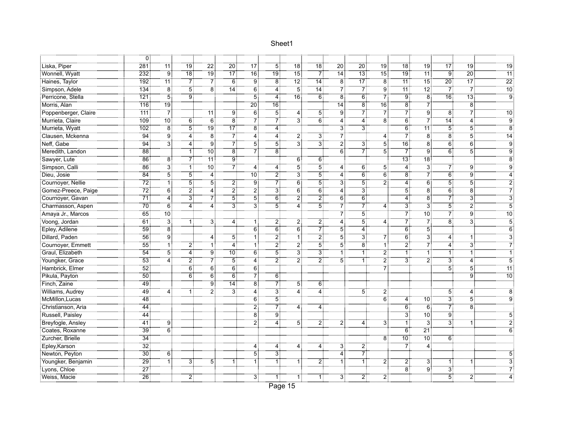|                      | $\overline{0}$   |                             |                   |                    |                    |                |                   |                   |                  |                 |                |                     |                   |                   |                      |                   |                 |
|----------------------|------------------|-----------------------------|-------------------|--------------------|--------------------|----------------|-------------------|-------------------|------------------|-----------------|----------------|---------------------|-------------------|-------------------|----------------------|-------------------|-----------------|
| Liska, Piper         | $\overline{281}$ | <br>11                      | 79                | <br>22             | $\overline{20}$    | <br>17         | 5                 | <br>18            | $78^{\circ}$     | <br>20          | <br>20         | <br>19              | <br>18            | $\overline{19}$   | <br>17               | 19                | <br>19          |
| Wonnell, Wyatt       | 232              | $\overline{9}$              | <br>18            | <br>19 :           | $\overline{17}$    | 16.            | <br>19            | $\overline{15}$ : | $\overline{7}$ : | $\overline{14}$ | :ّة⊺           | $\overline{15}$     | <br>19            | $\overline{11}$   | $\ddot{9}$           | $\overline{20}$   | $\overline{11}$ |
| Haines, Taylor       | 192              | $\overline{11}$             | 7                 | 7                  | 6 <sup>1</sup>     | 9:             | $\overline{8}$    | 12:               | $\overline{14}$  | $\overline{8}$  | .<br>17 أ      | $\overline{8}$      | $\overline{11}$   | 15 <sub>1</sub>   | 20:                  | $\overline{17}$   | $\overline{22}$ |
| Simpson, Adele       | 134              | $\overline{8}$              | $\overline{5}$    | $\overline{8}$     | .<br>14 آ          | $\overline{6}$ | <br>4             | $\overline{5}$    | .<br>14:         | 7               | 7              | ژق                  | <br>11:           | $\overline{12}$   | $\overline{7}$       | $\overline{7}$    | $\overline{10}$ |
| Perricone, Stella    | $\overline{121}$ | $\overline{5}$              | ÷                 |                    |                    | $\overline{5}$ | 4                 | $\overline{16}$   | $-6$             | -<br>81         | $\overline{6}$ | $\overline{7}$      | ÷ ق               | $\ddot{8}$        | $\overline{16}$      | $\overline{13}$ : |                 |
| Morris, Alan         | 716              | ้19 !                       |                   |                    |                    | <br>20         | 16:               |                   |                  | <br>14          | Έõ             | $\overline{16}$     | ë.                | 71                |                      | $\overline{8}$    |                 |
| Poppenberger, Claire | -                | .<br>71                     |                   | 11:                | Ï9                 |                | 5                 | 4                 | $\overline{5}$   | †ۊ              | 71             | 71                  | 71                | $\overline{9}$    | $\overline{8}$       | 71                | $\overline{10}$ |
| Murrieta, Claire     | 109              | : 10°                       | 6                 | ő.                 | $\overline{8}$     | 71             | 7                 | ЗÏ                | $\overline{6}$   | 4               | 4              | ë:                  | 6:                | 71                | 14:                  | <br>4             | Ö.              |
| Murrieta, Wyatt      | 102              | $\overline{\phantom{a}8}^1$ | 51                | <br>19             | $\overline{17}$    | <br>8          | $\overline{4}$    |                   |                  | $\ddot{3}$      | 3              |                     | $\ddot{6}$        | <br>11:           | $\overline{5}$       | 5                 | $\dddot{8}$     |
| Clausen, Mckenna     | $\overline{94}$  | : 9                         | $\overline{4}$    | $\overline{8}$     | -71                | $\overline{4}$ | 4                 | 2                 | $\overline{3}$ : | $7^{\circ}$     |                | $\overline{4}$      | $7^{\circ}$       | $\overline{8}$    | $\ddot{8}$           | $\overline{5}$    | $\overline{14}$ |
| Neff, Gabe           | $\overline{94}$  | $\overline{3}$              | 41                | Ï9                 | $\overline{7}$     | 5              | $5^{\frac{2}{3}}$ | 3                 | $\overline{3}$   | 2               | 3              | $\overline{5}$      | 16 <sup>1</sup>   | $\overline{8}$    | $\ddot{6}$           | $\overline{6}$    | $\ddot{9}$      |
| Meredith, Landon     | $\overline{88}$  |                             |                   | $10^{\frac{1}{3}}$ | $\overline{8}$     | 71             | 8 <sup>3</sup>    |                   |                  | $\overline{6}$  | 7              | 5                   | 71                | ÷ة                | $\overline{6}$       | $\overline{5}$ :  | g               |
| Sawyer, Lute         | $\overline{86}$  | ïä                          | 71                | 11:                | أو                 |                |                   | 6                 | $\overline{6}$   |                 |                |                     | $\overline{13}$ : | 18 <sup>1</sup>   |                      |                   |                 |
| Simpson, Calli       | $\overline{86}$  | ë.                          | <br>1             | -<br>10 :          | أ7"                | 4:             | 4                 | 51                | <br>5            | 4               | 6:             | 51                  | $\overline{4}$ :  | зi                | 71                   | 9:                |                 |
| Dieu, Josie          | <br>84           | <br>5                       | <br>5             | 4                  |                    | .<br>: 10      | $\ddot{\text{2}}$ | 3.                | $\overline{5}$ : | <br>4           | $\overline{6}$ | $\ddot{6}$          | $\overset{}{8}$   | 7                 | $\ddot{6}$           | $\overline{9}$    |                 |
| Cournoyer, Nellie    | $\overline{72}$  | ٦İ                          | 51                | 51                 | $\overline{2}$     | ؛ ق            | 7                 | ő.                | $\overline{5}$   | $\ddot{3}$      | 5              | $\ddot{\mathbf{2}}$ | ï.,               | $\ddot{6}$        | $\overline{5}$       | 5                 |                 |
| Gomez-Preece, Paige  | 72               | $\overline{6}$              | $\overline{2}$    | 4 i                | $\overline{2}$     | $\overline{2}$ | ЗĪ                | 6                 | $\overline{6}$   | 4               | ЗÎ             |                     | 5:                | $\overline{8}$    | 6 <sup>3</sup>       | $\overline{8}$    |                 |
| Cournoyer, Gavan     | $\overline{71}$  | $\overline{4}$              | $\overline{3}$    |                    | $\overline{5}$     | $\overline{5}$ | $\overline{6}$    | $\overline{2}$ :  | $\overline{2}$ : | $\overline{6}$  | $\overline{6}$ |                     | 4                 | $\overline{8}$    | $\overline{7}$       | $\overline{3}$    |                 |
| Charmasson, Aspen    | $\overline{70}$  | $\overline{6}$              | 4                 | 4:                 | <br>3              | <br>3          | 5                 | 4 :               | $\overline{5}$ : | 7               | 7              | 4                   | зį                | зi                | $\overline{5}$       | :ّ 2              | 5               |
| Amaya Jr., Marcos    | $\overline{65}$  | $\overline{10}$ :           |                   |                    |                    |                |                   |                   |                  | 71              | <br>5          |                     | $7^{\ddagger}$    | $\overline{10}$ : | $7^{\ddagger}$       | <br>9             | 10              |
| Voong, Jordan        | $\overline{61}$  | <br>3                       | 1:                | ∱"                 | <br>4              | тİ             | 2)                | 21                | $\overline{2}$ : | <br>4           | <br>5          | $\overline{4}$      | 71                | 7.                | $\ddot{\phantom{0}}$ | <br>3             | 5               |
| Epley, Adilene       | 59               | $\overline{8}$              |                   |                    |                    | 6              | $\overline{6}$    | $\overline{6}$    | 7Ì               | 5               | <br>4          |                     | 6                 | <br>5             |                      |                   | 6               |
| Dillard, Paden       | <br>56           | .<br>! g                    |                   | 4                  | 5                  | ΪÎ             | 2                 | ٦İ                | $\overline{2}$ : | :<br>5          | 31             | 7                   | $\overline{6}$    | зİ                | 4                    | 1:                | $\dddot{3}$     |
| Cournoyer, Emmett    | 55               | ٦î                          | 21                | 1:                 | 4                  | ٦ī             | 2                 | 21                | $\overline{5}$ : | $\overline{5}$  | $\overline{8}$ | Ϊİ                  | $\overline{2}$    | 71                | $\overline{4}$ :     | $\overline{3}$    | $\dddot{7}$     |
| Graul, Elizabeth     | $\overline{54}$  | $\overline{5}$              | $4^{\frac{1}{2}}$ | gị                 | $10^{\frac{1}{3}}$ | $\overline{6}$ | 5                 | $\overline{3}$    | $\overline{3}$   | ï,              |                | $\overline{2}$      | ïİ                | ï                 | ÏĪ.                  | ï.                |                 |
| Youngker, Grace      | 53               | 4                           | 21                | 71                 | $\overline{5}$     | 4              | 2                 | 2                 | $\overline{2}$ : | $\overline{5}$  |                | $\overline{2}$      | 3Ī                | $\ddot{2}$        | $\ddot{3}$           | 4:                | Ï,              |
| Hambrick, Elmer      | $\overline{52}$  |                             | $\overline{6}$    | $\vec{6}$          | ة<br>: 6           | $\overline{6}$ |                   |                   |                  |                 |                | 7                   |                   |                   | $\dddot{5}$          | 5                 | 11              |
| Pikula, Payton       | <br>50           |                             | <br>6             | <br>6              | <br>6              | 7              | őÎ                |                   |                  |                 |                |                     |                   |                   |                      | : ق               | <br>10          |
| Finch, Zaine         | 49               |                             |                   | ïë                 | $\overline{14}$    | ïä             | 7                 | 51                | őÎ               |                 |                |                     |                   |                   |                      |                   |                 |
| Williams, Audrey     | 49               | 4                           |                   | 21                 | <br>3              | $\overline{4}$ | 3                 | 4                 | <br>4            |                 | 51             | 2                   |                   |                   | $\overline{5}$       | 4                 | 8               |
| McMillon, Lucas      | $-48$            |                             |                   |                    |                    | Έ              | $\overline{5}$    |                   |                  |                 |                | $\overline{6}$      | 4                 | 70                | $\overline{3}$       | 5                 | ö               |
| Christianson, Aria   | 44               |                             |                   |                    |                    | $\overline{2}$ | 71                | 4                 | 4:               |                 |                |                     | 6                 | 6:                | $7^{\circ}$          | $\overline{8}$    |                 |
| Russell, Paisley     | $\frac{1}{44}$   |                             |                   |                    |                    | $\overline{8}$ | Ï9                |                   |                  |                 |                |                     | з.                | 10:               | $\ddot{9}$           |                   |                 |
| Breyfogle, Ansley    | <br>41           | <br>9                       |                   |                    |                    | أ?             | $\overline{4}$    | 5 <sup>1</sup>    | 21               | $\overline{2}$  | 4              | 3                   | آآ                | $\ddot{3}$        | $\ddot{\textbf{3}}$  | 1:                |                 |
| Coates, Roxanne      | $\overline{39}$  | $\overline{6}$              |                   |                    |                    |                |                   |                   |                  |                 |                |                     | 6                 | $\overline{21}$   |                      |                   |                 |
| Zurcher, Brielle     | <br>34           |                             |                   |                    |                    |                |                   |                   |                  |                 |                | $\overline{8}$      | $\overline{10}$   | $\overline{10}$ : | $\overline{6}$       |                   |                 |
| Epley, Karson        | <br>32 :         |                             |                   |                    |                    | 4              | 4                 | 4                 | $\overline{4}$   | $\overline{3}$  | أ2             |                     | - 71              | <br>4             |                      |                   |                 |
| Newton, Peyton       | $\overline{30}$  | $\overline{6}$              |                   |                    |                    | 5              | $\overline{3}$    |                   |                  | <br>4           | 7              |                     |                   |                   |                      |                   |                 |
| Youngker, Benjamin   | $\overline{29}$  | ï.                          | 3:                | $\overline{5}$ :   | 1 :                | ï,             | 1                 | 1 :               | 2.               | 1 :             | ŦŦ             | $\ddot{2}$          | 2:                | 3:                | 1:                   |                   |                 |
| Lyons, Chloe         | $\overline{27}$  |                             |                   |                    |                    |                |                   |                   |                  |                 |                |                     | $\ddot{8}$        | $\ddot{9}$        | $\ddot{3}$           |                   |                 |
| Weiss, Macie         | $\overline{26}$  |                             | 2 <sup>1</sup>    |                    |                    | 3 <sup>1</sup> | 1                 | 1                 | 1 :              | 3 <sup>1</sup>  | 21             | 2                   |                   |                   | 5                    | 2.                |                 |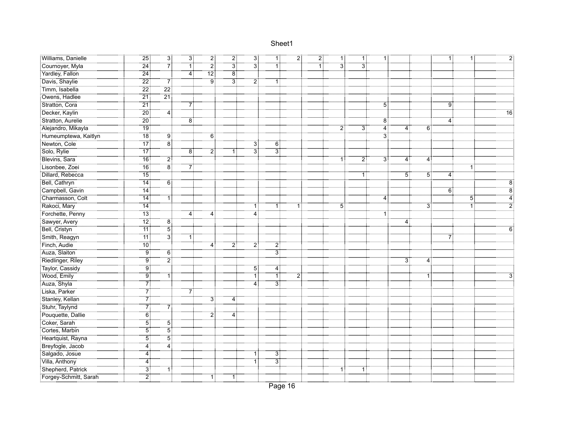| Williams, Danielle                                  | $\frac{1}{25}$    | $\overline{3}$ :                                  | 31             | $\overline{2}$ .  | 21             | ЗĪ             | ΠŢ               | $\overline{2}$ : | $\overline{2}$ : | 11               | 1:  | 1:                        |                |                  | 1:             | 11             |    |
|-----------------------------------------------------|-------------------|---------------------------------------------------|----------------|-------------------|----------------|----------------|------------------|------------------|------------------|------------------|-----|---------------------------|----------------|------------------|----------------|----------------|----|
| Cournoyer, Myla                                     | $\overline{24}$   | $\begin{array}{c}\n7 \\ 7\n\end{array}$           | .<br>1:        | $\overline{2}$ :  | ----<br>3      | зi             | ٦Î               |                  | .<br>1!          | $\overline{3}$ : | зi  |                           |                |                  |                |                |    |
| Yardley, Fallon                                     | $\frac{1}{24}$    |                                                   | $\overline{4}$ | $\overline{12}$   | $\overline{8}$ |                |                  |                  |                  |                  |     |                           |                |                  |                |                |    |
| Davis, Shaylie                                      | $\overline{22}$   | $7^{\circ}$                                       |                | $9^{\frac{1}{2}}$ | 3:             | $\overline{2}$ | $\overline{1}$   |                  |                  |                  |     |                           |                |                  |                |                |    |
| Timm, Isabella                                      | $\overline{22}$   | $\overline{22}$                                   |                |                   |                |                |                  |                  |                  |                  |     |                           |                |                  |                |                |    |
| Owens, Hadlee                                       | $\overline{21}$   | $\frac{1}{21}$                                    |                |                   |                |                |                  |                  |                  |                  |     |                           |                |                  |                |                |    |
| Stratton, Cora                                      | $\frac{1}{21}$    |                                                   | 7              |                   |                |                |                  |                  |                  |                  |     | $\overline{5}$            |                |                  | $\overline{9}$ |                |    |
| Decker, Kaylin                                      |                   | $\overline{4}$                                    |                |                   |                |                |                  |                  |                  |                  |     |                           |                |                  |                |                | 16 |
| Stratton, Aurelie                                   | : 20              |                                                   | ïä             |                   |                |                |                  |                  |                  |                  |     | $\overline{8}$            |                |                  | 4              |                |    |
| :<br>: Alejandro, Mikayla<br>: Humeumptewa, Kaitlyn | .<br>19‡          |                                                   |                |                   |                |                |                  |                  |                  | $\overline{2}$   | 3   | 4:                        | 4              | 6:               |                |                |    |
|                                                     | $\overline{18}$   | أ: 9                                              |                | $6^{\degree}$     |                |                |                  |                  |                  |                  |     | $\overline{\overline{3}}$ |                |                  |                |                |    |
| Newton, Cole                                        | $\overline{17}$   | $\overline{8}$                                    |                |                   |                | ЗĪ             | 6                |                  |                  |                  |     |                           |                |                  |                |                |    |
| Solo, Rylie                                         | $\overline{17}$   |                                                   | $\overline{8}$ | $\overline{2}$    | 1              | ЗÏ             | зţ               |                  |                  |                  |     |                           |                |                  |                |                |    |
| Blevins, Sara                                       | <br>16:           | $\begin{array}{c} 2 \\ 2 \\ \hline 8 \end{array}$ |                |                   |                |                |                  |                  |                  | 1                | 2:  | 3:                        | 4              | 4:               |                |                |    |
| Lisonbee, Zoei                                      | <br>16:           |                                                   | 7)             |                   |                |                |                  |                  |                  |                  |     |                           |                |                  |                | 1:             |    |
| Dillard, Rebecca                                    | <br>15            |                                                   |                |                   |                |                |                  |                  |                  |                  | 1 : |                           | 5              | ΈÎ               | $\overline{4}$ |                |    |
| Bell, Cathryn                                       | $\overline{14}$   | $6^{\circ}$                                       |                |                   |                |                |                  |                  |                  |                  |     |                           |                |                  |                |                |    |
| Campbell, Gavin                                     | 74                |                                                   |                |                   |                |                |                  |                  |                  |                  |     |                           |                |                  | 6              |                |    |
| Charmasson, Colt                                    | .<br>! 14         | $\mathbb{I}$                                      |                |                   |                |                |                  |                  |                  |                  |     | 4                         |                |                  |                | $\overline{5}$ |    |
| Rakoci, Mary                                        | $\overline{14}$   |                                                   |                |                   |                | 11             | 11               |                  |                  | 5 <sup>1</sup>   |     |                           |                | $\overline{3}$ : |                | 1:             |    |
| Forchette, Penny                                    | $\overline{13}$ : |                                                   | 4:             | 4                 |                | 4              |                  |                  |                  |                  |     |                           |                |                  |                |                |    |
| Sawyer, Avery                                       | $\overline{12}$ : | ä‡                                                |                |                   |                |                |                  |                  |                  |                  |     |                           |                |                  |                |                |    |
| Bell, Cristyn                                       | .<br>11:          | $\frac{1}{5}$                                     |                |                   |                |                |                  |                  |                  |                  |     |                           |                |                  |                |                |    |
| Smith, Reagyn                                       | <br>11            | †3                                                | -11            |                   |                |                |                  |                  |                  |                  |     |                           |                |                  |                |                |    |
| Finch, Audie                                        | $\overline{10}$   |                                                   |                | $\overline{4}$ :  | 2              | 2              | $\overline{2}$   |                  |                  |                  |     |                           |                |                  |                |                |    |
| Auza, Slaiton                                       | $\overline{9}$    | $\overline{6}$                                    |                |                   |                |                | $\overline{3}$   |                  |                  |                  |     |                           |                |                  |                |                |    |
| Riedlinger, Riley                                   | ïë,               | $\overline{2}$                                    |                |                   |                |                |                  |                  |                  |                  |     |                           | 3 <sup>3</sup> | 4:               |                |                |    |
| Taylor, Cassidy                                     | ÷<br>! 9          |                                                   |                |                   |                | 5:             | 4                |                  |                  |                  |     |                           |                |                  |                |                |    |
| Wood, Emily                                         | 9:                | ٦ļ                                                |                |                   |                | 1:             | ŦI               | 21               |                  |                  |     |                           |                | 1:               |                |                |    |
| Auza, Shyla                                         | 7                 |                                                   |                |                   |                | <br>4          | 3                |                  |                  |                  |     |                           |                |                  |                |                |    |
| Liska, Parker                                       | 71                |                                                   | 7              |                   |                |                |                  |                  |                  |                  |     |                           |                |                  |                |                |    |
| Stanley, Kellan                                     |                   |                                                   |                | ЗŤ                | 4              |                |                  |                  |                  |                  |     |                           |                |                  |                |                |    |
| Stuhr, Taylynd                                      | 71                | $\overline{7}$                                    |                |                   |                |                |                  |                  |                  |                  |     |                           |                |                  |                |                |    |
| Pouquette, Dallie                                   | $\overline{6}$    |                                                   |                | 21                | $\overline{4}$ |                |                  |                  |                  |                  |     |                           |                |                  |                |                |    |
| Coker, Sarah                                        | $\overline{5}$    | 51                                                |                |                   |                |                |                  |                  |                  |                  |     |                           |                |                  |                |                |    |
| Cortes, Marbin                                      | 5                 | $\overline{5}$                                    |                |                   |                |                |                  |                  |                  |                  |     |                           |                |                  |                |                |    |
| Heartquist, Rayna                                   | 51                | <br>5                                             |                |                   |                |                |                  |                  |                  |                  |     |                           |                |                  |                |                |    |
| Breyfogle, Jacob                                    | 4                 | <br>4                                             |                |                   |                |                |                  |                  |                  |                  |     |                           |                |                  |                |                |    |
| Salgado, Josue                                      | $\overline{4}$    |                                                   |                |                   |                | 1:             | ЗĪ               |                  |                  |                  |     |                           |                |                  |                |                |    |
| Villa, Anthony                                      | 4                 |                                                   |                |                   |                |                | $\overline{3}$ : |                  |                  |                  |     |                           |                |                  |                |                |    |
| Shepherd, Patrick                                   | 31                | ΪŢ                                                |                |                   |                |                |                  |                  |                  | 1                | 1 : |                           |                |                  |                |                |    |
| Forgey-Schmitt, Sarah                               | $\overline{2}$    |                                                   |                | ΠŢ                | 11             |                |                  |                  |                  |                  |     |                           |                |                  |                |                |    |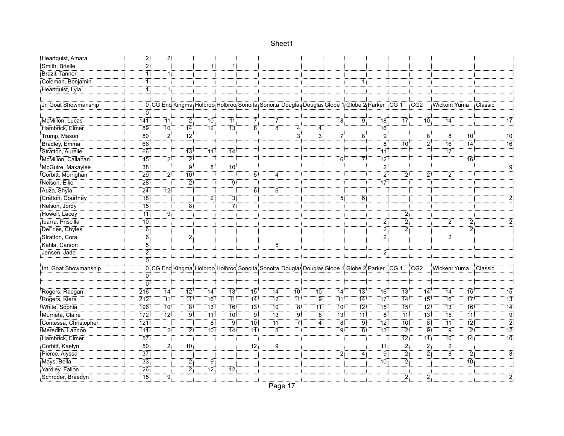| Heartquist, Amara     | ΪÏ.              | 21              |                 |                 |                 |                 |                |                 |                   |                |                                                                                                    |                   |                   |                 |                   |                   |                 |
|-----------------------|------------------|-----------------|-----------------|-----------------|-----------------|-----------------|----------------|-----------------|-------------------|----------------|----------------------------------------------------------------------------------------------------|-------------------|-------------------|-----------------|-------------------|-------------------|-----------------|
| Smith, Brielle        | 21               |                 |                 | 1 :             | 1 :             |                 |                |                 |                   |                |                                                                                                    |                   |                   |                 |                   |                   |                 |
| Brazil, Tanner        |                  | ŦŦ              |                 |                 |                 |                 |                |                 |                   |                |                                                                                                    |                   |                   |                 |                   |                   |                 |
| Coleman, Benjamin     |                  |                 |                 |                 |                 |                 |                |                 |                   |                |                                                                                                    |                   |                   |                 |                   |                   |                 |
| Heartquist, Lyla      |                  | 1               |                 |                 |                 |                 |                |                 |                   |                |                                                                                                    |                   |                   |                 |                   |                   |                 |
|                       |                  |                 |                 |                 |                 |                 |                |                 |                   |                |                                                                                                    |                   |                   |                 |                   |                   |                 |
| Jr. Goat Showmanship  |                  |                 |                 |                 |                 |                 |                |                 |                   |                | 0 CG End Kingmat Holbroot Holbroot Sonoita Sonoita: Douglas Douglas Globe 1 Globe 2 Parker CG 1    |                   |                   | TCG2            | Wickent Yuma      |                   | : Classic       |
|                       |                  |                 |                 |                 |                 |                 |                |                 |                   |                |                                                                                                    |                   |                   |                 |                   |                   |                 |
| McMillon, Lucas       | 141              | 11:             | 2:              | $10$ :          | 11 :            | 7:              | $\mathbf{7}$   |                 |                   | $\overline{8}$ | ۊۊ                                                                                                 | 18:               | 17 <sup>3</sup>   | 10:             | 14                |                   | $\overline{17}$ |
| Hambrick, Elmer       | <br>89           | 70:             | .<br>14:        | -12‡            | <br>13:         | $\overline{8}$  | $\overline{8}$ | 4               | 4:                |                |                                                                                                    | <br>16            |                   |                 |                   |                   |                 |
| Trump, Mason          | $80^{\circ}$     | $\overline{2}$  | .<br>12:        |                 |                 |                 |                | $\overline{3}$  | $\overline{3}$    |                | $\overline{8}$                                                                                     | أق                |                   | $\overline{8}$  | $\overline{8}$    | .<br>10           | $\overline{10}$ |
| Bradley, Emma         | 66               |                 |                 |                 |                 |                 |                |                 |                   |                |                                                                                                    | $\overline{8}$    | 10 <sup>3</sup>   | 2               | 76                | $\overline{14}$   | 16              |
| Stratton, Aurelie     | 66               |                 | 13 <sub>1</sub> | 11:             | 14 <sup>3</sup> |                 |                |                 |                   |                |                                                                                                    | 11                |                   |                 | $\overline{17}$   |                   |                 |
| McMillon, Callahan    | 45               | 21              | 21              |                 |                 |                 |                |                 |                   | 6 <sup>3</sup> | 7                                                                                                  | أ2∄               |                   |                 |                   | 16:               |                 |
| McGuire, Makaylee     | <br>38           |                 | ÷<br>! 9        | ‴ä              | .<br>: 10       |                 |                |                 |                   |                |                                                                                                    | $\overline{2}$    |                   |                 |                   |                   |                 |
| Corbitt, Morrighan    | 29               | 21              | <br>10          |                 |                 | 5               |                |                 |                   |                |                                                                                                    | $\overline{2}$ :  | 2                 | 2!              | $\overline{2}$    |                   |                 |
| Nelson, Ellie         | $\overline{28}$  |                 | $\overline{2}$  |                 |                 | .               |                |                 |                   |                |                                                                                                    | $\overline{17}$   |                   |                 |                   |                   |                 |
| Auza, Shyla           | 24               | $\overline{12}$ |                 |                 |                 | 6 <sup>1</sup>  | 6 <sup>3</sup> |                 |                   |                |                                                                                                    |                   |                   |                 |                   |                   |                 |
| Crafton, Courtney     | $\overline{18}$  |                 |                 | 2               | $\overline{3}$  |                 |                |                 |                   | 5              | $6^{\circ}$                                                                                        |                   |                   |                 |                   |                   |                 |
| Nelson, Jordy         | <br>15           |                 | 8:              |                 | 7               |                 |                |                 |                   |                |                                                                                                    |                   |                   |                 |                   |                   |                 |
| Howell, Lacey         | 11:              | ۽<br>آ          |                 |                 |                 |                 |                |                 |                   |                |                                                                                                    |                   | 2                 |                 |                   |                   |                 |
| Ibarra, Priscilla     | .<br>∶10         |                 |                 |                 |                 |                 |                |                 |                   |                |                                                                                                    | $\ddot{\text{2}}$ | 21                |                 | $\overline{2}$ :  | 21                |                 |
| DeFries, Chyles       | 6 <sup>1</sup>   |                 |                 |                 |                 |                 |                |                 |                   |                |                                                                                                    | $\overline{2}$    | $\ddot{\text{2}}$ |                 |                   | $\overline{2}$    |                 |
| Stratton, Cora        | 6                |                 | $\overline{2}$  |                 |                 |                 |                |                 |                   |                |                                                                                                    | 2                 |                   |                 | $2^{\frac{1}{2}}$ |                   |                 |
| Kahla, Carson         | 5!               |                 |                 |                 |                 |                 | 5              |                 |                   |                |                                                                                                    |                   |                   |                 |                   |                   |                 |
| Jensen, Jade          | $\overline{2}$ : |                 |                 |                 |                 |                 |                |                 |                   |                |                                                                                                    | 2                 |                   |                 |                   |                   |                 |
|                       | 0                |                 |                 |                 |                 |                 |                |                 |                   |                |                                                                                                    |                   |                   |                 |                   |                   |                 |
| Int. Goat Showmanship |                  |                 |                 |                 |                 |                 |                |                 |                   |                | 0 CG End Kingmai Holbroo: Holbroo: Sonoita: Sonoita: Douglas Douglas Globe 1: Globe 2: Parker CG 1 |                   |                   | TCG2            | Wickent Yuma      |                   | : Classic       |
|                       | 0                |                 |                 |                 |                 |                 |                |                 |                   |                |                                                                                                    |                   |                   |                 |                   |                   |                 |
|                       | ö                |                 |                 |                 |                 |                 |                |                 |                   |                |                                                                                                    |                   |                   |                 |                   |                   |                 |
| Rogers, Raegan        | 216              | 14:             | $\overline{12}$ | 14              | $\overline{13}$ | $\overline{15}$ | 14             | 10 <sub>1</sub> | 10 <sup>1</sup>   | 14             | 13 <sup>1</sup>                                                                                    | 16:               | $\overline{13}$   | $\overline{14}$ | 14                | $\overline{15}$   | $\overline{15}$ |
| Rogers, Kiera         | 212              | 11:             | 71              | 76              | $\overline{11}$ | 14:             | 12             | 71              | $9^{\frac{1}{2}}$ | ⊺11⊺           | 14:                                                                                                | .<br>17!          | 74                | 75              | $\overline{16}$   | <br>17            | 13              |
| White, Sophia         | 196              | .<br>10 أ       | $\overline{8}$  | 73              | $\overline{16}$ | -13             | -<br>10 :      | $\overline{8}$  | -<br>11 :         | <br>10 :       | $12$ :                                                                                             | -<br>15           | $\overline{15}$   | $\overline{12}$ | $-13$             | $\overline{16}$   | 14              |
| Murrieta, Claire      | 172              | ِّ 12ً          | ٠ö.             | : 11            | $10^{\circ}$    | :ّ ق            | ้ 13           | .<br>: 9        | $\overline{8}$    | .<br>13:       | -11                                                                                                | -8                | <br>11:           | -131            | 75:               | <br>11:           | <br>و           |
| Contessa, Christopher | 121              |                 |                 | ïä              | :<br>! 9        | <br>10          | -<br>11        | 71              | <br>4             | $\overline{8}$ | Ï9                                                                                                 | $\overline{12}$ : | <br>10            | $\dddot{8}$     |                   | $\overline{12}$ : | $\overline{2}$  |
| Meredith, Landon      | <br>111          | $\overline{2}$  | 21              | -<br>10 :       | 14              | 11:             | $\overline{8}$ |                 |                   | Ï9             | ë:                                                                                                 | -<br>13           | 21                | Ï9              | "9"               | $\overline{2}$    | $\overline{12}$ |
| Hambrick, Elmer       | $\overline{57}$  |                 |                 |                 |                 |                 |                |                 |                   |                |                                                                                                    |                   | $\overline{12}$ : | 11              | .<br>: 10         | $\overline{14}$   | $\overline{10}$ |
| Corbitt, Kaelyn       | <br>50           | أ2              | <br>10          |                 |                 |                 | <br>ا          |                 |                   |                |                                                                                                    |                   | $\overline{2}$    | :ّ 2            | $\overline{2}$ :  |                   |                 |
| Pierce, Alyssa        | $\overline{37}$  |                 |                 |                 |                 |                 |                |                 |                   | $\overline{2}$ | 4 :                                                                                                | : ق               | $\overline{2}$    | $\overline{2}$  | $\overline{8}$    | 2                 | $\overline{8}$  |
| Mays, Bella           | 33:              |                 | 2               | 91              |                 |                 |                |                 |                   |                |                                                                                                    | <br>10            | $\overline{2}$    |                 |                   | <br>10            |                 |
| Yardley, Fallon       | $\overline{26}$  |                 | $\overline{2}$  | 72 <sub>1</sub> | $\overline{12}$ |                 |                |                 |                   |                |                                                                                                    |                   |                   |                 |                   |                   |                 |
| Schroder, Braedyn     |                  | <br>9           |                 |                 |                 |                 |                |                 |                   |                |                                                                                                    |                   | 2                 | 2               |                   |                   |                 |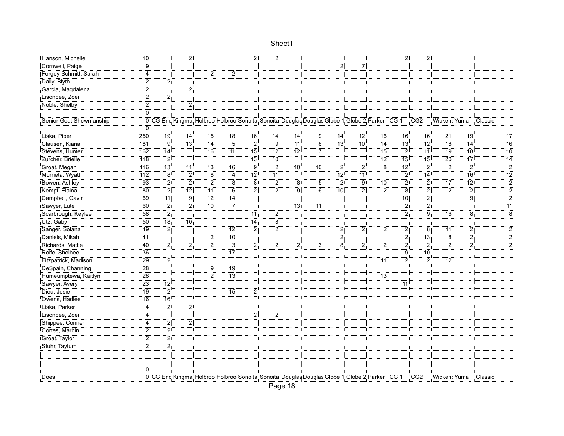| Hanson, Michelle        | 10 <sup>1</sup> |                  | 2.                                                                                                       |                 |                     | 21                | 21             |                 |                |                 |                |                                 | 2                | 21                |                    |                   |                     |
|-------------------------|-----------------|------------------|----------------------------------------------------------------------------------------------------------|-----------------|---------------------|-------------------|----------------|-----------------|----------------|-----------------|----------------|---------------------------------|------------------|-------------------|--------------------|-------------------|---------------------|
| Cornwell, Paige         | .<br>! 9        |                  |                                                                                                          |                 |                     |                   |                |                 |                | $\overline{2}$  |                |                                 |                  |                   |                    |                   |                     |
| Forgey-Schmitt, Sarah   | $\overline{4}$  |                  |                                                                                                          | 2               | $\overline{2}$      |                   |                |                 |                |                 |                |                                 |                  |                   |                    |                   |                     |
| Daily, Blyth            | $\overline{2}$  | 2                |                                                                                                          |                 |                     |                   |                |                 |                |                 |                |                                 |                  |                   |                    |                   |                     |
| Garcia, Magdalena       | 2               |                  | $\overline{2}$                                                                                           |                 |                     |                   |                |                 |                |                 |                |                                 |                  |                   |                    |                   |                     |
| Lisonbee, Zoei          | 2               | 21               |                                                                                                          |                 |                     |                   |                |                 |                |                 |                |                                 |                  |                   |                    |                   |                     |
| Noble, Shelby           | 2               |                  | 2                                                                                                        |                 |                     |                   |                |                 |                |                 |                |                                 |                  |                   |                    |                   |                     |
|                         | ΰŤ              |                  |                                                                                                          |                 |                     |                   |                |                 |                |                 |                |                                 |                  |                   |                    |                   |                     |
| Senior Goat Showmanship |                 |                  | 0 CG End Kingmat Holbroot Holbroot Sonoita: Sonoita: Douglas Douglas Globe 1: Globe 2: Parker : CG 1 CG2 |                 |                     |                   |                |                 |                |                 |                |                                 |                  |                   | Wickent Yuma       |                   | Classic             |
|                         | 0               |                  |                                                                                                          |                 |                     |                   |                |                 |                |                 |                |                                 |                  |                   |                    |                   |                     |
| Liska, Piper            | 250             | : 19             | $\overline{14}$                                                                                          | 15 <sup>1</sup> | ์ 18:               | 16                | .<br>: 14      | -14             | ⊺ق⊺            | .<br>! 14       | ∶ّ?⊺           | $\overline{16}$                 | 16 <sup>3</sup>  | 16                | 21                 | ة: 19             | 17                  |
| Clausen, Kiana          | 181             | $\overline{9}$   | .<br>13:                                                                                                 | $\overline{14}$ | $\overline{5}$      | $\overline{2}$    | $\overline{9}$ | $\overline{11}$ | $\overline{8}$ | $\overline{13}$ | .<br>: 10      | $\overline{14}$                 | $\overline{13}$  | 12 <sup>1</sup>   | $\overline{18}$    | $\overline{14}$   | 16                  |
| Stevens, Hunter         | 162             | .<br>! 14        |                                                                                                          | $\overline{16}$ | -<br>11             | $\overline{15}$   | -<br>12 :      | $\overline{12}$ | 7              |                 |                | -<br>15                         | 21               | 71                | <del>: 1</del> 9   | <br>18            | $\overline{10}$     |
| Zurcher, Brielle        | 718             | 2                |                                                                                                          |                 |                     | 13 <sup>1</sup>   | -<br>10 :      |                 |                |                 |                | $\overline{12}$                 | $\overline{15}$  | 15 <sup>1</sup>   | $\overline{20}$ :  |                   | $\overline{14}$     |
| Groat, Megan            | -------<br>116  | <br>13 :         | 71                                                                                                       | -13             | $\overline{16}$     | ڹ<br>! g          | $\frac{1}{2}$  | .<br>10         | 70.7           | $\overline{2}$  | 2              | $\overline{\phantom{a}8}^5$<br> | .<br>12:         | $\overline{2}$ :  | $\frac{3}{2}$<br>. | $\frac{1}{2}$     | $\overline{2}$      |
| Murrieta, Wyatt         | <br>112 :       | -<br>8           | :ِّ 2                                                                                                    | $\overline{8}$  | .<br>: 4            | $\overline{12}$ : | <br>11 :       |                 |                | .<br>12:        | <br>11 :       |                                 |                  | $\overline{14}$ : |                    | $\overline{16}$   | $\overline{12}$     |
| Bowen, Ashley           | 93.             | -21              | 2                                                                                                        | 2               | $\ddot{\texttt{8}}$ | -<br>8            | $\overline{2}$ | 8               | 5              | $\overline{2}$  | $\ddot{9}$     | $\overline{10}$                 | $\overline{2}$   | $\ddot{2}$        | $\overline{17}$    | $\overline{12}$ : | $\overline{2}$      |
| Kempf, Elaina           | $\overline{80}$ | $\overline{2}$   | 12 <sub>1</sub>                                                                                          | 71              | $\overline{6}$      | $\overline{2}$    | $\overline{2}$ | $\overline{9}$  | $\overline{6}$ | :10°            | $\overline{2}$ | $\overline{2}$                  | $\overline{8}$   | $\overline{2}$    | $\overline{2}$     | $\overline{2}$    | $\overline{2}$      |
| Campbell, Gavin         | $-69$           | $\overline{11}$  | أو                                                                                                       | ≑ّ?1            | $\overline{14}$     |                   |                |                 |                |                 |                |                                 | .<br>: 10        | 2:                |                    | $\overline{9}$    | $\overline{2}$      |
| Sawyer, Lute            | 60              | $\overline{2}$   | $\overline{2}$                                                                                           | 10:             | - 7                 |                   |                | 13              | 11:            |                 |                |                                 | $\overline{2}$   | $\overline{2}$ :  |                    |                   | 11                  |
| Scarbrough, Keylee      | 58              | $\overline{2}$ : |                                                                                                          |                 |                     | $11$ :            | $\overline{2}$ |                 |                |                 |                |                                 | $\overline{2}$ : | ïë.               | $\overline{16}$    | 8 <sup>1</sup>    | - 8                 |
| Utz, Gaby               | -<br>50         | <br>18:          | 10 <sup>1</sup>                                                                                          |                 |                     | $\overline{14}$   | ö,             |                 |                |                 |                |                                 |                  |                   |                    |                   |                     |
| Sanger, Solana          | -<br>49         | 2                |                                                                                                          |                 | $\overline{12}$     | 2                 | <br>21         |                 |                | $\overline{2}$  | 2              | $\overline{2}$                  | 2.               | $\overline{8}$    | <br>11             | 21                | $\ddot{\mathbf{2}}$ |
| Daniels, Mikah          | $-41$           |                  |                                                                                                          | 21              | .<br>10 آ           |                   |                |                 |                | $\overline{2}$  |                |                                 | .<br>2           | $\overline{13}$   | $\overline{8}$     | <br>2             | $\overline{2}$      |
| Richards, Mattie        | $-40$           | 2.               | 21                                                                                                       | أ?              | $\frac{1}{3}$       | 2.                | 2:             | 2:              | 31             | ïв              | 2:             | $\overline{2}$                  | 2                | $\overline{2}$    | $\overline{2}$     | :ّ 2              |                     |
| Rolfe, Shelbee          | 36              |                  |                                                                                                          |                 | $\overline{17}$     |                   |                |                 |                |                 |                |                                 | .<br>و           | 10 <sup>1</sup>   |                    |                   |                     |
| Fitzpatrick, Madison    | $\overline{29}$ | $\overline{2}$   |                                                                                                          |                 |                     |                   |                |                 |                |                 |                | 11                              | 2                | 2                 | 12                 |                   |                     |
| DeSpain, Channing       | <br>28 أ        |                  |                                                                                                          | 9               | <br>19              |                   |                |                 |                |                 |                |                                 |                  |                   |                    |                   |                     |
| Humeumptewa, Kaitlyn    | <br>28          |                  |                                                                                                          | <br>21          | <br>13              |                   |                |                 |                |                 |                | .<br>: 13                       |                  |                   |                    |                   |                     |
| Sawyer, Avery           | $\overline{23}$ | 12:              |                                                                                                          |                 |                     |                   |                |                 |                |                 |                |                                 | 11               |                   |                    |                   |                     |
| Dieu, Josie             | <br>19          | 2                |                                                                                                          |                 | <br>15              | 21                |                |                 |                |                 |                |                                 |                  |                   |                    |                   |                     |
| Owens, Hadlee           | 16 <sup>3</sup> | $76^{\circ}$     |                                                                                                          |                 |                     |                   |                |                 |                |                 |                |                                 |                  |                   |                    |                   |                     |
| Liska, Parker           | 4               | أٍ2              | 2                                                                                                        |                 |                     |                   |                |                 |                |                 |                |                                 |                  |                   |                    |                   |                     |
| Lisonbee, Zoei          | 4               |                  |                                                                                                          |                 |                     | 2                 | 2              |                 |                |                 |                |                                 |                  |                   |                    |                   |                     |
| Shippee, Conner         | 4:              | 2                |                                                                                                          |                 |                     |                   |                |                 |                |                 |                |                                 |                  |                   |                    |                   |                     |
| Cortes, Marbin          | 2               | 2                |                                                                                                          |                 |                     |                   |                |                 |                |                 |                |                                 |                  |                   |                    |                   |                     |
| Groat, Taylor           | .<br>2          | $\overline{2}$   |                                                                                                          |                 |                     |                   |                |                 |                |                 |                |                                 |                  |                   |                    |                   |                     |
| Stuhr, Taytum           | :ّ 2            | $\overline{2}$   |                                                                                                          |                 |                     |                   |                |                 |                |                 |                |                                 |                  |                   |                    |                   |                     |
|                         |                 |                  |                                                                                                          |                 |                     |                   |                |                 |                |                 |                |                                 |                  |                   |                    |                   |                     |
|                         |                 |                  |                                                                                                          |                 |                     |                   |                |                 |                |                 |                |                                 |                  |                   |                    |                   |                     |
|                         | 0               |                  |                                                                                                          |                 |                     |                   |                |                 |                |                 |                |                                 |                  |                   |                    |                   |                     |
| Does                    |                 |                  | 0 CG End Kingmat Holbroo Holbroo Sonoita Sonoita Douglas Douglas Globe 1 Globe 2 Parker CG 1 CG2         |                 |                     |                   |                |                 |                |                 |                |                                 |                  |                   | Wickent Yuma       |                   | Classic             |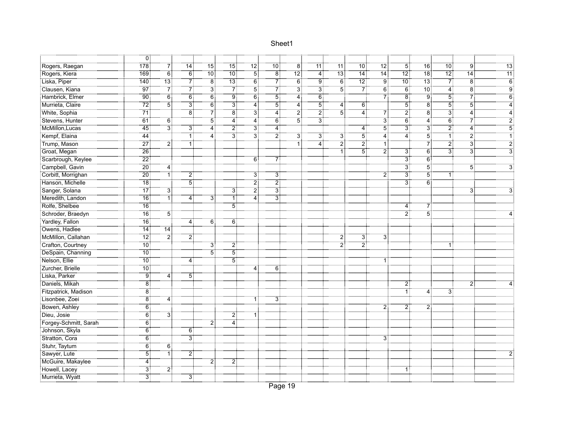|                       | ΪÖ                 |                   |                |                    |                 |                   |                |                   |                       |                     |                |                  |                   |                  |                |                  |                 |
|-----------------------|--------------------|-------------------|----------------|--------------------|-----------------|-------------------|----------------|-------------------|-----------------------|---------------------|----------------|------------------|-------------------|------------------|----------------|------------------|-----------------|
| Rogers, Raegan        | 178                | 7                 |                | $15^{\frac{1}{3}}$ | -<br>15         | 12 <sup>1</sup>   | <br>10         | Ϊ8                | <br>11                |                     | .<br>: 10      | $\overline{12}$  | 5 <sup>1</sup>    | 16               | <br>10         | Ï.               |                 |
| Rogers, Kiera         | 169                | $\overline{6}$    | $\overline{6}$ | $\overline{10}$ :  | $\overline{10}$ | $\overline{5}$    | $\overline{8}$ | $\overline{12}$ : | $\overline{4}$        | $\overline{13}$     | 74             | $\overline{14}$  | $\overline{12}$ : | $\overline{18}$  | .<br>12:       | $\overline{14}$  | $\overline{11}$ |
| Liska, Piper          | 140                | $\overline{13}$ : | 7              | 8:                 | 13              | $6^{\frac{1}{2}}$ | 7              | $\overline{6}$    | 9:                    | 6 <sup>1</sup>      | 72             | 9:               | 10 <sub>1</sub>   | $\overline{13}$  | - 71           | $\overline{8}$   | $\overline{6}$  |
| Clausen, Kiana        | $\overline{97}$    | $\overline{7}$    | 7              | $\overline{3}$     | 7               | 5                 | 7              | 3                 | $\overline{3}$        | $\overline{5}$      | 7              | $\overline{6}$   | $\overline{6}$    | $70^{\circ}$     | $\ddot{4}$     | $\overline{8}$   | Ö               |
| Hambrick, Elmer       | <br>90             | $\overline{6}$    | -<br>61        | $\overline{6}$     | :<br>! 9        | $\overline{6}$    | $\overline{5}$ | 4                 | $\overline{6}$        |                     |                | $\overline{7}$   | -<br>8            | 9 <sub>i</sub>   | $\dddot{5}$    | $\overline{7}$   |                 |
| Murrieta, Claire      | 72                 | <br>5             | зį             | őİ                 | <br>3           | -<br>4            | 5              | <br>4             | <br>5                 | 4:                  | ő.             |                  | $\dddot{5}$       | $\overline{8}$   | $\overline{5}$ | 5                |                 |
| White, Sophia         |                    |                   | Έő             | 71                 | $\overset{}{8}$ | зŤ                | <br>4          | 21                | $\overline{2}$ :      | $\overline{5}$      | <br>4          | 71               | 21                | $\overline{8}$   | ЗŢ             | <br>4            |                 |
| Stevens, Hunter       |                    | 6                 |                | $\overline{5}$     | 4               | <br>4             | 6 <sup>1</sup> | 51                | $\dddot{3}^{\dot{1}}$ |                     |                | $\overline{3}$   | 6:                | 4:               | $\ddot{6}$     | 71               |                 |
| McMillon, Lucas       | <br>45             | $\overline{3}$    | 31             | <br>4              | $\overline{2}$  | $\ddot{3}$ :      | 4              |                   |                       |                     |                | $\overline{5}$   | :<br>3            | 3:               | $\overline{2}$ | $\ddot{4}$       |                 |
| Kempf, Elaina         | $\overline{44}$    |                   | ٦İ             | 4:                 | $\overline{3}$  | $\overline{3}$    | $\overline{2}$ | 3                 | $\overline{3}$        | $\ddot{\textbf{3}}$ | $\overline{5}$ | $\overline{4}$   | 4                 | $\overline{5}$   | $\overline{1}$ | $\overline{2}$   |                 |
| Trump, Mason          | $\overline{27}$    | 2,                | Ŧ              |                    |                 |                   |                | ï,                | $\overline{4}$        | $\overline{2}$      | $\overline{2}$ | ٦Î               |                   | 7                | $\overline{2}$ | $\ddot{3}$       |                 |
| Groat, Megan          | $\overline{26}$    |                   |                |                    |                 |                   |                |                   |                       | 1 :                 | 51             | $\overline{2}$ : | 3:                | $\overline{6}$   | $\overline{3}$ | $\overline{3}$ : |                 |
| Scarbrough, Keylee    | $\overline{22}$ :  |                   |                |                    |                 | 6                 | 7              |                   |                       |                     |                |                  | <br>3             | 6:               |                |                  |                 |
| Campbell, Gavin       | .<br>20 ق          | $\overline{4}$    |                |                    |                 |                   |                |                   |                       |                     |                |                  | <br>3             | $\overline{5}$ : |                | 5:               |                 |
| Corbitt, Morrighan    | $\overline{20}$    |                   | 2              |                    |                 | 3!                | 3              |                   |                       |                     |                | $\overline{2}$   | <br>3             | $5^{\circ}$      | 1              |                  |                 |
| Hanson, Michelle      | <br>18             |                   | 51             |                    |                 | 2.                | $\overline{2}$ |                   |                       |                     |                |                  | ЗÎ                | $\overline{6}$   |                |                  |                 |
| Sanger, Solana        | 77                 | 3                 |                |                    | 3               | $\overline{2}$    | $\overline{3}$ |                   |                       |                     |                |                  |                   |                  |                | 3                |                 |
| Meredith, Landon      | $\overline{16}$    | ŦÎ                | 4              | 31                 | ٦İ              | <br>4             | зŧ             |                   |                       |                     |                |                  |                   |                  |                |                  |                 |
| Rolfe, Shelbee        | $\overline{16}$    |                   |                |                    | $\overline{5}$  |                   |                |                   |                       |                     |                |                  | 4 :               | 71               |                |                  |                 |
| Schroder, Braedyn     | $\overline{16}$    | 51                |                |                    |                 |                   |                |                   |                       |                     |                |                  | :ّ 2              | $\overline{5}$ : |                |                  |                 |
| Yardley, Fallon       | $\overline{16}$    |                   | 4              | $\overline{6}$     | ö               |                   |                |                   |                       |                     |                |                  |                   |                  |                |                  |                 |
| Owens, Hadlee         | <br>! 14           | 14                |                |                    |                 |                   |                |                   |                       |                     |                |                  |                   |                  |                |                  |                 |
| McMillon, Callahan    | $\overline{12}$    | $\overline{2}$    | 21             |                    |                 |                   |                |                   |                       | $\overline{2}$      | 31             | 3                |                   |                  |                |                  |                 |
| Crafton, Courtney     | $\overline{10}$    |                   |                | $\overline{3}$ :   | $\overline{2}$  |                   |                |                   |                       | $\overline{2}$      | 21             |                  |                   |                  | 1:             |                  |                 |
| DeSpain, Channing     | $10^{\frac{1}{3}}$ |                   |                | $\overline{5}$     | 5               |                   |                |                   |                       |                     |                |                  |                   |                  |                |                  |                 |
| Nelson, Ellie         | $10^{\circ}$       |                   | 4              |                    | $\overline{5}$  |                   |                |                   |                       |                     |                |                  |                   |                  |                |                  |                 |
| Zurcher, Brielle      | $\overline{10}$    |                   |                |                    |                 | 4                 | 6              |                   |                       |                     |                |                  |                   |                  |                |                  |                 |
| <br>:Liska, Parker    | 9                  | 4 :               | 51             |                    |                 |                   |                |                   |                       |                     |                |                  |                   |                  |                |                  |                 |
| Daniels, Mikah        | $\overline{8}$     |                   |                |                    |                 |                   |                |                   |                       |                     |                |                  | 2                 |                  |                | 2                |                 |
| Fitzpatrick, Madison  | $\overline{8}$     |                   |                |                    |                 |                   |                |                   |                       |                     |                |                  | 1 <sup>1</sup>    | 4                | $\overline{3}$ |                  |                 |
| Lisonbee, Zoei        | ë†                 | 4:                |                |                    |                 |                   | 3!             |                   |                       |                     |                |                  |                   |                  |                |                  |                 |
| Bowen, Ashley         | 6:                 |                   |                |                    |                 |                   |                |                   |                       |                     |                | 2:               | 2:                | 2 <sup>1</sup>   |                |                  |                 |
| Dieu, Josie           | 6                  | 3                 |                |                    | $\overline{2}$  |                   |                |                   |                       |                     |                |                  |                   |                  |                |                  |                 |
| Forgey-Schmitt, Sarah | $\overline{6}$     |                   |                | $\overline{2}$ :   | 4               |                   |                |                   |                       |                     |                |                  |                   |                  |                |                  |                 |
| Johnson, Skyla        | 6                  |                   | 6              |                    |                 |                   |                |                   |                       |                     |                |                  |                   |                  |                |                  |                 |
| Stratton, Cora        | 6                  |                   | <br>3          |                    |                 |                   |                |                   |                       |                     |                | $\overline{3}$   |                   |                  |                |                  |                 |
| Stuhr, Taytum         | 6                  | $\overline{6}$    |                |                    |                 |                   |                |                   |                       |                     |                |                  |                   |                  |                |                  |                 |
| Sawyer, Lute          | $\overline{5}$     | أ1                | 2              |                    |                 |                   |                |                   |                       |                     |                |                  |                   |                  |                |                  |                 |
| McGuire, Makaylee     | <br>4              |                   |                | $\overline{2}$ :   | $\overline{2}$  |                   |                |                   |                       |                     |                |                  |                   |                  |                |                  |                 |
| Howell, Lacey         | 31                 | $\overline{2}$    |                |                    |                 |                   |                |                   |                       |                     |                |                  | 11                |                  |                |                  |                 |
| Murrieta, Wyatt       | <br>3              |                   | 3 <sup>1</sup> |                    |                 |                   |                |                   |                       |                     |                |                  |                   |                  |                |                  |                 |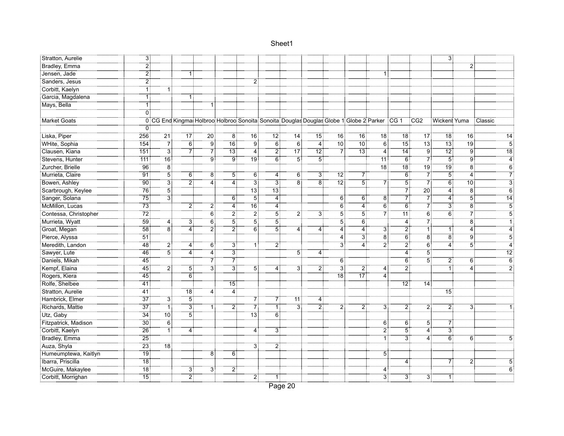| Stratton, Aurelie                      | ЗŢ                |                                              |                 |                 |                     |                  |                 |                |                   |                 |                                                                                                      |                       |                   |                  | 3:                 |                 |                 |
|----------------------------------------|-------------------|----------------------------------------------|-----------------|-----------------|---------------------|------------------|-----------------|----------------|-------------------|-----------------|------------------------------------------------------------------------------------------------------|-----------------------|-------------------|------------------|--------------------|-----------------|-----------------|
| Bradley, Emma                          |                   |                                              |                 |                 |                     |                  |                 |                |                   |                 |                                                                                                      |                       |                   |                  |                    |                 |                 |
| Jensen, Jade                           | $\overline{2}$    |                                              |                 |                 |                     |                  |                 |                |                   |                 |                                                                                                      | 1                     |                   |                  |                    |                 |                 |
| Sanders, Jesus                         | 2                 |                                              |                 |                 |                     | 21               |                 |                |                   |                 |                                                                                                      |                       |                   |                  |                    |                 |                 |
| Corbitt, Kaelyn                        | ٦İ                | 1 :                                          |                 |                 |                     |                  |                 |                |                   |                 |                                                                                                      |                       |                   |                  |                    |                 |                 |
| Garcia, Magdalena                      |                   |                                              |                 |                 |                     |                  |                 |                |                   |                 |                                                                                                      |                       |                   |                  |                    |                 |                 |
| -----------------------<br>Mays, Bella |                   |                                              |                 | $\overline{1}$  |                     |                  |                 |                |                   |                 |                                                                                                      |                       |                   |                  |                    |                 |                 |
|                                        | ΰŤ                |                                              |                 |                 |                     |                  |                 |                |                   |                 |                                                                                                      |                       |                   |                  |                    |                 |                 |
| Market Goats                           |                   |                                              |                 |                 |                     |                  |                 |                |                   |                 | 0 CG End Kingmat Holbroo: Holbroo: Sonoita: Sonoita: Douglas Douglas Globe 1: Globe 2: Parker : CG 1 |                       |                   | TCG2             | Wickent Yuma       |                 | Classic         |
|                                        |                   |                                              |                 |                 |                     |                  |                 |                |                   |                 |                                                                                                      |                       |                   |                  |                    |                 |                 |
| Liska, Piper                           | 256               | ∶ً 21                                        | ้า7:            | $\overline{20}$ | $\overline{8}$      | <br>16           | ∶ّ?⊺            | .<br>: 14      | ำ51               | ີ16:            | ີ16:                                                                                                 | ີ18:                  |                   | .<br>17          | ๊18 ∶ี             | 16 <sup>1</sup> | 14              |
| WHite, Sophia                          | 154               | -71                                          | $\overline{6}$  | ≑ّة.            | $\overline{16}$     | $\overline{9}$   | $\overline{6}$  | $\overline{6}$ | $-4$              | $\overline{10}$ | .<br>10:                                                                                             | $\overline{6}$        | -<br>15           | $\overline{13}$  | $\overline{13}$    | 79              | $\overline{5}$  |
| Clausen, Kiana                         | 151               | <br>3                                        | 7               | 71              | 13 <sub>1</sub>     | 4                | 2               | 77             | $\overline{12}$   | 71              | 13:                                                                                                  | 4:                    | 14 <sub>1</sub>   | ⊤ق⊺              | -<br>12            | 9:              | $\overline{18}$ |
| Stevens, Hunter                        | 711               | $\frac{1}{16}$                               |                 | ÷               | ۽<br>آو             | .<br>19          | <br>6           | <br>5          | $\overline{5}$    |                 |                                                                                                      | 11:                   | 6:                | 71               | $\overline{5}$     | $\overline{9}$  |                 |
| Zurcher, Brielle                       | <br>96            |                                              |                 |                 |                     |                  |                 |                |                   |                 |                                                                                                      | <br>18                | <br>18            | .<br>19          | <br>19             | ÷<br>:8         | 6               |
| Murrieta, Claire                       | $\overline{91}$   | <br>5                                        | 6 <sup>3</sup>  | $\overline{8}$  | 5                   | 6                | 4               | 6 <sup>3</sup> | ِّ آڌَ            | 12              | 7                                                                                                    |                       | $\overline{6}$    | -71              | 5:                 | $\overline{4}$  |                 |
| Bowen, Ashley                          | <br>90            | <br>3                                        | 21              | 4.              | 4                   | ЗÎ               | ЗÏ              | Έő             | $\overline{8}$    | : 12            | $\overline{5}$                                                                                       | 7                     | 5.                | 7                | $\ddot{6}$         | $\overline{10}$ | 3               |
| Scarbrough, Keylee                     | 76                | $\overline{5}$                               |                 |                 |                     | 13 <sup>1</sup>  | $\overline{13}$ |                |                   |                 |                                                                                                      |                       | 71                | 30°              | 4                  | $\overline{8}$  | 6               |
| Sanger, Solana                         | $\overline{75}$   | <br>3                                        |                 |                 | $\overline{6}$      | $\overline{5}$   | $\overline{4}$  |                |                   | $\overline{6}$  | 6:                                                                                                   | 8 <sup>7</sup>        | 7İ                | $7^{\circ}$      | $\overline{4}$     | $\overline{5}$  | 14              |
| McMillon, Lucas                        | $\overline{73}$   |                                              | 2               | 21              | $\overline{4}$      | 16               | 4               |                |                   | $\dddot{6}$     | 4                                                                                                    | $\overline{6}$        | $\overline{6}$    | $\overline{7}$ : | $\ddot{3}$         | $\overline{8}$  | 5               |
| Contessa, Christopher                  | $\overline{72}$   |                                              |                 | $\overline{6}$  | :ّ2                 | $\overline{2}$ : | <br>5           | 21             | ЗŤ                | 5               | 5                                                                                                    | 7                     | $\overline{11}$ : | $\overline{6}$   | $\overline{6}$     | 7               |                 |
| Murrieta, Wyatt                        | <br>59            | 4 :                                          | $\overline{3}$  | <br>6           | $\dddot{5}$         | 51               | 5               |                |                   | Ϊ5              | ő.                                                                                                   |                       | 4                 | 71               |                    | $\overset{}{8}$ |                 |
| Groat, Megan                           | <br>58            | <br>8                                        | 4               | 2               | 2                   | $\overline{6}$   | <br>5           | 4:             | 41                | <br>4           | <br>4                                                                                                | 31                    | 21                | ïİ               | 1:                 | 4               |                 |
| Pierce, Alyssa                         | $-51$             |                                              |                 |                 |                     |                  |                 |                |                   | 4               | зî                                                                                                   | ïä                    | ö                 | $\ddot{8}$       | $\overline{\bf 8}$ | $\ddot{9}$      |                 |
| Meredith, Landon                       | $\overline{48}$   | 2                                            | 4               | $\overline{6}$  | $\overline{3}$      |                  | $\overline{2}$  |                |                   | $\ddot{3}$      | 4:                                                                                                   | $\overline{2}$        | 2                 | $\overline{6}$   | $\overline{4}$     | $\overline{5}$  | Δ               |
| Sawyer, Lute                           | 46                | $5^{\ddagger}$                               | 4               | 4               | 3                   |                  |                 | 5.             | $4^{\frac{1}{2}}$ |                 |                                                                                                      |                       | 4                 | $\overline{5}$   |                    |                 | $\overline{12}$ |
| Daniels, Mikah                         | 45 <sub>1</sub>   |                                              |                 | 7Ţ              | 7                   |                  |                 |                |                   | 6               |                                                                                                      |                       | 6:                | $\overline{5}$   | 2 <sub>1</sub>     | 6               | $\dddot{6}$     |
| Kempf, Elaina                          | 45                | .<br>21                                      | $\overline{5}$  | <br>31          | <br>3               | 5 <sup>1</sup>   | 4:              | $\overline{3}$ | $\overline{2}$ :  | $\overline{3}$  | 21                                                                                                   | 4:                    | 21                |                  | 11                 | $\ddot{4}$      |                 |
| Rogers, Kiera                          | -<br>45           |                                              | $\overline{6}$  |                 |                     |                  |                 |                |                   | <br>18          |                                                                                                      | $\dddot{4}$           |                   |                  |                    |                 |                 |
| Rolfe, Shelbee                         | <br>41            |                                              |                 |                 | .<br>15أ            |                  |                 |                |                   |                 |                                                                                                      |                       | .<br>12:          | <br>14           |                    |                 |                 |
| Stratton, Aurelie                      | 41                |                                              | $\overline{18}$ | 4 :             | 4                   |                  |                 |                |                   |                 |                                                                                                      |                       |                   |                  | .<br>15            |                 |                 |
| Hambrick, Elmer                        | $\overline{37}$   | 31                                           | $\overline{5}$  |                 |                     | 7                | 7               | <u>111</u>     | 4                 |                 |                                                                                                      |                       |                   |                  |                    |                 |                 |
| Richards, Mattie                       | $\overline{37}$   | ٦İ                                           | $\overline{3}$  | ïï              | $\overline{2}$      | $7^{\circ}$      | ï,              | $\overline{3}$ | $\overline{2}$ :  | 2               | 21                                                                                                   | $\overline{3}$        | 21                | $\overline{2}$   | $\overline{2}$     | Зi              |                 |
| Utz, Gaby                              | $\overline{34}$   | $\overline{10}$ :                            | 51              |                 |                     | $\overline{13}$  | $\overline{6}$  |                |                   |                 |                                                                                                      |                       |                   |                  |                    |                 |                 |
| Fitzpatrick, Madison                   | $\overline{30}$   | -<br>6                                       |                 |                 |                     |                  |                 |                |                   |                 |                                                                                                      | $\overline{6}$        | 6                 | 5.               | $\dddot{7}$        |                 |                 |
| Corbitt, Kaelyn                        | 26                | ׇ֓֘֕֓֕֩֕֩֩֕׆ֺֺֺ֓<br>֧ׅׅׅׅ֪ׅׅׅׅ֘֘֘֘֩֘֩֘֩֩֩֩׀֞ | 4               |                 |                     | $\overline{4}$   | $\overline{3}$  |                |                   |                 |                                                                                                      | 2                     | 5.                | 4                | $\dddot{\vec{3}}$  |                 |                 |
| Bradley, Emma                          | $\frac{25}{3}$    |                                              |                 |                 |                     |                  |                 |                |                   |                 |                                                                                                      | ïï                    | ЗĪ                | $\overline{4}$ : | $\overline{6}$     | 6               |                 |
| <b>Auza, Shyla</b>                     | $\overline{23}$   | -<br>18                                      |                 |                 |                     | ЗĪ               | 2               |                |                   |                 |                                                                                                      |                       |                   |                  |                    |                 |                 |
| Humeumptewa, Kaitlyn                   | $\overline{19}$   |                                              |                 | ë.              | 6                   |                  |                 |                |                   |                 |                                                                                                      | $\overline{5}$<br>. 9 |                   |                  |                    |                 |                 |
| Ibarra, Priscilla                      | $\overline{18}$ : |                                              |                 |                 |                     |                  |                 |                |                   |                 |                                                                                                      |                       | 4                 |                  | $\dddot{7}$        | $\overline{2}$  |                 |
| McGuire, Makaylee                      | $\overline{18}$   |                                              | 3               | 31              | $\overline{2}$<br>. |                  |                 |                |                   |                 |                                                                                                      | $\overline{4}$        |                   |                  |                    |                 |                 |
| Corbitt, Morrighan                     | <br>15 :          |                                              | أ7              |                 |                     | 21               | 1 :             |                |                   |                 |                                                                                                      | $\overline{3}$        | зī                | ЗÎ               | 1 :                |                 |                 |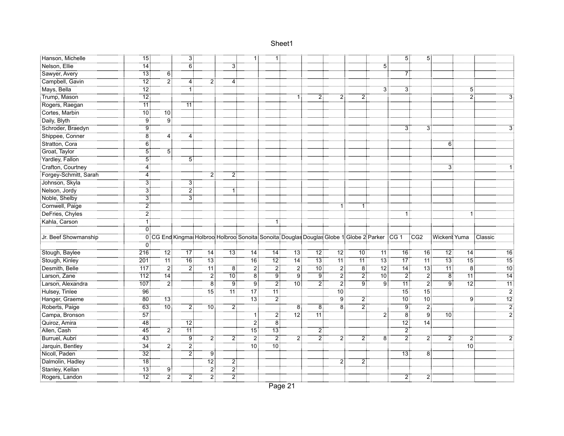| Hanson, Michelle      | -<br>15:        |                 | ΪÏ              |                           |                            |                   | 1:               |                                                                                                  |                |                 |                |                | 5.                | 5 <sup>1</sup>   |                |                 |                 |
|-----------------------|-----------------|-----------------|-----------------|---------------------------|----------------------------|-------------------|------------------|--------------------------------------------------------------------------------------------------|----------------|-----------------|----------------|----------------|-------------------|------------------|----------------|-----------------|-----------------|
| Nelson, Ellie         | $\overline{14}$ |                 | $\overline{6}$  |                           | --------                   |                   |                  |                                                                                                  |                |                 |                | $\overline{5}$ |                   |                  |                |                 |                 |
| Sawyer, Avery         | $\overline{13}$ | $\overline{6}$  |                 |                           |                            |                   |                  |                                                                                                  |                |                 |                |                | 7                 |                  |                |                 |                 |
| Campbell, Gavin       | $\overline{12}$ | $\overline{2}$  | 4 :             | 21                        | 4                          |                   |                  |                                                                                                  |                |                 |                |                |                   |                  |                |                 |                 |
| Mays, Bella           | .<br>12 أ       |                 | 1               |                           |                            |                   |                  |                                                                                                  |                |                 |                | 3:             | 3 <sub>1</sub>    |                  |                | 5:              |                 |
| Trump, Mason          | $\overline{12}$ |                 |                 |                           |                            |                   |                  | 1:                                                                                               | 2:             | 2               | 2.             |                |                   |                  |                | $\overline{2}$  |                 |
| Rogers, Raegan        | 11:             |                 | 11:             |                           |                            |                   |                  |                                                                                                  |                |                 |                |                |                   |                  |                |                 |                 |
| Cortes, Marbin        | <br>10          | <br>10 :        |                 |                           |                            |                   |                  |                                                                                                  |                |                 |                |                |                   |                  |                |                 |                 |
| Daily, Blyth          | 9 <sub>i</sub>  | : g             |                 |                           |                            |                   |                  |                                                                                                  |                |                 |                |                |                   |                  |                |                 |                 |
| Schroder, Braedyn     | $\overline{9}$  |                 |                 |                           |                            |                   |                  |                                                                                                  |                |                 |                |                | $3^{\frac{1}{2}}$ | $\overline{3}$ : |                |                 |                 |
| Shippee, Conner       | $\overline{8}$  | 4               |                 |                           |                            |                   |                  |                                                                                                  |                |                 |                |                |                   |                  |                |                 |                 |
| Stratton, Cora        | $\overline{6}$  |                 |                 |                           |                            |                   |                  |                                                                                                  |                |                 |                |                |                   |                  | 6              |                 |                 |
| Groat, Taylor         | $\overline{5}$  | $\overline{5}$  |                 |                           |                            |                   |                  |                                                                                                  |                |                 |                |                |                   |                  |                |                 |                 |
| Yardley, Fallon       | <br>5           |                 | 5 :             |                           |                            |                   |                  |                                                                                                  |                |                 |                |                |                   |                  |                |                 |                 |
| Crafton, Courtney     | 4               |                 |                 |                           |                            |                   |                  |                                                                                                  |                |                 |                |                |                   |                  | 3              |                 |                 |
| Forgey-Schmitt, Sarah | $\overline{4}$  |                 |                 | <br>2                     | 2                          |                   |                  |                                                                                                  |                |                 |                |                |                   |                  |                |                 |                 |
| Johnson, Skyla        | 31              |                 | 31              |                           |                            |                   |                  |                                                                                                  |                |                 |                |                |                   |                  |                |                 |                 |
| Nelson, Jordy         | 31              |                 | $\overline{2}$  |                           | 1:                         |                   |                  |                                                                                                  |                |                 |                |                |                   |                  |                |                 |                 |
| Noble, Shelby         | 31              |                 | 31              |                           |                            |                   |                  |                                                                                                  |                |                 |                |                |                   |                  |                |                 |                 |
| Cornwell, Paige       | 2 :             |                 |                 |                           |                            |                   |                  |                                                                                                  |                | 11              |                |                |                   |                  |                |                 |                 |
| DeFries, Chyles       | ڑ7              |                 |                 |                           |                            |                   |                  |                                                                                                  |                |                 |                |                | 1                 |                  |                | 1:              |                 |
| Kahla, Carson         | ΤÎ              |                 |                 |                           |                            |                   |                  |                                                                                                  |                |                 |                |                |                   |                  |                |                 |                 |
|                       | ΰÎ              |                 |                 |                           |                            |                   |                  |                                                                                                  |                |                 |                |                |                   |                  |                |                 |                 |
| Jr. Beef Showmanship  |                 |                 |                 |                           |                            |                   |                  | 0 CG End Kingmat Holbroot Holbroot Sonoita: Sonoita: Douglas Douglas Globe 1 Globe 2 Parker CG 1 |                |                 |                |                |                   | <b>CG2</b>       | Wickent Yuma   |                 | : Classic       |
|                       | 0:              |                 |                 |                           |                            |                   |                  |                                                                                                  |                |                 |                |                |                   |                  |                |                 |                 |
| Stough, Baylee        | 216             | 12 <sub>1</sub> | 77              | 14                        | $\overline{13}$            |                   | ⊺14              | 13:                                                                                              | -<br>12 :      | $\overline{12}$ | :10°           | 11:            | 76                | $\overline{16}$  | 72             |                 | 16              |
| Stough, Kinley        | 201             | ้ 11 !ิ์        | $\overline{16}$ | 13                        |                            | 16 <sup>3</sup>   | $\overline{12}$  | ِّ 14ً                                                                                           | "13∫           | ‴ïï :̃          | 11:            |                |                   | 11:              | ¨13 :̇̃        | $\overline{15}$ | $\overline{15}$ |
| Desmith, Belle        | 717             | أٍ2             | : 2             | <br>11:                   | $\overline{\phantom{a}}^8$ | :ّ2               | :ّ 2             | : 2                                                                                              | .<br>: 10      | $\overline{2}$  | $\overline{8}$ | $\frac{1}{2}$  | $\overline{14}$   | -<br>13          | .<br>11:       | $\frac{1}{8}$   | $\overline{10}$ |
| Larson, Zane          | 712             | <br>14 آ        |                 | أ2                        | .<br>: 10                  | <br>8             | :<br>! 9         | $\overline{9}$                                                                                   | ÷ۊ             | $\overline{2}$  | $\ddot{2}$     | .<br>: 10      | - 2               | .<br>21          | $\overline{8}$ | $\overline{11}$ | $\overline{14}$ |
| Larson, Alexandra     | 107             | أ2              |                 | $\overline{\phantom{a}8}$ | :<br>! ق                   | ÷                 | أِرْ آ           | .<br>: 10                                                                                        | .<br>21        | .<br>2:         | ÷              | .<br>! ق       | <br>11            | $\overline{2}$   | ۽<br>آق        | .<br>12:        | $\overline{11}$ |
| Hulsey, Tinlee        | 96              |                 |                 | ้า5:                      | ⊺11⊺                       | .<br>! 17         | 71               |                                                                                                  |                | <br>10          |                |                | .<br>15           | 15.              |                |                 | $\overline{2}$  |
| Hanger, Graeme        | $\overline{80}$ | $\overline{13}$ |                 |                           |                            | $\overline{13}$ : | $\overline{2}$   |                                                                                                  |                | $\ddot{9}$      | 2              |                | $\overline{10}$   | $\overline{10}$  |                | $\overline{9}$  | $\overline{12}$ |
| Roberts, Paige        | 63              | $\overline{10}$ | 2:              | <br>10 :                  | :ّ 2                       |                   |                  | 8                                                                                                | $\overline{8}$ | $\overline{8}$  | $\overline{2}$ |                | $\overline{9}$    | $\overline{2}$   |                |                 | $\overline{2}$  |
| Campa, Bronson        | $\overline{57}$ |                 |                 |                           |                            | 1:                | $\overline{2}$ : | .<br>12:                                                                                         | .<br>11 آ      |                 |                | $\overline{2}$ | أ8∶               | ؛ ق              | $70^{\circ}$   |                 | $\overline{2}$  |
| Quiroz, Amira         | $-48$           |                 | $\overline{12}$ |                           |                            | 2                 | $\overline{8}$   |                                                                                                  |                |                 |                |                | 12.               | .<br>14:         |                |                 |                 |
| Allen, Cash           | 45 <sup>1</sup> | 21              | 71              |                           |                            | $\overline{15}$   | 13 <sub>1</sub>  |                                                                                                  | $\overline{2}$ |                 |                |                | $\overline{2}$    |                  |                |                 |                 |
| Burruel, Aubri        | $-43$           |                 | <br>! ق         | 21                        | 2                          | أ2                | $\overline{2}$   | 2                                                                                                | أ2             | $\overline{2}$  | 2              | $\overline{8}$ | 21                | 21               | $\overline{2}$ | 2.              |                 |
| Jarquin, Bentley      | $\overline{34}$ | 21              | 2               |                           |                            | 10 <sup>1</sup>   | .<br>10 آ        |                                                                                                  |                |                 |                |                |                   |                  |                | <br>10          |                 |
| Nicoll, Paden         | $\overline{32}$ |                 | $\overline{2}$  | ⊺ق"                       |                            |                   |                  |                                                                                                  |                |                 |                |                | <br>13            | $\overline{8}$   |                |                 |                 |
| Dalmolin, Hadley      | $\overline{18}$ |                 |                 | 12 <sup>1</sup>           | $\overline{2}$             |                   |                  |                                                                                                  |                | $\overline{2}$  | $\overline{2}$ |                |                   |                  |                |                 |                 |
| Stanley, Kellan       | $\overline{13}$ | $9^{\circ}$     |                 | $\overline{2}$            | $\overline{2}$             |                   |                  |                                                                                                  |                |                 |                |                |                   |                  |                |                 |                 |
| Rogers, Landon        | $\overline{12}$ | أ2              | 21              | :أ2                       | $\overline{2}$             |                   |                  |                                                                                                  |                |                 |                |                | $\overline{2}$    | 2!               |                |                 |                 |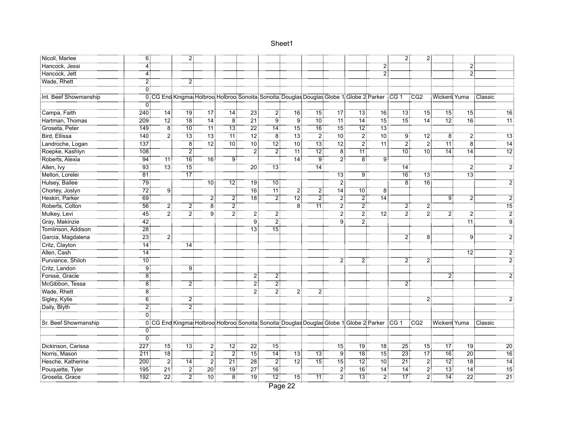|                       |                      |                   | 21              |                    |                  |                   |                   |                                                                                                    |                   |                 |                   |                 | 2                  | 21              |                   |                  |                  |
|-----------------------|----------------------|-------------------|-----------------|--------------------|------------------|-------------------|-------------------|----------------------------------------------------------------------------------------------------|-------------------|-----------------|-------------------|-----------------|--------------------|-----------------|-------------------|------------------|------------------|
| Nicoll, Marlee        | 6                    |                   |                 |                    |                  |                   |                   |                                                                                                    |                   |                 |                   | :ّ2             |                    |                 |                   | $\overline{2}$   |                  |
| :Hancock, Jessi       | 4                    |                   |                 |                    |                  |                   |                   |                                                                                                    |                   |                 |                   | $\overline{2}$  |                    |                 |                   | $\ddot{2}$       |                  |
| Hancock, Jett         | 4:<br>$\overline{2}$ |                   |                 |                    |                  |                   |                   |                                                                                                    |                   |                 |                   |                 |                    |                 |                   |                  |                  |
| Wade, Rhett           | ö                    |                   | $\overline{2}$  |                    |                  |                   |                   |                                                                                                    |                   |                 |                   |                 |                    |                 |                   |                  |                  |
|                       |                      |                   |                 |                    |                  |                   |                   |                                                                                                    |                   |                 |                   |                 |                    |                 |                   |                  |                  |
| Int. Beef Showmanship |                      |                   |                 |                    |                  |                   |                   | 0 CG End Kingmat Holbroo Holbroo Sonoita Sonoita Douglas Douglas Globe 1 Globe 2 Parker CG 1 CG2   |                   |                 |                   |                 |                    |                 | Wicken! Yuma      |                  | : Classic        |
|                       | 0                    |                   |                 |                    |                  |                   |                   |                                                                                                    |                   |                 |                   |                 |                    |                 |                   |                  |                  |
| Campa, Faith          | 240                  | $\overline{14}$   | 79              |                    | <br>14           | $\frac{1}{23}$    | 2                 | $\overline{16}$                                                                                    | <br>15            | -<br>17         | $\overline{13}$ : | $\overline{16}$ | <br>13             | $\overline{15}$ | $\overline{15}$   | -<br>15          | $\overline{16}$  |
| Hartman, Thomas       | 209                  | .<br>12 أ         | -<br>18         | $\overline{14}$    | :ّ8              |                   | ۊۊ                | :ّة                                                                                                | <br>10 :          | : 11            | $74^{\circ}$      | -<br>15         |                    |                 |                   | <br>16           | $\overline{11}$  |
| Groseta, Peter        | 149:                 | $\overline{8}$    | .<br>: 10       | 11:                | .<br>13:         | $\overline{22}$   | .<br>14:          | <br>15:                                                                                            | <br>16:           | -<br>15 :       | .<br>12:          | -<br>13         |                    |                 |                   |                  |                  |
| Bird, Ellissa         | 140:                 | $\overline{2}$    | ้า3:            | ำ3∶้               | "ั11 :้          | :ً 12             | $\overline{8}$    | $13$ :                                                                                             | أ?                | :ّ0⊺            | $\overline{2}$    | -<br>10         | g:                 | ∃ً2⊺            | $\overline{8}$    | $\overline{2}$   | 13               |
| Landroche, Logan      | 137                  |                   | $\overline{8}$  | .<br>12:           | $\overline{10}$  | $\overline{10}$   | $\overline{12}$   | $\overline{10}$                                                                                    | $\overline{13}$ : | $\overline{12}$ | $\overline{2}$    | $\overline{11}$ | $\overline{2}$     | $\overline{2}$  | $\overline{11}$   | $\ddot{8}$       | $\overline{14}$  |
| Roepke, Kashlyn       | 108                  |                   | 2               |                    |                  | $\overline{2}$    | <br>2             | 11:                                                                                                | $\overline{12}$ : | Έë              | 71                |                 | $10^{\frac{1}{2}}$ | 10 <sup>1</sup> | 14 <sup>3</sup>   | 14               | $\overline{12}$  |
| Roberts, Alexia       | 94                   | 11                | 16:             | 16:                | .<br>9           |                   |                   | .<br>14 آ                                                                                          | ÷ۊ                | $\overline{2}$  | <br>8             | ÷ن<br>! 9       |                    |                 |                   |                  |                  |
| Allen, Ivy            | -93                  | -<br>13 :         |                 |                    |                  | <br>20 :          | -<br>13 :         |                                                                                                    | <br>14:           |                 |                   |                 | 14:                |                 |                   | $\overline{2}$ : | $\overline{2}$   |
| Mellon, Lorelei       | <br>81               |                   | $\overline{17}$ |                    |                  |                   |                   |                                                                                                    |                   |                 | Ï9                |                 | <br>16             | 13.             |                   | <br>13           |                  |
| Hulsey, Bailee        | 79.                  |                   |                 | $10^{\frac{1}{2}}$ | 'ّ[2]            | ์ 19 ∶ี           | -<br>10           |                                                                                                    |                   | 2               |                   |                 | $\overline{8}$     | <br>16:         |                   |                  | $\overline{2}$   |
| Chorley, Joslyn       | $\overline{72}$      | $9^{\frac{1}{3}}$ |                 |                    |                  | 76                | 71                | 2                                                                                                  | $\overline{2}$    | 74              | $70^{\circ}$      | $\overline{8}$  |                    |                 |                   |                  |                  |
| Heskin, Parker        | $-69$                |                   |                 |                    | $\overline{2}$   | <br>18            | أ2                | $\overline{12}$                                                                                    | أٍ2               | 2               | 2                 | .<br>14أ        |                    |                 | g.                | $\overline{2}$   | $\overline{2}$   |
| Roberts, Colton       | $\overline{56}$      | 2                 | 2               | $\overline{\bf 8}$ | $\overline{2}$   |                   |                   | 8                                                                                                  | <br>11 :          | $\overline{2}$  | $\overline{2}$ :  |                 | $\overline{2}$     | 2               |                   |                  | 15               |
| Mulkey, Levi          | $\overline{45}$      | $\overline{2}$    | :ّ2             | څ<br>!             | $\overline{2}$   | <br>21            | -21               |                                                                                                    |                   | $\overline{2}$  | .<br>21           | <br>12:         | 2                  | $\ddot{2}$      | $\overline{2}$    | 2                | $\overline{2}$ . |
| Gray, Makinzie        | $\overline{42}$ :    |                   |                 |                    |                  | <br>9             | 21                |                                                                                                    |                   | <br>9           | 2.                |                 |                    |                 |                   |                  | <br>و            |
| Tomlinson, Addison    | <br>28               |                   |                 |                    |                  | $\overline{13}$ : | <br>15:           |                                                                                                    |                   |                 |                   |                 |                    |                 |                   |                  |                  |
| Garcia, Magdalena     | $\overline{23}$ :    | 2                 |                 |                    |                  |                   |                   |                                                                                                    |                   |                 |                   |                 | $2^{\frac{1}{2}}$  | 8               |                   | <br>9            | $\dddot{2}$      |
| Critz, Clayton        | :<br>! 14            |                   | 14:             |                    |                  |                   |                   |                                                                                                    |                   |                 |                   |                 |                    |                 |                   |                  |                  |
| Allen, Cash           | $\overline{14}$      |                   |                 |                    |                  |                   |                   |                                                                                                    |                   |                 |                   |                 |                    |                 |                   | $\overline{12}$  | $\overline{2}$   |
| Purviance, Shiloh     | 10 <sup>1</sup>      |                   |                 |                    |                  |                   |                   |                                                                                                    |                   | 2:              | 2                 |                 | $2^{\frac{1}{2}}$  | 2፧              |                   |                  | $\overline{2}$   |
| Critz, Landon         | ⊺9                   |                   | 9 <sup>1</sup>  |                    |                  |                   |                   |                                                                                                    |                   |                 |                   |                 |                    |                 |                   |                  |                  |
| Forsse, Gracie        | $\overline{8}$ :     |                   |                 |                    |                  | 2                 | 21                |                                                                                                    |                   |                 |                   |                 |                    |                 | 2                 |                  | $\overline{2}$   |
| McGibbon, Tessa       | $\overline{8}$ :     |                   | $\overline{2}$  |                    |                  | 2                 | $\overline{2}$    |                                                                                                    |                   |                 |                   |                 | 2                  |                 |                   |                  |                  |
| Wade, Rhett           | ïв                   |                   |                 |                    |                  | 2                 | 21                | 2                                                                                                  | 2:                |                 |                   |                 |                    |                 |                   |                  |                  |
| Sigley, Kylie         | $\overline{6}$       |                   |                 |                    |                  |                   |                   |                                                                                                    |                   |                 |                   |                 |                    |                 |                   |                  |                  |
| Daily, Blyth          | 2                    |                   | 2               |                    |                  |                   |                   |                                                                                                    |                   |                 |                   |                 |                    |                 |                   |                  |                  |
|                       | öİ                   |                   |                 |                    |                  |                   |                   |                                                                                                    |                   |                 |                   |                 |                    |                 |                   |                  |                  |
| Sr. Beef Showmanship  |                      |                   |                 |                    |                  |                   |                   | 0 CG End Kingmat Holbroot Holbroot Sonoita Sonoita Douglas Douglas Globe 1 Globe 2 Parker CG 1 CG2 |                   |                 |                   |                 |                    |                 | Wickent Yuma      |                  | Classic          |
|                       | 0:                   |                   |                 |                    |                  |                   |                   |                                                                                                    |                   |                 |                   |                 |                    |                 |                   |                  |                  |
|                       | ΰŤ                   |                   |                 |                    |                  |                   |                   |                                                                                                    |                   |                 |                   |                 |                    |                 |                   |                  |                  |
| Dickinson, Carissa    | 227                  | 15 <sup>1</sup>   | 13 <sup>1</sup> | 21                 | <br>12           | 22                | <br>15            |                                                                                                    |                   | $\overline{15}$ | <br>19            | 18 <sup>1</sup> | $\frac{3}{25}$     | 75              | .<br>17           | 19 <sup>3</sup>  | $\overline{20}$  |
| Norris, Mason         | 211                  | <br>18            |                 | :ّ 2               | $\overline{2}$ : | -<br>15           | <br>14            | 73.                                                                                                | <br>13 :          | 9:              |                   | <br>15          | 23:                | $17^{\circ}$    | .<br>: 16         | :20              | $\overline{16}$  |
| Hesche, Katherine     | 200                  | $\overline{2}$    | $\overline{14}$ | 2.                 | $\overline{21}$  | $\overline{28}$   | -21               | 12 <sup>1</sup>                                                                                    | ำ"ี               | $\overline{15}$ | 12:               | <br>10          | $\overline{21}$    | $\overline{2}$  | أ?1               | -18:             | 14               |
| Pouquette, Tyler      | 195                  | $\overline{21}$   | 2               | $\overline{20}$    | <br>19           | $\overline{27}$   | <br>16:           |                                                                                                    |                   | $\overline{2}$  | $\overline{16}$   | 14              | <br>14             | $\overline{2}$  | $\overline{13}$   | $\overline{14}$  | $\overline{15}$  |
| Groseta, Grace        | 192                  | $\overline{22}$ : | $\overline{2}$  | $\overline{10}$ :  | -<br>81          | -<br>19           | $\overline{12}$ : | $15^{\circ}$                                                                                       | 71 <sup>1</sup>   | $\overline{2}$  |                   | $\overline{2}$  | $\overline{17}$    | $\overline{2}$  | $\overline{14}$ : | $\overline{22}$  | $\overline{21}$  |
|                       |                      |                   |                 |                    |                  |                   |                   |                                                                                                    |                   |                 |                   |                 |                    |                 |                   |                  |                  |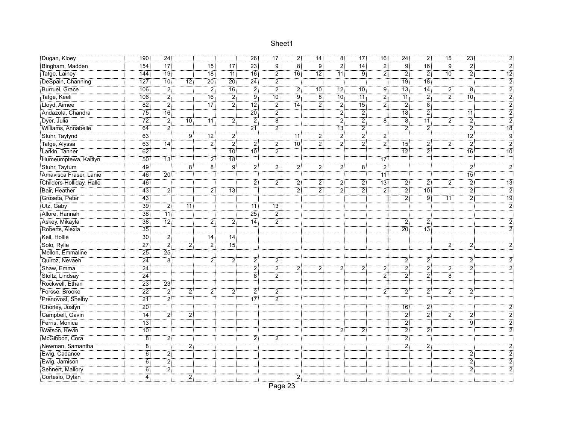| Dugan, Kloey             | 190             | $\frac{24}{3}$                                                                  |                    |                   |                   | 26              | $\overline{17}$  | $\overline{2}$   | 14              | -8 I             | ⊤"⊺<br>17         | 16              | 24:              | $\overline{2}$   |                   | 23:               |                     |
|--------------------------|-----------------|---------------------------------------------------------------------------------|--------------------|-------------------|-------------------|-----------------|------------------|------------------|-----------------|------------------|-------------------|-----------------|------------------|------------------|-------------------|-------------------|---------------------|
| Bingham, Madden          | 154             | -<br>17                                                                         |                    |                   | $\overline{17}$   | $\overline{23}$ | ÷ق               | - 8†             | : ق.            |                  | $\overline{14}$ : | .<br>21         | <br>'9           | $76^{\circ}$     | : ق               | - 2               |                     |
| Tatge, Lainey            | 144             | 19 <sup>1</sup>                                                                 |                    | $\overline{18}$   | $\overline{11}$   | .<br>: 16       | 2.               | $\overline{16}$  | 12 <sub>1</sub> | <br>11:          | ÷ّة:              | $\overline{2}$  | $\overline{2}$   | $\ddot{2}$       | :10               | $\ddot{2}$        | 12                  |
| DeSpain, Channing        | 127             | 10 <sub>1</sub>                                                                 | $\overline{12}$ :  | 20:               | $\overline{20}$   | 24              | $\overline{2}$   |                  |                 |                  |                   |                 | <br>19 :         | 18 <sup>1</sup>  |                   |                   | $\overline{2}$      |
| Burruel, Grace           | 106             | $\overline{2}$                                                                  |                    | أ2                | $\overline{16}$   | 2               | $\overline{2}$   | $\overline{2}$ : | .<br>: 10       | $\overline{12}$  | 10 <sub>1</sub>   | $\ddot{9}$      | .<br>13:         | .<br>14 آ        | $\overline{2}$    | $\overline{8}$    |                     |
| Tatge, Keeli             | 106             | $\overline{2}$ :                                                                |                    | $-16$             | $\overline{2}$ :  | ÷ ق             | .<br>: 10        | ۽<br>آ           | $\overline{8}$  | .<br>: 10        | 71                | $\overline{2}$  | .<br>11:         | $\overline{2}$ : | $\overline{2}$    | .<br>: 10         |                     |
| :Eloyd, Aimee            | $\overline{82}$ | :<br>2:                                                                         |                    |                   | $\overline{2}$ :  | -12]            | 2                | $\overline{14}$  | 2.              | $\overline{2}$ : |                   | $\overline{2}$  | 2                | $\overline{8}$   |                   |                   | ゔ                   |
| Andazola, Chandra        | 75              | $\overline{16}$                                                                 |                    |                   |                   | <br>20          | 21               |                  |                 | 21               | 21                |                 | <br>18           | $\overline{2}$ : |                   | "11 !             | 2                   |
| Dyer, Julia              | 72.             | أ2                                                                              | $10^{\frac{1}{3}}$ | 11:               | $\overline{2}$ :  | 21              | $\dddot{8}$      |                  |                 | $\overline{2}$   | 21                | $\overline{8}$  | $\overline{8}$   | <br>11           | $\overline{2}$    | $\ddot{2}$        | 2                   |
| Williams, Annabelle      | $\overline{64}$ | $\frac{1}{2}$<br>.                                                              |                    |                   |                   | $\overline{21}$ | $\overline{2}$   |                  |                 | $\overline{13}$  | $\ddot{\text{2}}$ |                 | $\overline{2}$   | $\ddot{2}$       |                   | $\ddot{2}$        | $\overline{18}$     |
| Stuhr, Taylynd           | 63              |                                                                                 | g:                 | $\overline{12}$ : | $\overline{2}$    |                 |                  | $\overline{11}$  | $\overline{2}$  | $\overline{2}$   | 2                 | $\overline{2}$  |                  |                  |                   | $\overline{12}$ : | $\ddot{\textrm{g}}$ |
| Tatge, Alyssa            | 63              | $\overline{14}$                                                                 |                    | $\overline{2}$    | $\overline{2}$    | 21              | $\overline{2}$   | .<br>!10         | $\overline{2}$  | $\overline{2}$   | 2                 | $\overline{2}$  | ้า5:             | 2                | $\overline{2}$    | $\overline{2}$    | $\overline{2}$      |
| Larkin, Tanner           | $\overline{62}$ |                                                                                 |                    |                   | $\overline{10}$ : | $10^{11}$       | 21               |                  |                 |                  |                   |                 | 12 <sub>1</sub>  | 2.               |                   | $\overline{16}$   | 10                  |
| Humeumptewa, Kaitlyn     | <br>! 50        | $\overline{13}$ :                                                               |                    | 2ļ                | <br>18 :          |                 |                  |                  |                 |                  |                   | 17:             |                  |                  |                   |                   |                     |
| Stuhr, Taytum            | <br>: 49        |                                                                                 | $\overline{8}$     | ∵ä                | ۽<br>39           | <br>2           | 2.               | 2:               | 2.              | 2:               | ä.                | : 2             |                  |                  |                   | 2:                |                     |
| Amavisca Fraser, Lanie   | -<br>46         | 20:                                                                             |                    |                   |                   |                 |                  |                  |                 |                  |                   | $\overline{11}$ |                  |                  |                   | <br>15:           |                     |
| Childers-Holliday, Halle | $\overline{46}$ |                                                                                 |                    |                   |                   | 2               | 2                | 2,               | 2               | 2                | 2                 | $\overline{13}$ | 2.               | 2.               | $\overline{2}$    | $\overline{2}$    | <br>13              |
| Bair, Heather            | 43 <sup>3</sup> | $\overline{2}$                                                                  |                    | 2                 | $\overline{13}$   |                 |                  | 2                | $\overline{2}$  | 2                | 2:                | $\overline{2}$  | $\overline{2}$   | 10 <sup>1</sup>  |                   | $\overline{2}$    | $\overline{2}$      |
| Groseta, Peter           | ____<br>43      |                                                                                 |                    |                   |                   |                 |                  |                  |                 |                  |                   |                 | $\overline{2}$ : | : ۋ              | $\overline{11}$   | $\overline{2}$    | 19                  |
| Utz, Gaby                | 39              | $\overline{2}$ :                                                                | $\overline{11}$    |                   |                   | 11              | 13:              |                  |                 |                  |                   |                 |                  |                  |                   |                   | $\overline{2}$      |
| Allore, Hannah           | $\overline{38}$ | .<br>11:                                                                        |                    |                   |                   | $\overline{25}$ | $\overline{2}$   |                  |                 |                  |                   |                 |                  |                  |                   |                   |                     |
| Askey, Mikayla           | <br>38          | $\begin{array}{c} \n \overrightarrow{12} \\  \overrightarrow{12}\n \end{array}$ |                    | 21                | 2ļ                | 14:             | $\overline{2}$   |                  |                 |                  |                   |                 | 2                | 2:               |                   |                   |                     |
| Roberts, Alexia          | <br>35          |                                                                                 |                    |                   |                   |                 |                  |                  |                 |                  |                   |                 | $\overline{20}$  | <br>13:          |                   |                   |                     |
| Keil, Hollie             | <br>30 :        | 2                                                                               |                    | 14:               | 74                |                 |                  |                  |                 |                  |                   |                 |                  |                  |                   |                   |                     |
| Solo, Rylie              | $\overline{27}$ | $\overline{2}$ :                                                                | 21                 | $\overline{2}$    | $\overline{15}$   |                 |                  |                  |                 |                  |                   |                 |                  |                  | 2                 | $\overline{2}$    |                     |
| Mellon, Emmaline         | $\overline{25}$ | $25^{\frac{1}{3}}$                                                              |                    |                   |                   |                 |                  |                  |                 |                  |                   |                 |                  |                  |                   |                   |                     |
| Quiroz, Nevaeh           | $\overline{24}$ | $\overline{8}$                                                                  |                    | 2                 | $\overline{2}$    | 2:              | 2                |                  |                 |                  |                   |                 | 2:               | 21               |                   | $2^{\frac{1}{2}}$ |                     |
| Shaw, Emma               | .<br>24 ق       |                                                                                 |                    |                   |                   | :ّ 2            | $\overline{2}$ : |                  | 21              | 2                | 2                 | 2               | أ2               | : 2              | 2                 | $\overline{2}$    |                     |
| Stoltz, Lindsay          | $\frac{1}{24}$  |                                                                                 |                    |                   |                   | <br>8           | $\overline{2}$   |                  |                 |                  |                   | $\ddot{2}$      | <br>2            | $\overline{2}$ : | $\overline{8}$    |                   |                     |
| Rockwell, Ethan          | <br>23          | $23^{\frac{1}{3}}$                                                              |                    |                   |                   |                 |                  |                  |                 |                  |                   |                 |                  |                  |                   |                   |                     |
| Forsse, Brooke           | $\overline{22}$ | $\overline{2}$ :                                                                | 2:                 | 2 <sup>1</sup>    | 2.                | 2               | 21               |                  |                 |                  |                   | 2               | 2:               | 2.               | $2^{\frac{1}{2}}$ | 2:                |                     |
| Prenovost, Shelby        | $\overline{21}$ | $\overline{2}$                                                                  |                    |                   |                   | -<br>17         | $\overline{2}$ : |                  |                 |                  |                   |                 |                  |                  |                   |                   |                     |
| Chorley, Joslyn          | $\overline{20}$ |                                                                                 |                    |                   |                   |                 |                  |                  |                 |                  |                   |                 | 16 <sup>3</sup>  | 2                |                   |                   |                     |
| Campbell, Gavin          | $\overline{14}$ | أ2                                                                              | 2                  |                   |                   |                 |                  |                  |                 |                  |                   |                 | $\overline{2}$   | $\overline{2}$ : | 2                 | $\ddot{2}$        |                     |
| Ferris, Monica           | $\overline{13}$ |                                                                                 |                    |                   |                   |                 |                  |                  |                 |                  |                   |                 | - 21             |                  |                   | .<br>: 9          |                     |
| Watson, Kevin            | .<br>: 10       |                                                                                 |                    |                   |                   |                 |                  |                  |                 | 21               | 2                 |                 | $\overline{2}$ : | 2.               |                   |                   |                     |
| McGibbon, Cora           | $\dddot{8}$     | 2<br>                                                                           |                    |                   |                   | 2               | $\overline{2}$   |                  |                 |                  |                   |                 | $\overline{2}$   |                  |                   |                   |                     |
| Newman, Samantha         | $\overline{8}$  |                                                                                 | 21                 |                   |                   |                 |                  |                  |                 |                  |                   |                 | : 2              | أ2               |                   |                   |                     |
| Ewig, Cadance            | $\overline{6}$  | 2                                                                               |                    |                   |                   |                 |                  |                  |                 |                  |                   |                 |                  |                  |                   | $\overline{2}$    |                     |
| Ewig, Jamison            | $\overline{6}$  | $\overline{2}$                                                                  |                    |                   |                   |                 |                  |                  |                 |                  |                   |                 |                  |                  |                   | $2^{\frac{1}{2}}$ |                     |
| Sehnert, Mallory         | ö.              | $\overline{2}$                                                                  |                    |                   |                   |                 |                  |                  |                 |                  |                   |                 |                  |                  |                   | $\ddot{2}$        |                     |
| Cortesio, Dylan          | <br>4           |                                                                                 | 21                 |                   |                   |                 |                  | 2 <sup>1</sup>   |                 |                  |                   |                 |                  |                  |                   |                   |                     |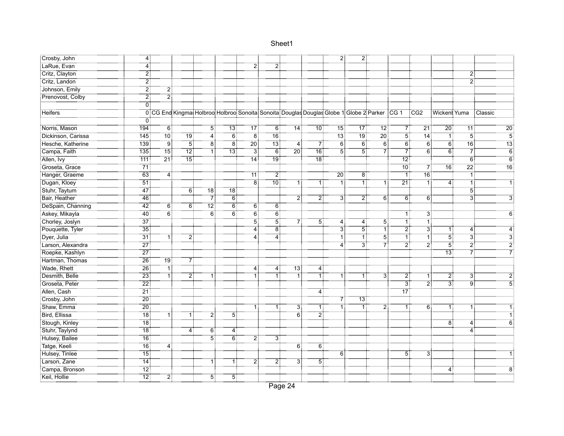| Crosby, John       | 4:                         |                    |                 |                                                                                                      |                   |                |                    |                 |                  | $\overline{2}$ :  | 2               |                    |                   |                   |                      |                              |                 |
|--------------------|----------------------------|--------------------|-----------------|------------------------------------------------------------------------------------------------------|-------------------|----------------|--------------------|-----------------|------------------|-------------------|-----------------|--------------------|-------------------|-------------------|----------------------|------------------------------|-----------------|
| LaRue, Evan        | 4                          |                    |                 |                                                                                                      |                   | 21             | 2                  |                 |                  |                   |                 |                    |                   |                   |                      |                              |                 |
| Critz, Clayton     | $\overline{2}$             |                    |                 |                                                                                                      |                   |                |                    |                 |                  |                   |                 |                    |                   |                   |                      | $\mathbf{2}$                 |                 |
| Critz, Landon      | $\overline{2}$             |                    |                 |                                                                                                      |                   |                |                    |                 |                  |                   |                 |                    |                   |                   |                      | $\overline{2}$               |                 |
| Johnson, Emily     | 2                          | 2                  |                 |                                                                                                      |                   |                |                    |                 |                  |                   |                 |                    |                   |                   |                      |                              |                 |
| Prenovost, Colby   | 21                         | <br>2              |                 |                                                                                                      |                   |                |                    |                 |                  |                   |                 |                    |                   |                   |                      |                              |                 |
|                    | ΰĪ                         |                    |                 |                                                                                                      |                   |                |                    |                 |                  |                   |                 |                    |                   |                   |                      |                              |                 |
| Heifers            |                            |                    |                 | 0 CG End Kingmat Holbroot Holbroot Sonoita: Sonoita: Douglas Douglas Globe 1 Globe 2 Parker CG 1 CG2 |                   |                |                    |                 |                  |                   |                 |                    |                   |                   | Wickent Yuma Classic |                              |                 |
|                    | 0 :                        |                    |                 |                                                                                                      |                   |                |                    |                 |                  |                   |                 |                    |                   |                   |                      |                              |                 |
| Norris, Mason      | 194                        | 6:                 |                 | $\overline{5}$                                                                                       | $\overline{13}$ : | -<br>17        | $\overline{6}$     | .<br>14 آ       | <br>10 :         | -<br>15           | $\overline{17}$ | <br>12:            |                   | $\overline{21}$   | $\overline{20}$      | $\overline{11}$              | $\overline{20}$ |
| Dickinson, Carissa | 145                        | $10^{\frac{1}{3}}$ | : 19            | $4^{\frac{1}{2}}$                                                                                    | $\overline{6}$    | 8 <sup>1</sup> | $16^{\frac{1}{3}}$ |                 |                  | $\overline{13}$   | ïg:ّ            | $20^{\frac{1}{3}}$ | $\overline{5}$    | $\overline{14}$   | $\overline{1}$       | 5                            | - 5             |
| Hesche, Katherine  | 139                        | : 9                | $5^{\circ}$     | $\overline{8}$                                                                                       | $\overline{8}$    | $\frac{1}{20}$ | $\overline{13}$    | $\overline{4}$  | 71               | $6^{\frac{1}{3}}$ | $\overline{6}$  | $6^{\frac{1}{3}}$  | $6^{\frac{2}{3}}$ | $6^{\frac{1}{3}}$ | $\overline{6}$       | $\overline{16}$              | $\overline{13}$ |
| Campa, Faith       | 135                        | <br>15             | 12 <sub>1</sub> | ΠŢ                                                                                                   | 13 <sup>3</sup>   | ЗĪ             | $\overline{6}$     | 20 <sup>3</sup> | $\overline{16}$  | $\overline{5}$    | 5               | 71                 | 71                | $\overline{6}$    | $\overline{6}$       | 7                            | $\ddot{\bf 6}$  |
| Allen, Ivy         | 111:                       | .<br>21 -          | <br>15          |                                                                                                      |                   | 14:            | .<br>! 19          |                 | ÷<br>18          |                   |                 |                    | $\overline{12}$ : |                   |                      | $\overline{6}$               | $\dddot{6}$     |
| Groseta, Grace     | .<br>71:                   |                    |                 |                                                                                                      |                   |                |                    |                 |                  |                   |                 |                    | .<br>: 10         | 71                | -<br>16:             | $\overline{2}\overline{2}$ : | <br>16          |
| Hanger, Graeme     | $\overline{63}$            | 4:                 |                 |                                                                                                      |                   | 11             | 2                  |                 |                  | .<br>20:          | $\overline{8}$  |                    | $-\tilde{1}$      | $\overline{16}$   |                      | 1 :                          |                 |
| Dugan, Kloey       | $-51$                      |                    |                 |                                                                                                      |                   | -81            | : 10°              | 1!              | ŦĬ               | ٦I                | ΠÎ              | 11                 |                   | : 1               | 4                    | ï                            |                 |
| Stuhr, Taytum      | 47                         |                    | ö.              | 78                                                                                                   | $\overline{18}$   |                |                    |                 |                  |                   |                 |                    |                   |                   |                      | $\overline{5}$               |                 |
| Bair, Heather      | 46                         |                    |                 | 71                                                                                                   | $\overline{6}$    |                |                    | 21              | $\overline{2}$   | 31                | 21              | 6:                 | 6:                | $6^{\frac{1}{3}}$ |                      | 3                            |                 |
| DeSpain, Channing  | 42                         | 6:                 | $\overline{6}$  | $\overline{12}$ :                                                                                    | $\overline{6}$    | 6:             | 6:                 |                 |                  |                   |                 |                    |                   |                   |                      |                              |                 |
|                    | -<br>40                    | $\overline{6}$     |                 | $\overline{6}$                                                                                       | $\overline{6}$    | $\overline{6}$ | $\overline{6}$     |                 |                  |                   |                 |                    | ΪĨ                | $\ddot{3}$        |                      |                              |                 |
| Chorley, Joslyn    | $\overline{37}$            |                    |                 |                                                                                                      |                   | <br>5          | 51                 | 7¦              | $\overline{5}$ : | 4                 | 4               | 51                 | 1 :               | ï                 |                      |                              |                 |
| Pouquette, Tyler   |                            |                    |                 |                                                                                                      |                   | <br>4          | ïä                 |                 |                  | $\overline{3}$ :  | 51              | ïΪ                 | 21                | $\overline{3}$ :  | 1 <sup>1</sup>       | 4                            |                 |
| Dyer, Julia        | <br>31:                    | ΠŢ                 | 2               |                                                                                                      |                   | <br>4          | <br>4              |                 |                  |                   | ï٦              | -<br>5             | ٦İ                | ïİ                | $\overline{5}$       | 3                            |                 |
| Larson, Alexandra  | $\overline{27}$            |                    |                 |                                                                                                      |                   |                |                    |                 |                  | 4:                | ä.              | 71                 | أ7                | $\overline{2}$ :  | $\overline{5}$       | : 2                          | 2               |
| Roepke, Kashlyn    | $\overline{27}$            |                    |                 |                                                                                                      |                   |                |                    |                 |                  |                   |                 |                    |                   |                   | -13                  | $\vec{7}$                    |                 |
| Hartman, Thomas    | $\overline{26}$            | 19 <sup>1</sup>    | 7               |                                                                                                      |                   |                |                    |                 |                  |                   |                 |                    |                   |                   |                      |                              |                 |
| Wade, Rhett        | $\overline{26}$            | Τİ                 |                 |                                                                                                      |                   | 4              | $\overline{4}$     | -<br>13         | $\overline{4}$   |                   |                 |                    |                   |                   |                      |                              |                 |
| Desmith, Belle     | $\overline{23}$            | ŦÌ                 | 21              |                                                                                                      |                   |                | 1                  | 71              | ِ<br>أ1          | 1:                | ïΪ              | 31                 | 2                 | 1:                | 2                    | 31                           |                 |
| Groseta, Peter     | $\overline{2}\overline{2}$ |                    |                 |                                                                                                      |                   |                |                    |                 |                  |                   |                 |                    | ä.                | 2                 | ЗÎ                   | .<br>! 9                     |                 |
| Allen, Cash        | $\overline{21}$            |                    |                 |                                                                                                      |                   |                |                    |                 | <br> 4           |                   |                 |                    | -<br>17           |                   |                      |                              |                 |
| Crosby, John       | $\overline{20}$            |                    |                 |                                                                                                      |                   |                |                    |                 |                  | 7                 | $\overline{13}$ |                    |                   |                   |                      |                              |                 |
| Shaw, Emma         | $\overline{20}$            |                    |                 |                                                                                                      |                   | 11             | 1:                 | 3               | ٦İ               | 1:                | $\overline{1}$  | $\overline{2}$ :   | 11                | 6:                | 1:                   | 1 :                          |                 |
| Bird, Ellissa      | $\overline{18}$            | 1                  | 1:              | $\overline{2}$ :                                                                                     | $\overline{5}$    |                |                    | 6:              | $\overline{2}$   |                   |                 |                    |                   |                   |                      |                              |                 |
| Stough, Kinley     | <br>18                     |                    |                 |                                                                                                      |                   |                |                    |                 |                  |                   |                 |                    |                   |                   | 8 <sup>1</sup>       | 4:                           |                 |
| Stuhr, Taylynd     | -<br>18                    |                    | 4               | 6                                                                                                    | $\overline{4}$    |                |                    |                 |                  |                   |                 |                    |                   |                   |                      | 4                            |                 |
| Hulsey, Bailee     | $\overline{16}$            |                    |                 | <br>5                                                                                                | <br>6             | 21             | 31                 |                 |                  |                   |                 |                    |                   |                   |                      |                              |                 |
| Tatge, Keeli       | 16:                        | 4                  |                 |                                                                                                      |                   |                |                    | 6:              | 6:               |                   |                 |                    |                   |                   |                      |                              |                 |
| Hulsey, Tinlee     | $\overline{15}$            |                    |                 |                                                                                                      |                   |                |                    |                 |                  | ő.                |                 |                    | 5                 | 31                |                      |                              |                 |
| Larson, Zane       | $\overline{14}$            |                    |                 | 1 :                                                                                                  | 1 :               | 2:             | $\overline{2}$     | 31              | 5 <sup>1</sup>   |                   |                 |                    |                   |                   |                      |                              |                 |
| Campa, Bronson     | $\overline{12}$            |                    |                 |                                                                                                      |                   |                |                    |                 |                  |                   |                 |                    |                   |                   |                      |                              |                 |
| Keil, Hollie       | $\overline{12}$ :          | 2.                 |                 | $\overline{5}$                                                                                       | - 5               |                |                    |                 |                  |                   |                 |                    |                   |                   |                      |                              |                 |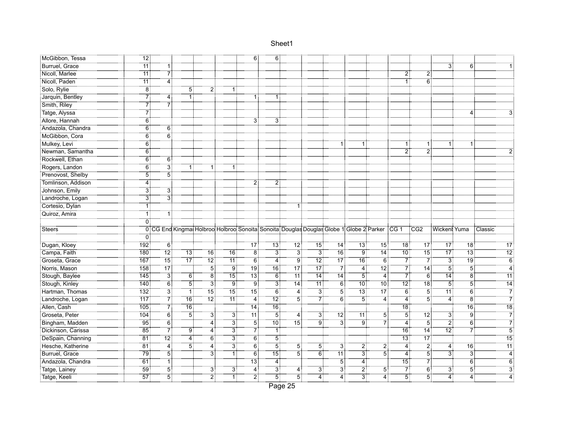| McGibbon, Tessa               | 12 <sub>1</sub>       |                 |                 |                    |                 | 6 :                 | 6:                        |                                                                                                    |                 |                 |                                  |                   |                 |                 |                  |                   |                                   |
|-------------------------------|-----------------------|-----------------|-----------------|--------------------|-----------------|---------------------|---------------------------|----------------------------------------------------------------------------------------------------|-----------------|-----------------|----------------------------------|-------------------|-----------------|-----------------|------------------|-------------------|-----------------------------------|
| Burruel, Grace                |                       | 1 :             |                 |                    |                 |                     |                           |                                                                                                    |                 |                 |                                  |                   |                 |                 | 31               | 6:                |                                   |
| Nicoll, Marlee                | $\overline{11}$       | 7               |                 |                    |                 |                     |                           |                                                                                                    |                 |                 |                                  |                   | $\overline{2}$  | 2               |                  |                   |                                   |
| Nicoll, Paden                 | 11                    | $\overline{4}$  |                 |                    |                 |                     |                           |                                                                                                    |                 |                 |                                  |                   |                 | 6               |                  |                   |                                   |
| Solo, Rylie                   | $\overline{\bf 8}$    |                 | 5:              |                    | 1:              |                     |                           |                                                                                                    |                 |                 |                                  |                   |                 |                 |                  |                   |                                   |
| Jarquin, Bentley              | 7                     | 4               |                 |                    |                 | 1                   | 1 :                       |                                                                                                    |                 |                 |                                  |                   |                 |                 |                  |                   |                                   |
| Smith, Riley                  | $\overline{7}$        | 7               |                 |                    |                 |                     |                           |                                                                                                    |                 |                 |                                  |                   |                 |                 |                  |                   |                                   |
| Tatge, Alyssa                 | 71                    |                 |                 |                    |                 |                     |                           |                                                                                                    |                 |                 |                                  |                   |                 |                 |                  | 4 :               |                                   |
| Allore, Hannah                | 6:                    |                 |                 |                    |                 | 3 :                 | 31                        |                                                                                                    |                 |                 |                                  |                   |                 |                 |                  |                   |                                   |
| Andazola, Chandra             | $\overline{6}$        | Ö.              |                 |                    |                 |                     |                           |                                                                                                    |                 |                 |                                  |                   |                 |                 |                  |                   |                                   |
| McGibbon, Cora                | 6                     | 6               |                 |                    |                 |                     |                           |                                                                                                    |                 |                 |                                  |                   |                 |                 |                  |                   |                                   |
| Mulkey, Levi                  | $\overline{6}$        |                 |                 |                    |                 |                     |                           |                                                                                                    |                 |                 |                                  |                   |                 | 1!              | 1:               |                   |                                   |
| Newman, Samantha              | $\overline{6}$        |                 |                 |                    |                 |                     |                           |                                                                                                    |                 |                 |                                  |                   | $\overline{2}$  | 2               |                  |                   |                                   |
| Rockwell, Ethan               | 6 <sup>1</sup>        | 6               |                 |                    |                 |                     |                           |                                                                                                    |                 |                 |                                  |                   |                 |                 |                  |                   |                                   |
| Rogers, Landon                | 6:                    | <br>3           | 1 :             | 1:                 | 1:              |                     |                           |                                                                                                    |                 |                 |                                  |                   |                 |                 |                  |                   |                                   |
| Prenovost, Shelby             | 51                    | <br>5           |                 |                    |                 |                     |                           |                                                                                                    |                 |                 |                                  |                   |                 |                 |                  |                   |                                   |
| Tomlinson, Addison            | $\overline{4}$        |                 |                 |                    |                 | 2                   | $2^{\frac{1}{2}}$         |                                                                                                    |                 |                 |                                  |                   |                 |                 |                  |                   |                                   |
| Johnson, Emily                | $\overline{3}$        | $\overline{3}$  |                 |                    |                 |                     |                           |                                                                                                    |                 |                 |                                  |                   |                 |                 |                  |                   |                                   |
| Landroche, Logan              | 31                    | 31              |                 |                    |                 |                     |                           |                                                                                                    |                 |                 |                                  |                   |                 |                 |                  |                   |                                   |
| Cortesio, Dylan               | 1                     |                 |                 |                    |                 |                     |                           | 1 :                                                                                                |                 |                 |                                  |                   |                 |                 |                  |                   |                                   |
| Quiroz, Amira                 | خ<br>11               | 11              |                 |                    |                 |                     |                           |                                                                                                    |                 |                 |                                  |                   |                 |                 |                  |                   |                                   |
|                               |                       |                 |                 |                    |                 |                     |                           |                                                                                                    |                 |                 |                                  |                   |                 |                 |                  |                   |                                   |
|                               | 0                     |                 |                 |                    |                 |                     |                           |                                                                                                    |                 |                 |                                  |                   |                 |                 |                  |                   |                                   |
| Steers                        |                       |                 |                 |                    |                 |                     |                           | 0 CG End Kingmat Holbroot Holbroot Sonoita Sonoita Douglas Douglas Globe 1 Globe 2 Parker CG 1 CG2 |                 |                 |                                  |                   |                 |                 | Wickent Yuma     |                   | :Classic                          |
|                               | 0                     |                 |                 |                    |                 |                     |                           |                                                                                                    |                 |                 |                                  |                   |                 |                 |                  |                   |                                   |
| Dugan, Kloey                  | 192                   | 6               |                 |                    |                 | 17:                 | ∃3⊺                       | $\overline{12}$                                                                                    | 15:             | 74              | 13:                              | $\overline{15}$   | $\overline{18}$ | $\overline{17}$ | 17               | ∃18               | 17 <sup>5</sup>                   |
| Campa, Faith                  | 180                   | <br>12:         | 73              | 16 <sub>3</sub>    | 16              | $\overline{8}$      | $\overline{3}$            | 3 <sup>1</sup>                                                                                     | $\overline{3}$  | 76              | Ïg                               | 14                | :10             | 15 <sup>1</sup> | $\overline{17}$  | $\overline{13}$   | 12                                |
| Groseta, Grace                | 167:                  | 15 <sup>1</sup> | 17:             | 12 <sub>1</sub>    | 11:             | 6                   | 4:                        | 9                                                                                                  | 12 <sup>1</sup> | 17 <sub>1</sub> | 16:                              | 6:                | 7               | 71              | $\overline{3}$   | 19 <sub>1</sub>   | $\overline{6}$                    |
| Norris, Mason                 | 158                   |                 |                 | أة                 | : ق             | .<br>19             | -<br>16                   | -<br>17                                                                                            | -<br>17         | - 71            | .<br>41                          | $\overline{12}$ : | -71             | $\overline{14}$ | -<br>5           | $\overline{5}$    |                                   |
| Stough, Baylee                | $\overline{145}$      | <br>3           | 6:              | ö.                 | $\overline{15}$ | 13 <sup>1</sup>     | ő.                        | .<br>11:                                                                                           | <br>14          | <br>14          | <br>5                            | <br>4             | 7               | $\overline{6}$  | <br>14           | $\dddot{\bar{8}}$ | $\overline{4}$<br>$\overline{11}$ |
| Stough, Kinley                | 140                   | <br>6           | 51              | ЗÎ                 | .<br>! 9        | .<br>! 9            | 31                        | .<br>! 14                                                                                          | <br>11:         | ö.              | -<br>10                          | -<br>10           | .<br>! 12       | <br>18          | 51               | $\overline{5}$    | $\overline{14}$                   |
| Hartman, Thomas               | 132.                  | <br>3           |                 | 15 <sup>1</sup>    | ้า5 :           | $\overline{15}$     | 6 <sup>3</sup>            | 4                                                                                                  | <br>3           | Ï5              | 73                               | -<br>17           | 6 <sup>1</sup>  | 51              | ⊺11⊺             | $\overline{6}$    | $\overline{7}$                    |
| Landroche, Logan              | $\overline{117}$      | 7ļ              | $\overline{16}$ | $72^{\frac{1}{2}}$ | $\overline{11}$ | $\overline{4}$      | $\overline{12}$           | 5                                                                                                  | 7ļ              | $\overline{6}$  | $\overline{5}$                   | $\overline{4}$    | 4:              | 5               | $\overline{4}$   | $\overline{8}$    | $\overline{7}$                    |
| Allen, Cash                   | 105                   | $\overline{7}$  | $\overline{16}$ |                    | .               | $\overline{14}$     | $\overline{16}$ :         |                                                                                                    |                 |                 |                                  |                   | $\overline{18}$ |                 |                  | $\overline{16}$   | $\overline{18}$                   |
| Groseta, Peter                | 104                   | 6:              | :<br>! 5        | 31                 | $\overline{3}$  | <br>11:             | -51                       | 4                                                                                                  | $\overline{3}$  | <br>12:         |                                  | $\overline{5}$    | $\overline{5}$  | 12 <sup>1</sup> | Зi               | $\ddot{9}$        | $\overline{7}$                    |
| Bingham, Madden               | $\overline{95}$       | $\overline{6}$  |                 | <br>4              | 31              | 51                  |                           | 15:                                                                                                | ۽<br>! 9        | ЗÎ              | ۊ.                               | 7                 | 4               | <br>5           | 21               | $\overline{6}$    | $\overline{7}$                    |
| Dickinson, Carissa            | 85                    | 7               | 9               | 4                  | <br>3           | 7                   | 11                        |                                                                                                    |                 |                 |                                  |                   | 16              | 14              | $\overline{12}$  | 71                | $\overline{5}$                    |
| DeSpain, Channing             | $\overline{81}$       | .<br>! 12       | 4 :             | 6:                 | <br>3           | $\overline{6}$      | $\overline{5}$            |                                                                                                    |                 |                 |                                  |                   | .<br>13         |                 |                  |                   | $\overline{15}$                   |
| Hesche, Katherine             | $-81$                 | <br>4           | 51              | 4:                 | ڙ ڇ             | <br>6               | 51                        | 5:                                                                                                 | $\overline{5}$  | 3:              | 21                               | $\overline{2}$    | $\overline{4}$  | 21              | 4:               | 16:               | 11                                |
| Burruel, Grace                | -79                   | 51              |                 | 31                 | ٦Τ              | $\overline{6}$      | $\overline{15}$           | 51                                                                                                 | Ϊő.             | -<br>11 :       | ЗŤ                               | $\overline{5}$    | 4               | 5               | $\overline{3}$ : | зi                | $\overline{4}$                    |
| Andazola, Chandra             | 61                    | آآ              |                 |                    |                 | 13 <sup>1</sup>     | $\overline{4}$            |                                                                                                    |                 | 51              | 4 :                              |                   | 15:             | $\overline{7}$  |                  | $6^{\circ}$       | 6                                 |
| Tatge, Lainey<br>Tatge, Keeli | 59<br>$\overline{57}$ | 5<br>.<br>!5    |                 | 3,<br>أ2           | $\overline{3}$  | 4<br>$\overline{2}$ | $\overline{3}$<br>.<br>!5 | 4<br>$\overline{5}$ :                                                                              | 3:              | $\overline{3}$  | $\overline{2}$<br>$\overline{3}$ | $\overline{5}$    | -51             | 6:<br>-51       | ЗÏ               | $\overline{5}$    | $\ddot{3}$                        |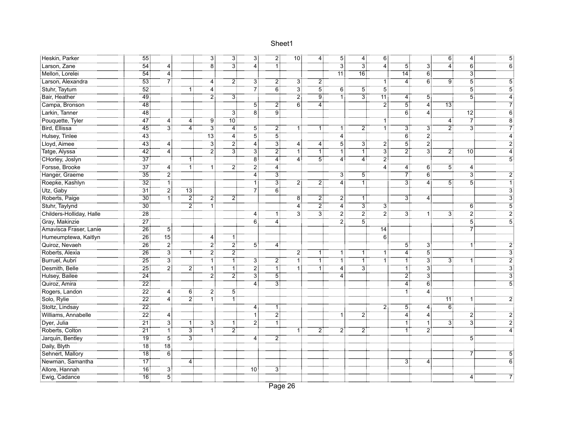| Heskin, Parker           |                 |                   |                | $\overline{3}$   | ЗĪ                                              | $\overline{3}$    | 21             | <br>10 :       | $\overline{4}$ : | 5 <sup>1</sup>          | 4:                | 6:               |                  |                  | 6.              | 4:                           |                |
|--------------------------|-----------------|-------------------|----------------|------------------|-------------------------------------------------|-------------------|----------------|----------------|------------------|-------------------------|-------------------|------------------|------------------|------------------|-----------------|------------------------------|----------------|
| <u>Exerciscon, Zane</u>  | 54              | 4                 |                | äŤ               | <br>3                                           | <br>4             | ΪĪ             |                |                  | $\dddot{3}$             | зi                | $\overline{4}$   | $\overline{5}$   | ΪË               | <br>4           | $\ddot{6}$                   | 6              |
| Mellon, Lorelei          | $\overline{54}$ | 4                 |                |                  |                                                 |                   |                |                |                  | $\overline{11}$         | $\overline{16}$ : |                  | <br>14           | $\overline{6}$   |                 | $\ddot{3}$                   |                |
| Larson, Alexandra        | $\overline{53}$ | 7                 |                | $\overline{4}$   | $\overline{2}$                                  | $\overline{3}$    | $\overline{2}$ | 3              | $\overline{2}$   |                         |                   | 11               | 4                | 6 <sub>i</sub>   | ÿ               | 5                            |                |
| Stuhr, Taytum            | $\overline{52}$ |                   | 1:             | $\overline{4}$   |                                                 | 7                 | $\overline{6}$ | зİ             | $\overline{5}$   | 6:                      | 5                 | $\overline{5}$   |                  |                  |                 | $\overline{5}$               |                |
| Bair, Heather            | <br>49          |                   |                | أ2               | $\overline{3}$                                  |                   |                | :ّ 2           | $\overline{9}$   | 1 :                     | <br>3             |                  | 4                | 5:               |                 | $\overline{5}$               |                |
| Campa, Bronson           | $-48$           |                   |                |                  |                                                 | 5 :               | 2              | 6:             | $\overline{4}$   |                         |                   | $\overline{2}$ : | <br>5            | $\overline{4}$   | $\overline{13}$ |                              |                |
| Elarkin, Tanner          | $-48$           |                   |                |                  | $\dddot{3}$                                     | ïä                | ïë             |                |                  |                         |                   |                  | $\overline{6}$   | $\overline{4}$   |                 | $\overline{1}\overline{2}$ : | հ              |
| Pouquette, Tyler         |                 | 4                 | 4 :            | 9                | ⊤ة 10                                           |                   |                |                |                  |                         |                   | 1 :              |                  |                  | 4               | 71                           | 8              |
| Bird, Ellissa            | 45              | зİ                | <br>4          | <br>3            | $\overline{4}$                                  | 5!                | $\overline{2}$ |                | 1:               | 1                       | 2:                | ïï               | $\ddot{3}$       | 31               | $\overline{2}$  | $\ddot{\text{3}}$            |                |
| Hulsey, Tinlee           | $-43$           |                   |                | $\overline{13}$  | 4                                               | 5                 | $\overline{5}$ |                |                  | $\overline{\mathbf{4}}$ |                   |                  | $\overline{6}$ : | $\overline{2}$   |                 |                              |                |
|                          | 43              | .<br>4            |                | $\overline{3}$   | $\overline{2}$                                  | $4^{\frac{1}{3}}$ | $\overline{3}$ | <br>4          | $\overline{4}$   | 5                       | зİ                | $\overline{2}$   | 5                | $\overline{2}$ : |                 |                              |                |
| Tatge, Alyssa            | 42 <sub>1</sub> | 4                 |                | $\overline{2}$ : | 31                                              | $\overline{3}$    | 2              | 1              | Ϊİ               | 1 :                     | 1:                | ЗŢ               | 2                | 31               | 2               |                              |                |
| CHorley, Joslyn          | $\overline{37}$ |                   | 1              |                  |                                                 | ëŤ                | <br>4          | 4:             | Ϊ,               | .<br>- 4                | 41                | $\overline{2}$ : |                  |                  |                 |                              |                |
| Forsse, Brooke           | -<br>37         | 4 :               | 1              | 1:               | $\overline{2}$ :                                | $\overline{2}$ :  | $\dddot{4}$    |                |                  |                         |                   | ÷<br>:4          | 4:               | 6:               | 5:              | 4:                           |                |
| Hanger, Graeme           | $\overline{35}$ | $\overline{2}$    |                |                  |                                                 | <br>4             | 31             |                |                  | $\ddot{\textbf{3}}$     | 51                |                  | 7                | $\ddot{6}$       |                 | $\ddot{3}$                   |                |
| Roepke, Kashlyn          | -32)            | .<br>1            |                |                  |                                                 | ï                 | зî             | 2!             | 21               | 4                       | ï                 |                  | 3                | 4                | $5^{\circ}$     | $\overline{5}$               |                |
| Utz, Gaby                | 31              | $\overline{2}$    | ้า3 :          |                  |                                                 | 7                 | $\overline{6}$ |                |                  |                         |                   |                  |                  |                  |                 |                              |                |
| Roberts, Paige           | <br>30 :        | $\vec{1}$         | 21             | 2 <sub>1</sub>   | $\overline{2}$                                  |                   |                | $\overline{8}$ | $\overline{2}$   | $\overline{2}$          | 1:                |                  | 31               | 4                |                 |                              |                |
| Stuhr, Taylynd           | $\overline{30}$ |                   | $\overline{2}$ | ِ<br>آ1          |                                                 |                   |                | 4 :            | $\overline{2}$ : | $\overline{4}$ :        | $\overline{3}$    | $\overline{3}$   |                  |                  |                 | $\ddot{\bf 6}$               |                |
| Childers-Holliday, Halle | $\overline{28}$ |                   |                |                  |                                                 | 4:                | 1              | зi             | $\overline{3}$   | :ّ2                     | ڑ 2               | أ?               | 31               | ΠĪ               | 3               | $\overline{2}$               |                |
| Gray, Makinzie           | $\overline{27}$ |                   |                |                  |                                                 | -<br>6            | <br>4          |                |                  | $\overline{2}$ :        | 51                |                  |                  |                  |                 | 51                           | $\overline{5}$ |
| Amavisca Fraser, Lanie   | $\overline{26}$ | <br>5             |                |                  |                                                 |                   |                |                |                  |                         |                   | 14               |                  |                  |                 | 7                            |                |
| Humeumptewa, Kaitlyn     | $\overline{26}$ | <br>15            |                | 4                | 1                                               |                   |                |                |                  |                         |                   | $\ddot{6}$       |                  |                  |                 |                              |                |
| Quiroz, Nevaeh           | $\overline{26}$ | $\overline{2}$    |                | <br>2            | : 2                                             | 5:                | $\overline{4}$ |                |                  |                         |                   |                  | 5:               | $\overline{3}$ : |                 | 1:                           |                |
| Roberts, Alexia          | 26              | $3^{\frac{1}{3}}$ | ŦŢ             | 21               | $\begin{array}{c}\n2 \\ \hline\n1\n\end{array}$ |                   |                | 21             | $\overline{1}$   | 1:                      | 1:                | 1:               | 41               | $\overline{5}$   |                 |                              |                |
| Burruel, Aubri           | $\overline{25}$ | $\overline{3}$ :  |                | 1 :              |                                                 | 3 <sub>i</sub>    | 2              | 1 :            | ΪĬ               | 1 :                     | 1:                | 1 :              | 11               | $\overline{3}$   | 3               | 1:                           |                |
| Desmith, Belle           | $\overline{25}$ | $\frac{1}{2}$     | .<br>21        | 1 :              | ПŤ                                              | <br>21            | .<br>1         |                | <br>1 :          | $\frac{1}{4}$           | $\overline{3}$    |                  | 1:               | $\overline{3}$   |                 |                              |                |
| Hulsey, Bailee           | $\frac{1}{24}$  |                   |                | $\overline{2}$   | <br>2                                           | <br>3             | <br>5          |                |                  | 4 :                     |                   |                  | 2                | $\overline{3}$ : |                 |                              |                |
| Quiroz, Amira            | <br>22          |                   |                |                  |                                                 | <br>4             | $\dddot{3}$    |                |                  |                         |                   |                  | 4                | $\overline{6}$   |                 |                              | $\overline{5}$ |
| Rogers, Landon           | $\overline{22}$ | <br>4             | 6              | 2Ī               | $\overline{5}$                                  |                   |                |                |                  |                         |                   |                  | 1!               | <br>4            |                 |                              |                |
| Solo, Rylie              | $\frac{1}{22}$  | $\overline{4}$    | أ2             | $\overline{1}$ : | أ1                                              |                   |                |                |                  |                         |                   |                  |                  |                  | .<br>11 آ       | 1 :                          |                |
| Stoltz, Lindsay          | $\overline{22}$ |                   |                |                  |                                                 | 4:                | ŦŢ             |                |                  |                         |                   | 21               | $\overline{5}$   | 4                | $\ddot{6}$      |                              |                |
| Williams, Annabelle      | $\overline{22}$ | <br>4             |                |                  |                                                 |                   | $\overline{2}$ |                |                  | 1:                      | 2                 |                  | 4                | 4                |                 | $\overline{2}$               |                |
| Dyer, Julia              | $\overline{21}$ | $\overline{3}$    | 1!             | 31               | $1$ :                                           | 2.                | أآ             |                |                  |                         |                   |                  | 1:               | ï                | 3.              | $\dddot{\bar{3}}$            |                |
| Roberts, Colton          | $\overline{21}$ | .<br>أ1           | ِّ تَ          | ΪÎ               | $\overline{2}$                                  |                   |                |                | $\overline{2}$ : | 2                       | 2                 |                  | 1                | : 2              |                 |                              |                |
| Jarquin, Bentley         | <br>19          | 51                | зį             |                  |                                                 | 4                 | 2              |                |                  |                         |                   |                  |                  |                  |                 | $\overline{5}$               |                |
| Daily, Blyth             | $\overline{18}$ |                   |                |                  |                                                 |                   |                |                |                  |                         |                   |                  |                  |                  |                 |                              |                |
| Sehnert, Mallory         | $\overline{18}$ | $\overline{6}$    |                |                  |                                                 |                   |                |                |                  |                         |                   |                  |                  |                  |                 | 7                            | 5              |
| Newman, Samantha         | 17              |                   | 4:             |                  |                                                 |                   |                |                |                  |                         |                   |                  | 3.               | 4:               |                 |                              |                |
| Allore, Hannah           | $\overline{16}$ | 3:                |                |                  |                                                 | $\overline{10}$   | 3              |                |                  |                         |                   |                  |                  |                  |                 |                              |                |
| Ewig, Cadance            | $\overline{16}$ | $\overline{5}$    |                |                  |                                                 |                   |                |                |                  |                         |                   |                  |                  |                  |                 | 4                            |                |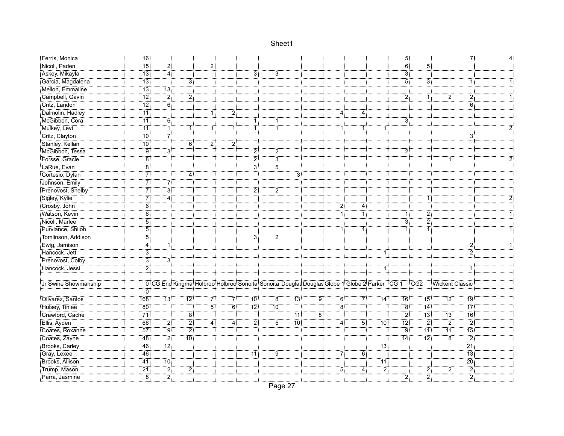| Ferris, Monica       | 76               |                   |                |                |                |                                                                                                  |                                        |                |                   |                |                |                | 5:              |                   |                    | 7:              |  |
|----------------------|------------------|-------------------|----------------|----------------|----------------|--------------------------------------------------------------------------------------------------|----------------------------------------|----------------|-------------------|----------------|----------------|----------------|-----------------|-------------------|--------------------|-----------------|--|
| Nicoll, Paden        |                  | 2                 |                |                |                |                                                                                                  |                                        |                |                   |                |                |                | $\overline{6}$  | 51                |                    |                 |  |
| Askey, Mikayla       | $\overline{13}$  | $\overline{4}$    |                |                |                | 3                                                                                                | 3                                      |                |                   |                |                |                | $\overline{3}$  |                   |                    |                 |  |
| Garcia, Magdalena    | $\overline{13}$  |                   | 31             |                |                |                                                                                                  |                                        |                |                   |                |                |                | $\overline{5}$  | 3 <sup>2</sup>    |                    | 1:              |  |
| Mellon, Emmaline     | -<br>13 :        | $\overline{13}$   |                |                |                |                                                                                                  |                                        |                |                   |                |                |                |                 |                   |                    |                 |  |
| Campbell, Gavin      |                  | $\overline{2}$    | 2 <sup>1</sup> |                |                |                                                                                                  |                                        |                |                   |                |                |                | 2               | 1!                | 2                  | $\mathbf{2}$    |  |
| Critz, Landon        | $\overline{12}$  | őΪ                |                |                |                |                                                                                                  |                                        |                |                   |                |                |                |                 |                   |                    | $\overline{6}$  |  |
| Dalmolin, Hadley     | "11              |                   |                | ΠŤ             | 2              |                                                                                                  |                                        |                |                   | 4:             | 4              |                |                 |                   |                    |                 |  |
| McGibbon, Cora       | $\overline{11}$  | $\overline{6}$    |                |                |                |                                                                                                  | 1 :                                    |                |                   |                |                |                | $\overline{3}$  |                   |                    |                 |  |
| Mulkey, Levi         | $\overline{11}$  | Ŧ.                |                |                | 1:             |                                                                                                  |                                        |                |                   |                |                |                |                 |                   |                    |                 |  |
| Critz, Clayton       | 10 <sup>1</sup>  | $7^{\ddagger}$    |                |                |                |                                                                                                  |                                        |                |                   |                |                |                |                 |                   |                    | 3               |  |
| Stanley, Kellan      | $\overline{10}$  |                   | $6^{\circ}$    | 21             | 2              |                                                                                                  |                                        |                |                   |                |                |                |                 |                   |                    |                 |  |
| McGibbon, Tessa      | <br>9            | ЗĪ                |                |                |                | 21                                                                                               | $\begin{array}{c} 2 \\ -3 \end{array}$ |                |                   |                |                |                | $\mathbf{2}$    |                   |                    |                 |  |
| Forsse, Gracie       | 8 <sup>1</sup>   |                   |                |                |                | ڑ 2                                                                                              |                                        |                |                   |                |                |                |                 |                   | -11                |                 |  |
| LaRue, Evan          | 8                |                   |                |                |                | зi                                                                                               | <br>5                                  |                |                   |                |                |                |                 |                   |                    |                 |  |
| Cortesio, Dylan      | 71               |                   | 4              |                |                |                                                                                                  |                                        | $\overline{3}$ |                   |                |                |                |                 |                   |                    |                 |  |
| Johnson, Emily       | 7                | $\frac{7}{3}$     |                |                |                |                                                                                                  |                                        |                |                   |                |                |                |                 |                   |                    |                 |  |
| Prenovost, Shelby    | $7^{\circ}$      |                   |                |                |                | 2                                                                                                | 2                                      |                |                   |                |                |                |                 |                   |                    |                 |  |
| Sigley, Kylie        |                  | <br>4             |                |                |                |                                                                                                  |                                        |                |                   |                |                |                |                 |                   |                    |                 |  |
| Crosby, John         | 6:               |                   |                |                |                |                                                                                                  |                                        |                |                   | 2:             | 4 :            |                |                 |                   |                    |                 |  |
| Watson, Kevin        | $\overline{6}$   |                   |                |                |                |                                                                                                  |                                        |                |                   | $\overline{1}$ | 1:             |                | 1:              | $\overline{2}$ :  |                    |                 |  |
| Nicoll, Marlee       | <br>5            |                   |                |                |                |                                                                                                  |                                        |                |                   |                |                |                | $\ddot{3}$      | $\overline{2}$ :  |                    |                 |  |
| Purviance, Shiloh    | <br>5            |                   |                |                |                |                                                                                                  |                                        |                |                   | 1 :            |                |                | 1:              | 1                 |                    |                 |  |
| Tomlinson, Addison   | <br>5            |                   |                |                |                | 3:                                                                                               | 2:                                     |                |                   |                |                |                |                 |                   |                    |                 |  |
| Ewig, Jamison        | 4                | 1!                |                |                |                |                                                                                                  |                                        |                |                   |                |                |                |                 |                   |                    | 2               |  |
| Hancock, Jett        | $\overline{3}$ : |                   |                |                |                |                                                                                                  |                                        |                |                   |                |                |                |                 |                   |                    | $\overline{2}$  |  |
| Prenovost, Colby     | $\overline{3}$   | 3                 |                |                |                |                                                                                                  |                                        |                |                   |                |                |                |                 |                   |                    |                 |  |
| Hancock, Jessi       | <br>21           |                   |                |                |                |                                                                                                  |                                        |                |                   |                |                | 1 :            |                 |                   |                    | 1:              |  |
|                      |                  |                   |                |                |                |                                                                                                  |                                        |                |                   |                |                |                |                 |                   |                    |                 |  |
| Jr Swine Showmanship |                  |                   |                |                |                | 0 CG End Kingmat Holbroot Holbroot Sonoita: Sonoita: Douglas Douglas Globe 1 Globe 2 Parker CG 1 |                                        |                |                   |                |                |                |                 | $\overline{C}$ G2 |                    | Wickent Classic |  |
|                      | ΰŦ               |                   |                |                |                |                                                                                                  |                                        |                |                   |                |                |                |                 |                   |                    |                 |  |
| Olivarez, Santos     | 168              | 73                | "12 !          | 7.             | 71             | 70                                                                                               | $\overline{8}$                         | "13 !          | $9^{\frac{1}{3}}$ | 6:             | 7:             | 14:            | 16              | 15 <sup>1</sup>   | $72^{\frac{1}{3}}$ | 19 <sub>i</sub> |  |
| Hulsey, Tinlee       | $\overline{80}$  |                   |                | $\overline{5}$ | $\overline{6}$ | $\overline{12}$                                                                                  | <br>10 :                               |                |                   | $\overline{8}$ |                |                | $\overline{8}$  | 14.               |                    | $\overline{17}$ |  |
| Crawford, Cache      | 71               |                   | $\overline{8}$ |                |                |                                                                                                  |                                        | -<br>11 :      | Έö                |                |                |                | $\overline{2}$  | <br>13            | ⊤ة⊺                | $\overline{16}$ |  |
| Ellis, Ayden         | $-66$            | 2.                | 2              | 4              | 4              | 2                                                                                                | 5                                      | .<br>: 10      |                   | $\overline{4}$ | 51             | <br>10:        | $\overline{12}$ | : 2               | $\overline{2}$ :   | $\overline{2}$  |  |
| Coates, Roxanne      | -------<br>57 :  | :أو.              | : 2            |                |                |                                                                                                  |                                        |                |                   |                |                |                | .<br>اق         | $\overline{11}$   |                    | -<br>15         |  |
| Coates, Zayne        |                  | $\overline{2}$    | $\frac{1}{10}$ |                |                |                                                                                                  |                                        |                |                   |                |                |                | $\overline{14}$ | -12]              | $\overline{8}$     | $\overline{2}$  |  |
| Brooks, Carley       | 46               | $\overline{12}$ : |                |                |                |                                                                                                  |                                        |                |                   |                |                | <br>13:        |                 |                   |                    | $\overline{21}$ |  |
| Gray, Lexee          | $-46$            |                   |                |                |                | -<br>11 :                                                                                        | 9                                      |                |                   | 7              | $\overline{6}$ |                |                 |                   |                    | $\overline{13}$ |  |
| Brooks, Allison      | 41.              | $70$ :            |                |                |                |                                                                                                  |                                        |                |                   |                |                | 71             |                 |                   |                    | $\overline{20}$ |  |
| Trump, Mason         | $\overline{21}$  | $\overline{2}$    | 2              |                |                |                                                                                                  |                                        |                |                   | $5^{\circ}$    | 4              | $\overline{2}$ |                 | 2,                | $\overline{2}$     | $\ddot{2}$      |  |
| Parra, Jasmine       | $\overline{8}$   | $\overline{2}$ :  |                |                |                |                                                                                                  |                                        |                |                   |                |                |                | 2.              | $\ddot{2}$        |                    | 2Ì              |  |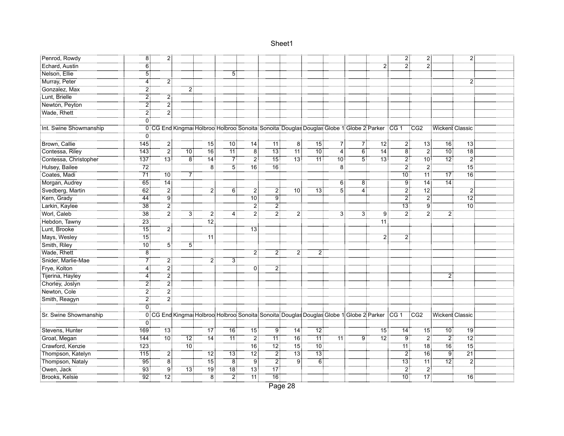| Penrod, Rowdy          | Ï8⊺              | 21                |                   |                 |                           |                    |                 |                                                                                                    |                    |                |                |                 | $\overline{2}$ : | 21              |                   | $\overline{2}$ :  |  |
|------------------------|------------------|-------------------|-------------------|-----------------|---------------------------|--------------------|-----------------|----------------------------------------------------------------------------------------------------|--------------------|----------------|----------------|-----------------|------------------|-----------------|-------------------|-------------------|--|
| Echard, Austin         | 6                |                   |                   |                 |                           |                    |                 |                                                                                                    |                    |                |                | $\dddot{2}$     | $\overline{2}$ : |                 |                   |                   |  |
| Nelson, Ellie          | $\overline{5}$   |                   |                   |                 | 5                         |                    |                 |                                                                                                    |                    |                |                |                 |                  |                 |                   |                   |  |
| Murray, Peter          | $\overline{4}$   | $\overline{2}$    |                   |                 |                           |                    |                 |                                                                                                    |                    |                |                |                 |                  |                 |                   | $\overline{2}$    |  |
| Gonzalez, Max          | 2                |                   |                   |                 |                           |                    |                 |                                                                                                    |                    |                |                |                 |                  |                 |                   |                   |  |
| Lunt, Brielle          | $\overline{2}$   | 21                |                   |                 |                           |                    |                 |                                                                                                    |                    |                |                |                 |                  |                 |                   |                   |  |
| Newton, Peyton         | <br>2            | $\overline{2}$ :  |                   |                 |                           |                    |                 |                                                                                                    |                    |                |                |                 |                  |                 |                   |                   |  |
| Wade, Rhett            | 21               | $\overline{2}$ :  |                   |                 |                           |                    |                 |                                                                                                    |                    |                |                |                 |                  |                 |                   |                   |  |
|                        | ΰÏ               |                   |                   |                 |                           |                    |                 |                                                                                                    |                    |                |                |                 |                  |                 |                   |                   |  |
| Int. Swine Showmanship |                  |                   |                   |                 |                           |                    |                 | 0 CG End Kingmat Holbroot Holbroot Sonoita Sonoita Douglas Douglas Globe 1 Globe 2 Parker CG 1 CG2 |                    |                |                |                 |                  |                 | Wickent Classic   |                   |  |
|                        | 0                |                   |                   |                 |                           |                    |                 |                                                                                                    |                    |                |                |                 |                  |                 |                   |                   |  |
| Brown, Callie          | $\overline{145}$ | 21                |                   | $\overline{15}$ | ้ 10 :                    | $14^{\frac{1}{2}}$ | ِ<br>11:        | ة: 8                                                                                               | ้า5:               | 71             | 71             | -12:            | $\overline{2}$   | $\overline{13}$ | $\overline{16}$   | -13               |  |
| Contessa, Riley        | 143              | 21                | 10 i              | 16 <sup>3</sup> | 11:                       | 8                  | 13:             | 11:                                                                                                | 10 <sub>1</sub>    | 4              | $\overline{6}$ | 14:             | 8                | $\overline{2}$  | 10 <sup>1</sup>   | _____<br>18       |  |
| Contessa, Christopher  | 737              | <br>13            | <br>8             | $\overline{14}$ | $\overline{7}$            | <br>2              |                 | -<br>13                                                                                            | -<br>11:           | .<br>10 آ      | 5†             | -<br>13 :       | $\overline{2}$ : | .<br>!10        | .<br>12°          | $\overline{2}$    |  |
| Hulsey, Bailee         | 72:              |                   |                   |                 | $\overline{5}$ :          | $\overline{16}$ :  | <br>16 :        |                                                                                                    |                    |                |                |                 | <br>21           | $\overline{2}$  | .                 | نست.<br>15:       |  |
| Coates, Madi           | .<br>71:         | 10 <sup>1</sup>   | 71                |                 |                           |                    |                 |                                                                                                    |                    |                |                |                 | .<br>: 10        | <br>11 :        | 17 <sup>1</sup>   | <br>16            |  |
| Morgan, Audrey         | $\overline{65}$  | 74                |                   |                 |                           |                    |                 |                                                                                                    |                    | $\overline{6}$ | $\overline{8}$ |                 |                  | 74              | :<br>:14          |                   |  |
| Svedberg, Martin       | 62               | $\overline{2}$    |                   | 2:              | 6 <sup>3</sup>            | 2                  | 2:              | 10 <sup>3</sup>                                                                                    | 13 <sup>1</sup>    | 5:             | 4              |                 | 21               | $\overline{12}$ |                   | $\overline{2}$    |  |
| Kern, Grady            | $\overline{44}$  | $\overline{9}$    |                   |                 |                           | $\overline{10}$    | :<br>9          |                                                                                                    |                    |                |                |                 | $\overline{2}$   | $\overline{2}$  |                   | $\overline{12}$ : |  |
| Larkin, Kaylee         | $\overline{38}$  | $\overline{2}$    |                   |                 |                           | $\overline{2}$ :   | $\overline{2}$  |                                                                                                    |                    |                |                |                 |                  | $\ddot{\bm{9}}$ |                   | .<br>10 آ         |  |
| Worl, Caleb            | $\overline{38}$  | $\overline{2}$ :  | 31                | 2               | $\overline{4}$            | .<br>2             | $\overline{2}$  |                                                                                                    |                    | 3              | 3              | .<br>و          | - 21             | 2.              | 2                 |                   |  |
| Hebdon, Tawny          | -23              |                   |                   | ِ<br>∶12        |                           |                    |                 |                                                                                                    |                    |                |                | 11              |                  |                 |                   |                   |  |
| Lunt, Brooke           | .<br>! 15        | $\overline{2}$ :  |                   |                 |                           | -<br>13            |                 |                                                                                                    |                    |                |                |                 |                  |                 |                   |                   |  |
| Mays, Wesley           | <br>15           |                   |                   | 11              |                           |                    |                 |                                                                                                    |                    |                |                | $\ddot{2}$      | 2:               |                 |                   |                   |  |
| Smith, Riley           | <br>10           | 5                 | $\overline{5}$ :  |                 |                           |                    |                 |                                                                                                    |                    |                |                |                 |                  |                 |                   |                   |  |
| Wade, Rhett            | ïв               |                   |                   |                 |                           | $\overline{2}$ :   | 21              | 2                                                                                                  | 2                  |                |                |                 |                  |                 |                   |                   |  |
| Snider, Marlie-Mae     | 7                | 2 <sub>i</sub>    |                   | 2 <sup>1</sup>  | 3                         |                    |                 |                                                                                                    |                    |                |                |                 |                  |                 |                   |                   |  |
| Frye, Kolton           | $\overline{4}$   | أٍ2               |                   |                 |                           | öİ                 | $\overline{2}$  |                                                                                                    |                    |                |                |                 |                  |                 |                   |                   |  |
| Tijerina, Hayley       | 4                | $\overline{2}$ :  |                   |                 |                           |                    |                 |                                                                                                    |                    |                |                |                 |                  |                 |                   |                   |  |
| Chorley, Joslyn        | <br>2            | .<br>21           |                   |                 |                           |                    |                 |                                                                                                    |                    |                |                |                 |                  |                 |                   |                   |  |
| Newton, Cole           | 2                | : 2               |                   |                 |                           |                    |                 |                                                                                                    |                    |                |                |                 |                  |                 |                   |                   |  |
| Smith, Reagyn          | 2                | $\overline{2}$    |                   |                 |                           |                    |                 |                                                                                                    |                    |                |                |                 |                  |                 |                   |                   |  |
|                        | 0:               |                   |                   |                 |                           |                    |                 |                                                                                                    |                    |                |                |                 |                  |                 |                   |                   |  |
| Sr. Swine Showmanship  |                  |                   |                   |                 |                           |                    |                 | 0 CG End Kingmai Holbroo Holbroo Sonoita Sonoita Douglas Douglas Globe 1 Globe 2 Parker CG 1 CG2   |                    |                |                |                 |                  |                 | : Wickent Classic |                   |  |
|                        | 0                |                   |                   |                 |                           |                    |                 |                                                                                                    |                    |                |                |                 |                  |                 |                   |                   |  |
| Stevens, Hunter        | 169              | 13                |                   | 17 <sub>1</sub> | 16:                       | 15:                | 9               | 14:                                                                                                | $12^{\frac{1}{2}}$ |                |                | 15 <sub>1</sub> | 14:              | 15 <sup>3</sup> | 10 <sub>1</sub>   | 19 <sub>1</sub>   |  |
| Groat, Megan           | 144              | .<br>! 10         | $\overline{12}$ : | <br>14          | <br>11 :                  | 2                  |                 | $\overline{16}$                                                                                    | <br>11 :           | 71             | <br>ا          | $\overline{12}$ | ÷ۊ               | $\overline{2}$  | $\overline{2}$ :  | $\overline{12}$ : |  |
| Crawford, Kenzie       | 123              |                   | .<br>10 آ         |                 |                           | $\overline{16}$ :  | .<br>12 -       | <br>15                                                                                             | .<br>10 أ          |                |                |                 |                  | <br>18          | $\overline{16}$   | <br>15            |  |
| Thompson, Katelyn      | 715              | 21                |                   | ِّ 12ً          | .<br>13:                  | <br>12:            | $\overline{2}$  | <br>13                                                                                             | -<br>13 :          |                |                |                 | -21              | <br>16:         | :ٰ ق              | $\overline{21}$   |  |
| Thompson, Nataly       | 95               | $\overline{8}$    |                   | $\overline{15}$ | $\overline{\phantom{a}8}$ | : 9                | $\overline{2}$  | $\overline{9}$                                                                                     | - 6 i              |                |                |                 | ำ3∶่             | $\overline{11}$ | $\overline{12}$ : | $\overline{2}$    |  |
| Owen, Jack             | 93               | Ïg                | -13               |                 | $\overline{18}$           | $\overline{13}$    | $\overline{17}$ |                                                                                                    |                    |                |                |                 | $\overline{2}$   | $\overline{2}$  |                   |                   |  |
| Brooks, Kelsie         |                  | $\overline{12}$ : |                   | - 8             | $\overline{2}$            | <br>11:            | <br>16 :        |                                                                                                    |                    |                |                |                 | ⊤.<br>∶10        | $\overline{17}$ |                   | 16 <sup>1</sup>   |  |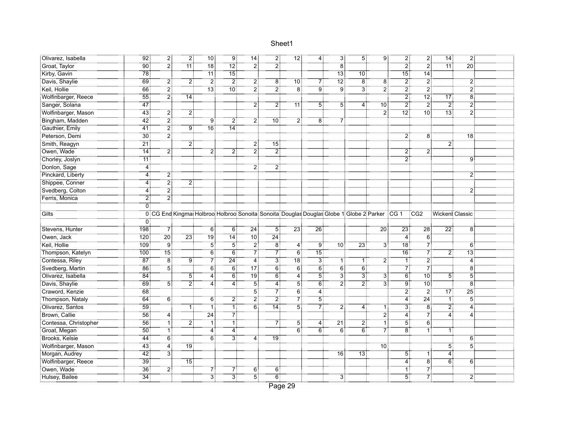|                              | Olivarez, Isabella | 92:                   | 21                         | 2:     | 10 <sup>1</sup>                                                                                    | 9 <sub>i</sub>    | 14:                              | $\overline{2}$ :  | 12 <sub>1</sub> | 4:              | 3!                | $\overline{5}$ : | 9:              | 2:                           | $\overline{2}$    | 14:                        | $\overline{2}$ :  |  |
|------------------------------|--------------------|-----------------------|----------------------------|--------|----------------------------------------------------------------------------------------------------|-------------------|----------------------------------|-------------------|-----------------|-----------------|-------------------|------------------|-----------------|------------------------------|-------------------|----------------------------|-------------------|--|
| Groat, Taylor                |                    | <br>90                | أ2                         | <br>11 |                                                                                                    |                   | :ّ2                              | 2                 |                 |                 | ë.                |                  |                 | :ّ 2                         | $\ddot{2}$ :      | <br>11:                    | <br>20            |  |
| Kirby, Gavin                 |                    | $\overline{78}$       |                            |        | $\overline{11}$                                                                                    | $\overline{15}$   |                                  |                   |                 |                 | <br>13            | -<br>10 :        |                 | $\overline{15}$              | $\overline{14}$   |                            |                   |  |
| Davis, Shaylie               |                    | 69                    | 2:                         | 2      | $\overline{2}$                                                                                     | $\overline{2}$    | $\overline{2}$                   | 8 <sup>3</sup>    | $\overline{10}$ | $rac{7}{9}$     | $\overline{12}$   | $\overline{8}$   | $\overline{8}$  | $\overline{2}$               | $\overline{2}$    |                            | $\overline{2}$    |  |
| Keil, Hollie                 |                    | 66                    | $\overline{2}$             |        | -<br>13 :                                                                                          | <br>10:           | أ?                               | 2                 | $\dddot{8}$     |                 | : ق               | Ë.               | $\overline{2}$  | $\overline{2}$               | $\overline{2}$    |                            | $\ddot{2}$        |  |
| Wolfinbarger, Reece          |                    | $\overline{55}$       | $\overline{2}$             | 14     |                                                                                                    |                   |                                  |                   |                 |                 |                   |                  |                 | $\overline{2}$               | <br>12:           | $\overline{17}$            | $\overline{8}$    |  |
| Sanger, Solana               |                    | $\frac{1}{47}$        |                            |        |                                                                                                    |                   | 2                                | $2^{\frac{1}{2}}$ | <br>11          | 5.              | 5                 | 4                | .<br>: 10       | $\overline{2}$               | -2                | $\overline{2}$ :           | $\overline{2}$    |  |
| Wolfinbarger, Mason          |                    | $-43$                 | $\overline{2}$ :           | 2:     |                                                                                                    |                   |                                  |                   |                 |                 |                   |                  | :ّ2             | $\overline{1}\overline{2}$ : |                   | 13:                        | .<br>21           |  |
| Bingham, Madden              |                    | $\frac{1}{42}$        | $\overline{2}$             |        | 9 <sub>i</sub>                                                                                     | <br>21            | <br>2                            | 10 <sup>1</sup>   | $\overline{2}$  | $\overset{}{8}$ | 7                 |                  |                 |                              |                   |                            |                   |  |
| Gauthier, Emily              |                    | $\overline{41}$       | $\overline{2}$             | g:     | <br>16:                                                                                            | .<br>14:          |                                  |                   |                 |                 |                   |                  |                 |                              |                   |                            |                   |  |
| Peterson, Demi               |                    | $\overline{30}$       | $\overline{2}$             |        |                                                                                                    |                   |                                  |                   |                 |                 |                   |                  |                 | $\overline{2}$               | 8 <sup>1</sup>    |                            | ∃8ֿ               |  |
| Smith, Reagyn                |                    | $\overline{21}$       |                            | 2      |                                                                                                    |                   | 2                                | $\overline{15}$   |                 |                 |                   |                  |                 |                              |                   | 2                          |                   |  |
| Owen, Wade                   |                    | $\overline{14}$       | 2                          |        | 2 <sup>1</sup>                                                                                     | $\overline{2}$    | أ2                               | $\overline{2}$    |                 |                 |                   |                  |                 | $\overline{2}$               | $\overline{2}$    |                            |                   |  |
| Chorley, Joslyn              |                    | $\overline{11}$       |                            |        |                                                                                                    |                   |                                  |                   |                 |                 |                   |                  |                 | $\overline{2}$               |                   |                            | 9                 |  |
| Donlon, Sage                 |                    | $\overline{4}$        |                            |        |                                                                                                    |                   | 2                                | 2:                |                 |                 |                   |                  |                 |                              |                   |                            |                   |  |
| Pinckard, Liberty            |                    | 4 <sub>1</sub>        | 2                          |        |                                                                                                    |                   |                                  |                   |                 |                 |                   |                  |                 |                              |                   |                            | $\overline{2}$    |  |
| Shippee, Conner              |                    | $\overline{4}$        | $\overline{2}$             | 2      |                                                                                                    |                   |                                  |                   |                 |                 |                   |                  |                 |                              |                   |                            |                   |  |
| Svedberg, Colton             |                    | $\overline{4}$        | $\overline{2}$             |        |                                                                                                    |                   |                                  |                   |                 |                 |                   |                  |                 |                              |                   |                            | $\overline{2}$    |  |
| Ferris, Monica               |                    | 2]                    | 2                          |        |                                                                                                    |                   |                                  |                   |                 |                 |                   |                  |                 |                              |                   |                            |                   |  |
|                              |                    | $\overline{0}$        |                            |        |                                                                                                    |                   |                                  |                   |                 |                 |                   |                  |                 |                              |                   |                            |                   |  |
| Gilts <sup>"</sup>           |                    |                       |                            |        | 0 CG End Kingmat Holbroo Holbroo Sonoita: Sonoita: Douglas Douglas Globe 1 Globe 2 Parker CG 1 CG2 |                   |                                  |                   |                 |                 |                   |                  |                 |                              |                   | : Wickent Classic          |                   |  |
|                              |                    | 0                     |                            |        |                                                                                                    |                   |                                  |                   |                 |                 |                   |                  |                 |                              |                   |                            |                   |  |
|                              |                    |                       |                            |        |                                                                                                    |                   |                                  |                   |                 |                 |                   |                  |                 |                              |                   |                            |                   |  |
| Stevens, Hunter              |                    | 198                   | 71                         |        | ΈĨ                                                                                                 | Ö.                | $\overline{24}$                  | 51                | $\overline{23}$ | $\overline{26}$ |                   |                  | $\overline{20}$ | $\overline{23}$              | $\overline{28}$ : | $\overline{2}\overline{2}$ | $\dddot{8}$       |  |
| Owen, Jack                   |                    | 120                   | <br>20                     | 23.    | <br>19                                                                                             | <br>14 :          | <br>10 :                         | <br>24            |                 |                 |                   |                  |                 | 4                            | $\overline{6}$    |                            |                   |  |
| Keil, Hollie                 |                    | 109                   | $\overline{9}$             |        | $\overline{5}$                                                                                     | $\overline{5}$    | $\overline{2}$                   | $\overline{8}$    | 4               | ڙ ق             | .<br>: 10         | $\frac{1}{23}$   | $\overline{3}$  | .<br>! 18                    | $\overline{7}$    |                            | $\overline{6}$    |  |
| Thompson, Katelyn            |                    | 100                   |                            |        | $\overline{6}$                                                                                     | $6^{\frac{1}{3}}$ |                                  | 7                 | $\overline{6}$  | 15              |                   |                  |                 | 76                           | $7^{\circ}$       | 2!                         | $\overline{13}$   |  |
| Contessa, Riley              |                    | 87 <sub>1</sub>       | $\overline{8}$             | 9      | 7                                                                                                  | $\overline{24}$   | $\overline{7}$<br>$\overline{4}$ | $\overline{3}$    | 18 <sub>1</sub> | $\frac{1}{3}$   | -1 i              | 1 :              |                 | 11                           | $\overline{2}$ :  |                            | <br>4:            |  |
| Svedberg, Martin             |                    | $\overline{86}$       | $\overline{5}$             |        | $\overline{6}$                                                                                     |                   | -<br>17                          | $\overline{6}$    | $\overline{6}$  | -<br>6          |                   | $\overline{6}$   | $\overline{2}$  | -71                          | -71               |                            | <br>8:            |  |
| Olivarez, Isabella           |                    | - 84                  |                            | 51     | <br>4                                                                                              | $\overline{6}$    | <br>19                           | 6 <sup>3</sup>    | 4               | <br>5           | $\overline{3}$    | ΪË               | 31              | $\overline{6}$               | <br>10            | 51                         | $\dddot{5}$       |  |
| Davis, Shaylie               |                    | 69                    | 5                          | 2.     |                                                                                                    | <br>4             | 5                                | 4                 | 5               | $\ddot{6}$      | 21                | 21               | $\ddot{3}$      | ة.<br>!                      | <br>10            |                            | $\dddot{\bar{8}}$ |  |
| Craword, Kenzie              |                    | 68                    |                            |        |                                                                                                    |                   | Ï,                               | 7                 | 6!              | <br>4           |                   |                  |                 | 2.                           | $\overline{2}$    | 17:                        | $\overline{25}$   |  |
| Thompson, Nataly             |                    | $\overline{64}$       | $\overline{6}$             |        | 6:                                                                                                 | $\overline{2}$    | $\overline{2}^{\frac{1}{2}}$     | $\ddot{2}$        |                 | $\overline{5}$  |                   |                  |                 | $\overline{4}$               | $\overline{24}$   |                            | $\overline{5}$    |  |
| Olivarez, Santos             |                    | 59                    |                            |        | ٦İ                                                                                                 | ïï                | $\overline{6}$                   | 14                | $\overline{5}$  |                 | 2                 | $\overline{4}$   | 1:              | 3                            | $\overline{8}$    | $\overline{2}$             | 4                 |  |
| Brown, Callie                |                    | $\overline{56}$       | 4:                         |        | $\frac{1}{24}$                                                                                     | $\overline{7}$    |                                  |                   |                 | $\frac{1}{2}$   |                   |                  | $\overline{2}$  | $\ddot{4}$                   | $\overline{7}$    | 4                          | 4:                |  |
| Contessa, Christopher        |                    | 56                    | ٦Î                         | 2 :    | ٦Î                                                                                                 | .<br>11           |                                  | 7                 | 51              | <br>4           | $\overline{21}$ : | 2.               | ŦÎ              | 51                           | $\ddot{6}$        |                            |                   |  |
| Groat, Megan                 |                    | $\overline{50}$       | $\mathbb{R}^{\frac{1}{2}}$ |        | 4:                                                                                                 | 4                 |                                  |                   | 6               | 6               | 6                 | $\overline{6}$   | 7               | ïä                           | 1                 |                            |                   |  |
| Brooks, Kelsie               |                    | $\frac{1}{44}$        | <br>6                      |        | $\overline{6}$                                                                                     | $\overline{3}$    | 4 :                              | .<br>! 19         |                 |                 |                   |                  |                 |                              |                   |                            | 6:                |  |
| Wolfinbarger, Mason          |                    | $\overline{43}$       | <br>4                      | 19:    |                                                                                                    |                   |                                  |                   |                 |                 |                   |                  | .<br>10 آ       |                              |                   | 51                         | $\overline{5}$    |  |
| Morgan, Audrey               |                    | $\overline{42}$       | $\overline{3}$ :           |        |                                                                                                    |                   |                                  |                   |                 |                 | 16 <sup>3</sup>   | 73.              |                 | 51                           | 1:                | 4                          |                   |  |
| Wolfinbarger, Reece          |                    | $\overline{39}$       |                            | ำ5∶่   |                                                                                                    |                   |                                  |                   |                 |                 |                   |                  |                 | $\overline{4}$               | $\ddot{8}$        | 6!                         | 6                 |  |
| Owen, Wade<br>Hulsey, Bailee |                    | 36<br>$\overline{34}$ | 2                          |        | $\overline{3}$                                                                                     | 7<br>.<br>31      | 6:<br><br>5                      | 6:<br>-<br>6      |                 |                 |                   |                  |                 | 1 :<br>$\overline{5}$        | 7<br>- 71         |                            | $\overline{2}$    |  |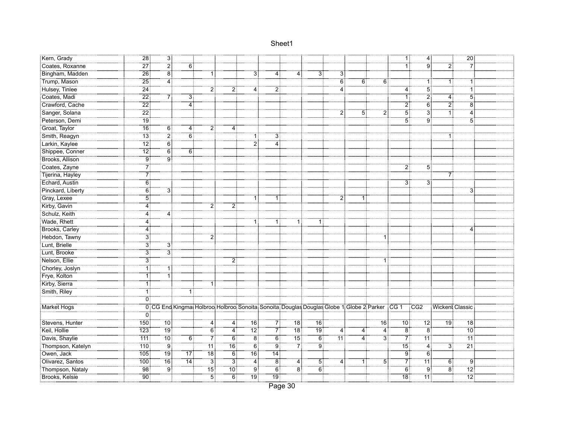| Kern, Grady       | $\overline{28}$     | -31              |                                                                                                      |                  |                  |                     |                |                |                |                  |                |                   | [1]              | $\overline{4}$ : |            | $\frac{20}{30}$   |  |
|-------------------|---------------------|------------------|------------------------------------------------------------------------------------------------------|------------------|------------------|---------------------|----------------|----------------|----------------|------------------|----------------|-------------------|------------------|------------------|------------|-------------------|--|
| Coates, Roxanne   | $\overline{27}$     | $\overline{2}$   | 6                                                                                                    |                  |                  |                     |                |                |                |                  |                |                   |                  |                  |            | - 7               |  |
| Bingham, Madden   | $\overline{26}$     | $\overline{8}$   |                                                                                                      | 1 :              |                  | 3 :                 | 4:             | 4              | 31             | 3                |                |                   |                  |                  |            |                   |  |
| Trump, Mason      | $\overline{25}$     | $\overline{4}$   |                                                                                                      |                  |                  |                     |                |                |                | $\ddot{6}$       | 6 <sup>1</sup> | 6:                |                  | 1 :              | 1:         | $\overline{1}$    |  |
| Hulsey, Tinlee    | $\overline{24}$     |                  |                                                                                                      | 21               | $\overline{2}$   | 4                   | 2              |                |                | $\dddot{4}$      |                |                   | $\ddot{4}$ :     | $\overline{5}$   |            | $\overline{1}$ :  |  |
| Coates, Madi      | $\overline{22}$     | 71               | 3 :                                                                                                  |                  |                  |                     |                |                |                |                  |                |                   | 1 :              | $\overline{2}$   | 4          | $\overline{5}$    |  |
| Crawford, Cache   | 22                  |                  | 4                                                                                                    |                  |                  |                     |                |                |                |                  |                |                   | $\overline{2}$ : | 6                | 2          | $\overline{8}$    |  |
| Sanger, Solana    | $\overline{22}$     |                  |                                                                                                      |                  |                  |                     |                |                |                | $\overline{2}$ : | $5^{\circ}$    | ΪÏ.               | 51               | 31               | ΪĪ         | $\overline{4}$    |  |
| Peterson, Demi    | : 19                |                  |                                                                                                      |                  |                  |                     |                |                |                |                  |                |                   | 51               | .<br>! 9         |            | $\overline{5}$    |  |
| Groat, Taylor     | $\overline{16}$     | $\overline{6}$   | 4 :                                                                                                  |                  | 4                |                     |                |                |                |                  |                |                   |                  |                  |            |                   |  |
| Smith, Reagyn     | 13                  | $\overline{2}$   | ö.                                                                                                   |                  |                  | 1!                  | 3              |                |                |                  |                |                   |                  |                  |            |                   |  |
| Larkin, Kaylee    | $\overline{12}$     | $\overline{6}$   |                                                                                                      |                  |                  | $\overline{2}$      | <br>4          |                |                |                  |                |                   |                  |                  |            |                   |  |
| Shippee, Conner   | $\overline{12}$     | $\overline{6}$   | 6 :                                                                                                  |                  |                  |                     |                |                |                |                  |                |                   |                  |                  |            |                   |  |
| Brooks, Allison   | ÷ّة.                | ÷                |                                                                                                      |                  |                  |                     |                |                |                |                  |                |                   |                  |                  |            |                   |  |
| Coates, Zayne     | 71                  |                  |                                                                                                      |                  |                  |                     |                |                |                |                  |                |                   | 2:               | 5:               |            |                   |  |
| Tijerina, Hayley  | 71                  |                  |                                                                                                      |                  |                  |                     |                |                |                |                  |                |                   |                  |                  |            |                   |  |
| Echard, Austin    | <br>6               |                  |                                                                                                      |                  |                  |                     |                |                |                |                  |                |                   | ЗÏ               | 3                |            |                   |  |
| Pinckard, Liberty | 6 <sup>1</sup>      | ЗÏ               |                                                                                                      |                  |                  |                     |                |                |                |                  |                |                   |                  |                  |            | 3                 |  |
| Gray, Lexee       | $\overline{5}$      |                  |                                                                                                      |                  |                  |                     |                |                |                | 2                |                |                   |                  |                  |            |                   |  |
| Kirby, Gavin      | 4                   |                  |                                                                                                      | $\overline{2}$ : | 2:               |                     |                |                |                |                  |                |                   |                  |                  |            |                   |  |
| Schulz, Keith     | 4                   | $\overline{4}$   |                                                                                                      |                  |                  |                     |                |                |                |                  |                |                   |                  |                  |            |                   |  |
| Wade, Rhett       | $\overline{4}$      |                  |                                                                                                      |                  |                  | 1 :                 | 1 :            | 1 :            | 1:             |                  |                |                   |                  |                  |            |                   |  |
| Brooks, Carley    | 4                   |                  |                                                                                                      |                  |                  |                     |                |                |                |                  |                |                   |                  |                  |            | 4                 |  |
| Hebdon, Tawny     | 31                  |                  |                                                                                                      | 2:               |                  |                     |                |                |                |                  |                | 1                 |                  |                  |            |                   |  |
| Lunt, Brielle     | 31                  | ЗĪ               |                                                                                                      |                  |                  |                     |                |                |                |                  |                |                   |                  |                  |            |                   |  |
| Lunt, Brooke      | $\overline{3}$      | $\overline{3}$ : |                                                                                                      |                  |                  |                     |                |                |                |                  |                |                   |                  |                  |            |                   |  |
| Nelson, Ellie     | $\overline{3}$      |                  |                                                                                                      |                  | 2                |                     |                |                |                |                  |                |                   |                  |                  |            |                   |  |
| Chorley, Joslyn   | 1 :                 | 1                |                                                                                                      |                  |                  |                     |                |                |                |                  |                |                   |                  |                  |            |                   |  |
| Frye, Kolton      | ΤÎ                  | ٦İ               |                                                                                                      |                  |                  |                     |                |                |                |                  |                |                   |                  |                  |            |                   |  |
| Kirby, Sierra     | Τİ                  |                  |                                                                                                      | -11              |                  |                     |                |                |                |                  |                |                   |                  |                  |            |                   |  |
| Smith, Riley      | ïİ                  |                  | 1!                                                                                                   |                  |                  |                     |                |                |                |                  |                |                   |                  |                  |            |                   |  |
|                   | $\overline{0}$      |                  |                                                                                                      |                  |                  |                     |                |                |                |                  |                |                   |                  |                  |            |                   |  |
| Market Hogs       |                     |                  | 0 CG End Kingmat Holbroo Holbroo Sonoita: Sonoita: Douglas Douglas Globe 1: Globe 2: Parker CG 1 CG2 |                  |                  |                     |                |                |                |                  |                |                   |                  |                  |            | :Wickent Classic  |  |
|                   | 0:                  |                  |                                                                                                      |                  |                  |                     |                |                |                |                  |                |                   |                  |                  |            |                   |  |
| Stevens, Hunter   | 750                 | $\overline{10}$  |                                                                                                      | 4:               | 4:               | -<br>16             | 71             |                | -<br>16:       |                  |                | $\overline{16}$ : | -<br>10 :        | 12:              | -19:       | <br>18            |  |
| Keil, Hollie      | $\overline{123}$    | .<br>∶19         |                                                                                                      | $\overline{6}$   | $\overline{4}$   | $\overline{12}$ :   | -71            | ¨ïö: ⊤         | <br>19         | 4                | 4 :            | $\overline{4}$    | Ϊ8               | Ϊ8               |            | .<br>:10          |  |
| Davis, Shaylie    | ___________<br>111  | .<br>!10         | 6 <sup>1</sup>                                                                                       | 7                | $\overline{6}$   | ëį                  | 6              | -<br>15        | -<br>6!        |                  | 4              | 3                 | $\overline{7}$   | <br>11           |            | $\overline{11}$   |  |
| Thompson, Katelyn | $710^{\frac{1}{2}}$ | ÷ق               |                                                                                                      | <br>11 :         | $\overline{16}$  | $\overline{6}$      | ÷              | - 7            | :<br>! 9       |                  |                |                   | <br>15           | 4                | <br>3      | $\overline{21}$   |  |
| Owen, Jack        | $\frac{1}{105}$     | <br>19 :         | أ77                                                                                                  |                  | -<br>6           | $\overline{16}$ :   | .<br>14 آ      |                |                |                  |                |                   | $\ddot{9}$       | $\overline{6}$   |            |                   |  |
| Olivarez, Santos  | 100:                | 16.              | 14                                                                                                   | $\overline{3}$ : | $\overline{3}$ : | $\overline{4}$      | $\overline{8}$ | 4:             | 5.             | 4                | 1 :            | 5 <sup>1</sup>    | $7^{\circ}$      | ้ 11 ¦ิ์         | 6:         | $\overline{9}$    |  |
| Thompson, Nataly  |                     | .<br>! 9         |                                                                                                      | 15 <sup>3</sup>  | $70^{\circ}$     | g†                  | $\overline{6}$ | $\overline{8}$ | $\overline{6}$ |                  |                |                   | 6:               | $\overline{9}$   | $\ddot{8}$ | $\overline{12}$ : |  |
| Brooks, Kelsie    | $90^{\frac{1}{2}}$  |                  |                                                                                                      | 51               | $\overline{6}$   | ___________<br>19 : | ïïï,           |                |                |                  |                |                   | -<br>18          | $\overline{11}$  |            | $\overline{12}$ : |  |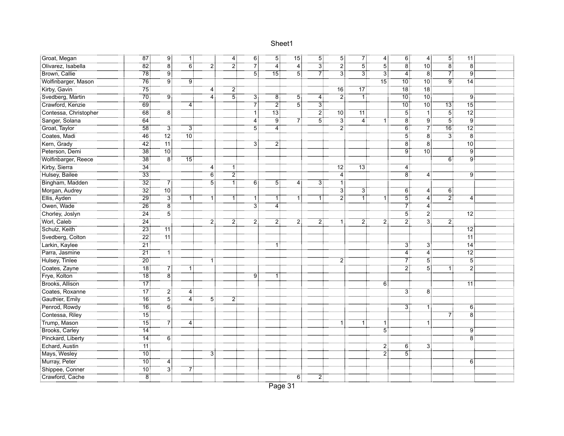| : Groat, Megan        | $\overline{87}$   | "9!                                                           | 1 :             |                | $\overline{4}$ | ΈĪ               | 5!               | -<br>15:         | $\overline{5}$   | $\overline{5}$ : | 71               | $\overline{4}$    | $\overline{6}$    | $\overline{4}$    | $\overline{5}$ |                    |  |
|-----------------------|-------------------|---------------------------------------------------------------|-----------------|----------------|----------------|------------------|------------------|------------------|------------------|------------------|------------------|-------------------|-------------------|-------------------|----------------|--------------------|--|
| Olivarez, Isabella    | $\overline{82}$   | $\overline{8}$                                                | $\overline{6}$  | :ّ2            | $\overline{2}$ | 7İ               | <br>4            | <br>4            | $\overline{3}$   | :ّ2              | <br>5            | $-5$              | $\overline{8}$ .  | .<br>10           | $\ddot{8}$     | - 8†               |  |
| Brown, Callie         | $\frac{1}{78}$    | $\overline{9}$                                                |                 |                |                | $\overline{5}$   |                  | $\overline{5}$ : | 7                | $\overline{3}$ : | $\overline{3}$ : | $\overline{3}$    | $\overline{4}$    | $\overline{8}$    | $7^{\circ}$    | $\overline{9}$     |  |
| Wolfinbarger, Mason   | 76                | $\overline{9}$                                                | 9:              |                |                |                  |                  |                  |                  |                  |                  | $\overline{15}$ : | :10°              | 10:               | 9:             | $\overline{14}$    |  |
| Kirby, Gavin          | <br>75            |                                                               |                 | 4:             | $\overline{2}$ |                  |                  |                  |                  | $\overline{16}$  |                  |                   | .<br>: 18         | .<br>18           |                |                    |  |
| Svedberg, Martin      | .<br>?70          | ÷ۊ                                                            |                 | 4              | .<br>! 5       | 3!               | 8                | $5^{\circ}$      | 4                | $\overline{2}$ : | 1!               |                   | $\overline{10}$ : | -<br>10           |                | 9:                 |  |
| Crawford, Kenzie      | $-69$             |                                                               | 4               |                |                | 7                | $\overline{2}$ : | 5                | $\overline{3}$ : |                  |                  |                   | $\overline{10}$   | $\overline{10}$ : | -13:           | $\overline{15}$ :  |  |
| Contessa, Christopher | $-68$             | "8∫                                                           |                 |                |                | ÷ّ               | -<br>13          |                  | .<br>21          | ⊤ö⊺              |                  |                   | .<br>! ق          | ΪĪ                | 51             | $\overline{12}$ :  |  |
| Sanger, Solana        | 64                |                                                               |                 |                |                | <br>4            | ;ّة.             |                  | <br>5            | ≑ٰ ت             | 4                |                   | $\overline{8}$    | ∶ّق⊺              | $\ddot{5}$     | $\overline{9}$     |  |
| Groat, Taylor         | :<br>! 58         | $\overline{3}$                                                | ЗÏ              |                |                | 5                | $\dddot{4}$      |                  |                  | $\dddot{2}$      |                  |                   | $\overline{6}$    | $\vec{7}$         | -<br>16:       | .<br>12 :          |  |
| Coates, Madi          | 46                | $\overline{12}$ :                                             | $\overline{10}$ |                |                |                  |                  |                  |                  |                  |                  |                   | $\overline{5}$ :  | $\overline{8}$    | $\overline{3}$ | - 8 :              |  |
| Kern, Grady           | $\overline{42}$   | $\overline{11}$                                               |                 |                |                | 3                | $\overline{2}$   |                  |                  |                  |                  |                   | -8†               | $\overline{8}$    |                | $\overline{10}$ :  |  |
| Peterson, Demi        | $\overline{38}$   |                                                               |                 |                |                |                  |                  |                  |                  |                  |                  |                   | †ۊ                | $\overline{10}$   |                | .<br>! ق           |  |
| Wolfinbarger, Reece   | _________<br>38 : | $\begin{array}{c}\n\overline{8} \\ \overline{8}\n\end{array}$ | 15 <sub>1</sub> |                |                |                  |                  |                  |                  |                  |                  |                   |                   |                   | 6:             | . 3                |  |
| Kirby, Sierra         | 34:               |                                                               |                 | 4              | 1:             |                  |                  |                  |                  |                  | $-13$ :          |                   | 4:                |                   |                |                    |  |
| Hulsey, Bailee        | $\overline{33}$   |                                                               |                 | $\overline{6}$ | $\overline{2}$ |                  |                  |                  |                  | $\overline{4}$   |                  |                   | $\overline{8}$    | 4                 |                | $\ddot{9}$         |  |
| Bingham, Madden       | $\overline{32}$   | 71                                                            |                 | 51             | آآ             | 6 <sup>1</sup>   | $5^{\circ}$      | 4                | 3 :              | Ŧ                |                  |                   |                   |                   |                |                    |  |
| Morgan, Audrey        | $\overline{32}$   | $\overline{10}$ :                                             |                 |                |                |                  |                  |                  |                  | $\overline{3}$   | $\overline{3}$   |                   | 6                 | 4                 | 6              |                    |  |
| Ellis, Ayden          | $\frac{1}{29}$    | $\overline{3}$                                                |                 | 1:             | 1:             | $\mathbf{1}$     | 1:               |                  | 1:               | 2                | ٦Ť               | Ï.                | $\overline{5}$    | $\overline{4}$ :  | 2              | $\overline{4}$ :   |  |
| Owen, Wade            | $\overline{26}$   | $\overline{8}$                                                |                 |                |                | $\overline{3}$ : | $\overline{4}$   |                  |                  |                  |                  |                   |                   | 4                 |                |                    |  |
| Chorley, Joslyn       | $\overline{24}$   | $\overline{5}$ :<br>                                          |                 |                |                |                  |                  |                  |                  |                  |                  |                   | - 51              | $\overline{2}$ :  |                | - 12               |  |
| Worl, Caleb           | $\overline{24}$   |                                                               |                 | 21             | $\overline{2}$ | 2.               | 21               | 2                | 2!               | 1:               | 21               | $\overline{2}$    | $\overline{2}$ :  | $\overline{3}$ :  | 2.             |                    |  |
| Schulz, Keith         | $\overline{23}$   |                                                               |                 |                |                |                  |                  |                  |                  |                  |                  |                   |                   |                   |                | $\overline{12}$ :  |  |
| Svedberg, Colton      | $\overline{22}$   |                                                               |                 |                |                |                  |                  |                  |                  |                  |                  |                   |                   |                   |                | .<br>11:           |  |
| Larkin, Kaylee        | $\overline{21}$   |                                                               |                 |                |                |                  | 1:               |                  |                  |                  |                  |                   | $\overline{3}$ :  | $\overline{3}$    |                | $\overline{14}$    |  |
| Parra, Jasmine        | $\overline{21}$   | $\overline{1}$                                                |                 |                |                |                  |                  |                  |                  |                  |                  |                   | $\overline{4}$ :  | $\overline{4}$    |                | $12^{\frac{1}{2}}$ |  |
| Hulsey, Tinlee        | $\overline{20}$   |                                                               |                 | 1:             |                |                  |                  |                  |                  | $\overline{2}$   |                  |                   | 71                | $\overline{5}$    |                | $\overline{5}$     |  |
| Coates, Zayne         | $\overline{18}$   | $\begin{array}{c}\n7 \\ 7 \\ \hline\n8\n\end{array}$          | 1               |                |                |                  |                  |                  |                  |                  |                  |                   | أة:               | <br>5             | 1:             | $\overline{2}$     |  |
| Frye, Kolton          | <br>18            |                                                               |                 |                |                | <br>ا            |                  |                  |                  |                  |                  |                   |                   |                   |                |                    |  |
| Brooks, Allison       | $\overline{17}$   |                                                               |                 |                |                |                  |                  |                  |                  |                  |                  | ö.                |                   |                   |                | $\overline{11}$    |  |
| Coates, Roxanne       | -<br>17           | 21                                                            | 4               |                |                |                  |                  |                  |                  |                  |                  |                   | ЗĪ                | $\overline{8}$    |                |                    |  |
| Gauthier, Emily       | $\overline{16}$   | $\overline{5}$                                                | 4:              | 51             | $\overline{2}$ |                  |                  |                  |                  |                  |                  |                   |                   |                   |                |                    |  |
| Penrod, Rowdy         | 16                | $\overline{6}$                                                |                 |                |                |                  |                  |                  |                  |                  |                  |                   | зī                | 1:                |                | $6^{\frac{1}{3}}$  |  |
| Contessa, Riley       | .<br>! 15         |                                                               |                 |                |                |                  |                  |                  |                  |                  |                  |                   |                   |                   | 7              | $\overline{8}$     |  |
| Trump, Mason          | <br>15            | 7]                                                            | 4 :             |                |                |                  |                  |                  |                  | 1:               | Ŧ                | -1                |                   | $\mathbf{1}$      |                |                    |  |
| Brooks, Carley        | <br>14            |                                                               |                 |                |                |                  |                  |                  |                  |                  |                  | 5                 |                   |                   |                | 9!                 |  |
| Pinckard, Liberty     | 14                | $\overline{6}$                                                |                 |                |                |                  |                  |                  |                  |                  |                  |                   |                   |                   |                | $\overline{8}$     |  |
| Echard, Austin        | 71                |                                                               |                 |                |                |                  |                  |                  |                  |                  |                  | 2                 | 6:                | 31                |                |                    |  |
| Mays, Wesley          | $\overline{10}$ : |                                                               |                 | 31             |                |                  |                  |                  |                  |                  |                  | $\overline{2}$    | $\overline{5}$ :  |                   |                |                    |  |
| Murray, Peter         | : 10              | 4                                                             |                 |                |                |                  |                  |                  |                  |                  |                  |                   |                   |                   |                | 6:                 |  |
| Shippee, Conner       | $\overline{10}$   | $\overline{3}$ :                                              |                 |                |                |                  |                  |                  |                  |                  |                  |                   |                   |                   |                |                    |  |
| Crawford, Cache       | $\overline{8}$    |                                                               |                 |                |                |                  |                  | 6 :              | $\overline{2}$   |                  |                  |                   |                   |                   |                |                    |  |